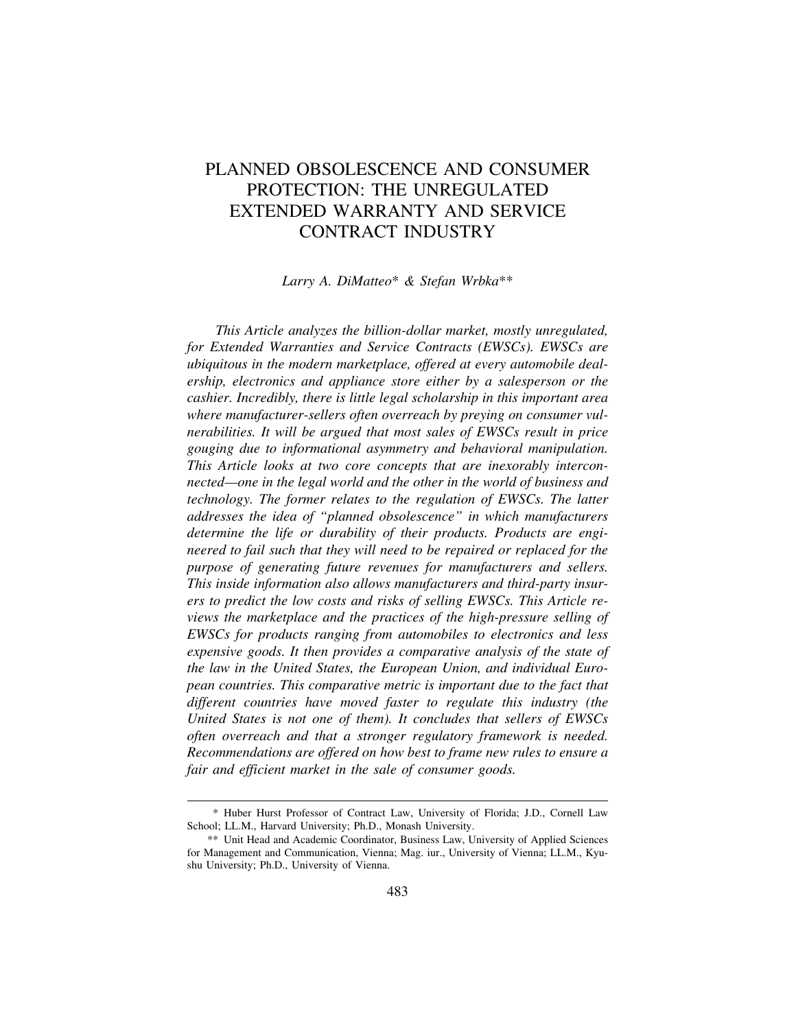# PLANNED OBSOLESCENCE AND CONSUMER PROTECTION: THE UNREGULATED EXTENDED WARRANTY AND SERVICE CONTRACT INDUSTRY

#### *Larry A. DiMatteo*\* *& Stefan Wrbka*\*\*

*This Article analyzes the billion-dollar market, mostly unregulated, for Extended Warranties and Service Contracts (EWSCs). EWSCs are ubiquitous in the modern marketplace, offered at every automobile dealership, electronics and appliance store either by a salesperson or the cashier. Incredibly, there is little legal scholarship in this important area where manufacturer-sellers often overreach by preying on consumer vulnerabilities. It will be argued that most sales of EWSCs result in price gouging due to informational asymmetry and behavioral manipulation. This Article looks at two core concepts that are inexorably interconnected—one in the legal world and the other in the world of business and technology. The former relates to the regulation of EWSCs. The latter addresses the idea of "planned obsolescence" in which manufacturers determine the life or durability of their products. Products are engineered to fail such that they will need to be repaired or replaced for the purpose of generating future revenues for manufacturers and sellers. This inside information also allows manufacturers and third-party insurers to predict the low costs and risks of selling EWSCs. This Article reviews the marketplace and the practices of the high-pressure selling of EWSCs for products ranging from automobiles to electronics and less expensive goods. It then provides a comparative analysis of the state of the law in the United States, the European Union, and individual European countries. This comparative metric is important due to the fact that different countries have moved faster to regulate this industry (the United States is not one of them). It concludes that sellers of EWSCs often overreach and that a stronger regulatory framework is needed. Recommendations are offered on how best to frame new rules to ensure a fair and efficient market in the sale of consumer goods.* 

<sup>\*</sup> Huber Hurst Professor of Contract Law, University of Florida; J.D., Cornell Law School; LL.M., Harvard University; Ph.D., Monash University.

<sup>\*\*</sup> Unit Head and Academic Coordinator, Business Law, University of Applied Sciences for Management and Communication, Vienna; Mag. iur., University of Vienna; LL.M., Kyushu University; Ph.D., University of Vienna.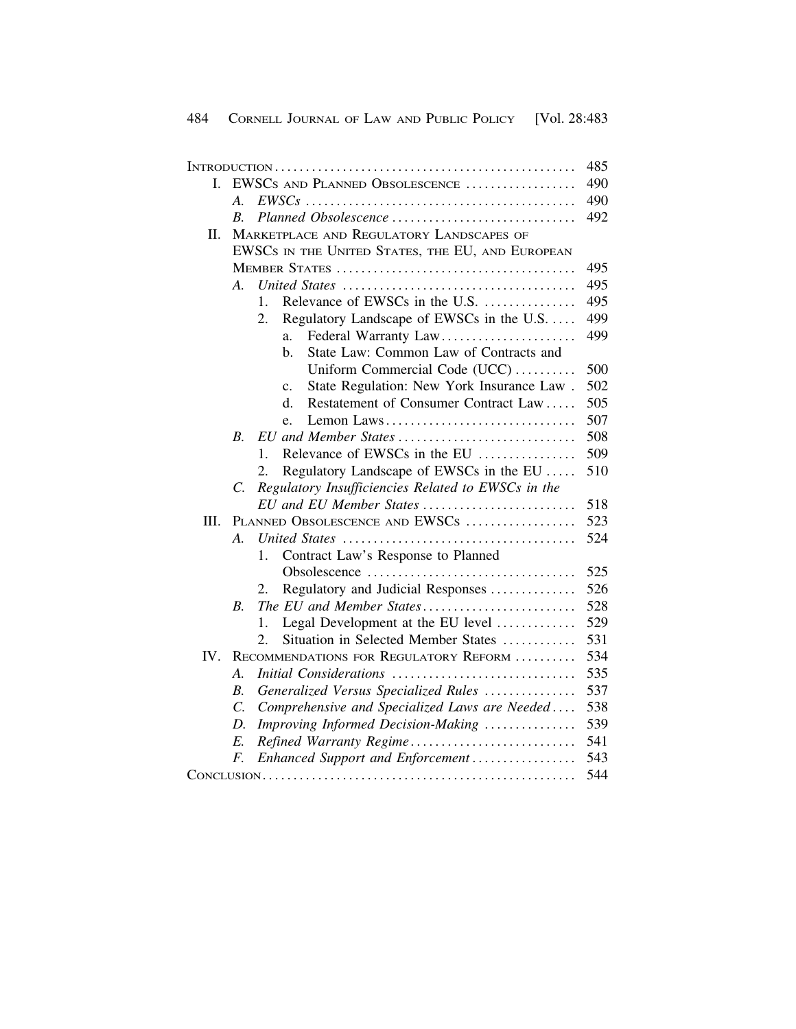|      |                                                  |                                                             | 485 |
|------|--------------------------------------------------|-------------------------------------------------------------|-----|
| L    | EWSCS AND PLANNED OBSOLESCENCE                   |                                                             | 490 |
|      | А.                                               |                                                             | 490 |
|      | В.                                               | Planned Obsolescence                                        | 492 |
| Π.   | MARKETPLACE AND REGULATORY LANDSCAPES OF         |                                                             |     |
|      | EWSCS IN THE UNITED STATES, THE EU, AND EUROPEAN |                                                             |     |
|      |                                                  |                                                             | 495 |
|      | $\mathcal{A}_{\cdot}$                            |                                                             | 495 |
|      |                                                  | Relevance of EWSCs in the U.S.<br>1.                        | 495 |
|      |                                                  | Regulatory Landscape of EWSCs in the U.S.<br>2.             | 499 |
|      |                                                  | Federal Warranty Law<br>a.                                  | 499 |
|      |                                                  | State Law: Common Law of Contracts and<br>b.                |     |
|      |                                                  | Uniform Commercial Code (UCC)                               | 500 |
|      |                                                  | State Regulation: New York Insurance Law.<br>$\mathbf{c}$ . | 502 |
|      |                                                  | Restatement of Consumer Contract Law<br>d.                  | 505 |
|      |                                                  | Lemon Laws<br>e.                                            | 507 |
|      | B.                                               | EU and Member States                                        | 508 |
|      |                                                  | Relevance of EWSCs in the EU<br>1.                          | 509 |
|      |                                                  | Regulatory Landscape of EWSCs in the EU<br>2.               | 510 |
|      | C.                                               | Regulatory Insufficiencies Related to EWSCs in the          |     |
|      |                                                  | EU and EU Member States                                     | 518 |
| III. | PLANNED OBSOLESCENCE AND EWSCS                   |                                                             | 523 |
|      | $\mathcal{A}_{\cdot}$                            |                                                             | 524 |
|      |                                                  | Contract Law's Response to Planned<br>1.                    |     |
|      |                                                  |                                                             | 525 |
|      |                                                  | Regulatory and Judicial Responses<br>2.                     | 526 |
|      | $B_{\cdot}$                                      | The EU and Member States                                    | 528 |
|      |                                                  | Legal Development at the EU level<br>1.                     | 529 |
|      |                                                  | Situation in Selected Member States<br>2.                   | 531 |
| IV.  | RECOMMENDATIONS FOR REGULATORY REFORM            |                                                             | 534 |
|      | A.                                               | Initial Considerations                                      | 535 |
|      | B.                                               | Generalized Versus Specialized Rules                        | 537 |
|      | $\overline{C}$ .                                 | Comprehensive and Specialized Laws are Needed               | 538 |
|      | D.                                               | Improving Informed Decision-Making                          | 539 |
|      | E.                                               | Refined Warranty Regime                                     | 541 |
|      | F.                                               | Enhanced Support and Enforcement                            | 543 |
|      |                                                  |                                                             | 544 |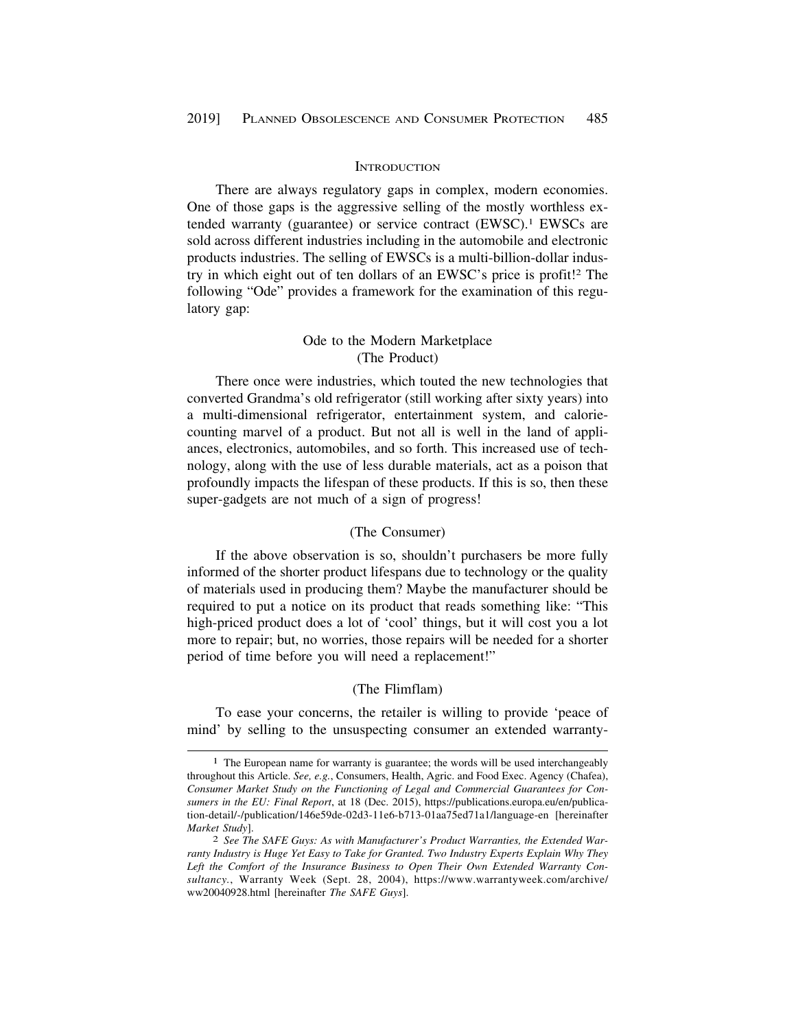#### **INTRODUCTION**

<span id="page-2-0"></span>There are always regulatory gaps in complex, modern economies. One of those gaps is the aggressive selling of the mostly worthless extended warranty (guarantee) or service contract (EWSC).<sup>1</sup> EWSCs are sold across different industries including in the automobile and electronic products industries. The selling of EWSCs is a multi-billion-dollar industry in which eight out of ten dollars of an EWSC's price is profit!2 The following "Ode" provides a framework for the examination of this regulatory gap:

## Ode to the Modern Marketplace (The Product)

There once were industries, which touted the new technologies that converted Grandma's old refrigerator (still working after sixty years) into a multi-dimensional refrigerator, entertainment system, and caloriecounting marvel of a product. But not all is well in the land of appliances, electronics, automobiles, and so forth. This increased use of technology, along with the use of less durable materials, act as a poison that profoundly impacts the lifespan of these products. If this is so, then these super-gadgets are not much of a sign of progress!

#### (The Consumer)

If the above observation is so, shouldn't purchasers be more fully informed of the shorter product lifespans due to technology or the quality of materials used in producing them? Maybe the manufacturer should be required to put a notice on its product that reads something like: "This high-priced product does a lot of 'cool' things, but it will cost you a lot more to repair; but, no worries, those repairs will be needed for a shorter period of time before you will need a replacement!"

## (The Flimflam)

To ease your concerns, the retailer is willing to provide 'peace of mind' by selling to the unsuspecting consumer an extended warranty-

<sup>1</sup> The European name for warranty is guarantee; the words will be used interchangeably throughout this Article. *See, e.g.*, Consumers, Health, Agric. and Food Exec. Agency (Chafea), *Consumer Market Study on the Functioning of Legal and Commercial Guarantees for Consumers in the EU: Final Report*, at 18 (Dec. 2015), <https://publications.europa.eu/en/publica>tion-detail/-/publication/146e59de-02d3-11e6-b713-01aa75ed71a1/language-en [hereinafter *Market Study*]. 2 *See The SAFE Guys: As with Manufacturer's Product Warranties, the Extended War-*

*ranty Industry is Huge Yet Easy to Take for Granted. Two Industry Experts Explain Why They Left the Comfort of the Insurance Business to Open Their Own Extended Warranty Consultancy.*, Warranty Week (Sept. 28, 2004), <https://www.warrantyweek.com/archive>/ ww20040928.html [hereinafter *The SAFE Guys*].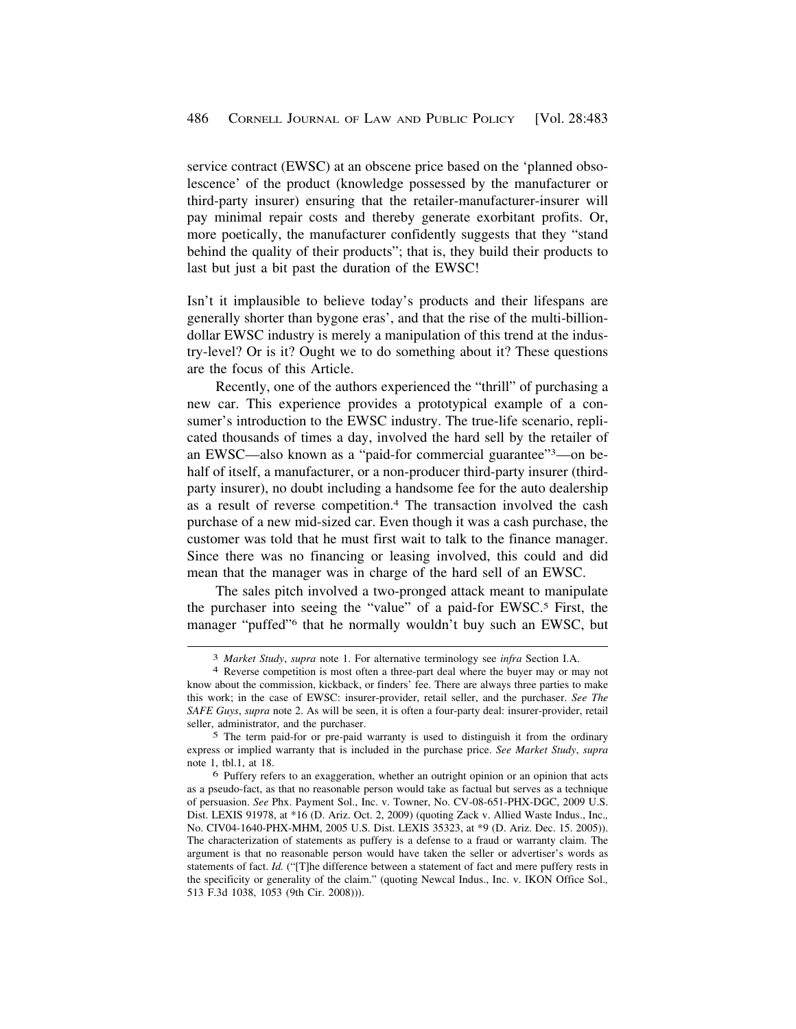service contract (EWSC) at an obscene price based on the 'planned obsolescence' of the product (knowledge possessed by the manufacturer or third-party insurer) ensuring that the retailer-manufacturer-insurer will pay minimal repair costs and thereby generate exorbitant profits. Or, more poetically, the manufacturer confidently suggests that they "stand behind the quality of their products"; that is, they build their products to last but just a bit past the duration of the EWSC!

Isn't it implausible to believe today's products and their lifespans are generally shorter than bygone eras', and that the rise of the multi-billiondollar EWSC industry is merely a manipulation of this trend at the industry-level? Or is it? Ought we to do something about it? These questions are the focus of this Article.

Recently, one of the authors experienced the "thrill" of purchasing a new car. This experience provides a prototypical example of a consumer's introduction to the EWSC industry. The true-life scenario, replicated thousands of times a day, involved the hard sell by the retailer of an EWSC—also known as a "paid-for commercial guarantee"3—on behalf of itself, a manufacturer, or a non-producer third-party insurer (thirdparty insurer), no doubt including a handsome fee for the auto dealership as a result of reverse competition.4 The transaction involved the cash purchase of a new mid-sized car. Even though it was a cash purchase, the customer was told that he must first wait to talk to the finance manager. Since there was no financing or leasing involved, this could and did mean that the manager was in charge of the hard sell of an EWSC.

The sales pitch involved a two-pronged attack meant to manipulate the purchaser into seeing the "value" of a paid-for EWSC.5 First, the manager "puffed"6 that he normally wouldn't buy such an EWSC, but

<sup>3</sup>*Market Study*, *supra* note 1. For alternative terminology see *infra* Section I.A. 4 Reverse competition is most often a three-part deal where the buyer may or may not

know about the commission, kickback, or finders' fee. There are always three parties to make this work; in the case of EWSC: insurer-provider, retail seller, and the purchaser. *See The SAFE Guys*, *supra* note 2. As will be seen, it is often a four-party deal: insurer-provider, retail seller, administrator, and the purchaser.

<sup>5</sup> The term paid-for or pre-paid warranty is used to distinguish it from the ordinary express or implied warranty that is included in the purchase price. *See Market Study*, *supra*  note 1, tbl.1, at 18.

<sup>6</sup> Puffery refers to an exaggeration, whether an outright opinion or an opinion that acts as a pseudo-fact, as that no reasonable person would take as factual but serves as a technique of persuasion. *See* Phx. Payment Sol., Inc. v. Towner, No. CV-08-651-PHX-DGC, 2009 U.S. Dist. LEXIS 91978, at \*16 (D. Ariz. Oct. 2, 2009) (quoting Zack v. Allied Waste Indus., Inc.*,*  No. CIV04-1640-PHX-MHM, 2005 U.S. Dist. LEXIS 35323, at \*9 (D. Ariz. Dec. 15. 2005)). The characterization of statements as puffery is a defense to a fraud or warranty claim. The argument is that no reasonable person would have taken the seller or advertiser's words as statements of fact. *Id.* ("[T]he difference between a statement of fact and mere puffery rests in the specificity or generality of the claim." (quoting Newcal Indus., Inc. v. IKON Office Sol.*,*  513 F.3d 1038, 1053 (9th Cir. 2008))).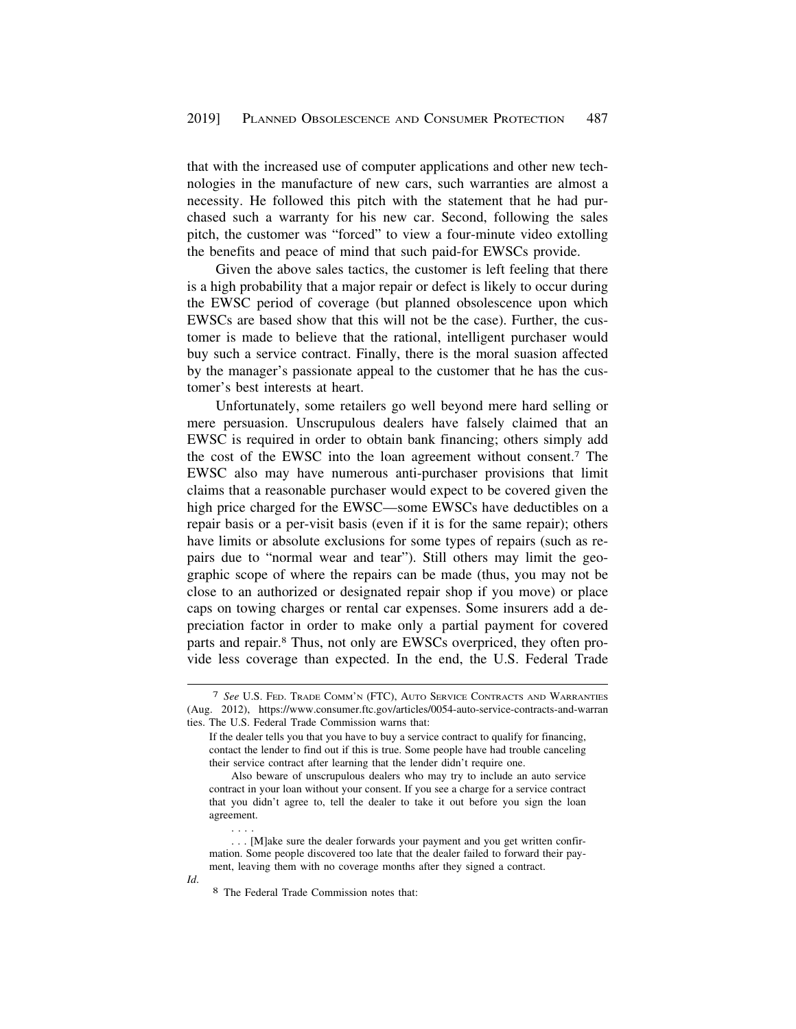that with the increased use of computer applications and other new technologies in the manufacture of new cars, such warranties are almost a necessity. He followed this pitch with the statement that he had purchased such a warranty for his new car. Second, following the sales pitch, the customer was "forced" to view a four-minute video extolling the benefits and peace of mind that such paid-for EWSCs provide.

Given the above sales tactics, the customer is left feeling that there is a high probability that a major repair or defect is likely to occur during the EWSC period of coverage (but planned obsolescence upon which EWSCs are based show that this will not be the case). Further, the customer is made to believe that the rational, intelligent purchaser would buy such a service contract. Finally, there is the moral suasion affected by the manager's passionate appeal to the customer that he has the customer's best interests at heart.

Unfortunately, some retailers go well beyond mere hard selling or mere persuasion. Unscrupulous dealers have falsely claimed that an EWSC is required in order to obtain bank financing; others simply add the cost of the EWSC into the loan agreement without consent.7 The EWSC also may have numerous anti-purchaser provisions that limit claims that a reasonable purchaser would expect to be covered given the high price charged for the EWSC—some EWSCs have deductibles on a repair basis or a per-visit basis (even if it is for the same repair); others have limits or absolute exclusions for some types of repairs (such as repairs due to "normal wear and tear"). Still others may limit the geographic scope of where the repairs can be made (thus, you may not be close to an authorized or designated repair shop if you move) or place caps on towing charges or rental car expenses. Some insurers add a depreciation factor in order to make only a partial payment for covered parts and repair.8 Thus, not only are EWSCs overpriced, they often provide less coverage than expected. In the end, the U.S. Federal Trade

. . . .

<sup>7</sup> *See* U.S. FED. TRADE COMM'N (FTC), AUTO SERVICE CONTRACTS AND WARRANTIES (Aug. 2012), <https://www.consumer.ftc.gov/articles/0054-auto-service-contracts-and-warran> ties. The U.S. Federal Trade Commission warns that:

If the dealer tells you that you have to buy a service contract to qualify for financing, contact the lender to find out if this is true. Some people have had trouble canceling their service contract after learning that the lender didn't require one.

Also beware of unscrupulous dealers who may try to include an auto service contract in your loan without your consent. If you see a charge for a service contract that you didn't agree to, tell the dealer to take it out before you sign the loan agreement.

<sup>. . . [</sup>M]ake sure the dealer forwards your payment and you get written confirmation. Some people discovered too late that the dealer failed to forward their payment, leaving them with no coverage months after they signed a contract.

*Id.* 8 The Federal Trade Commission notes that: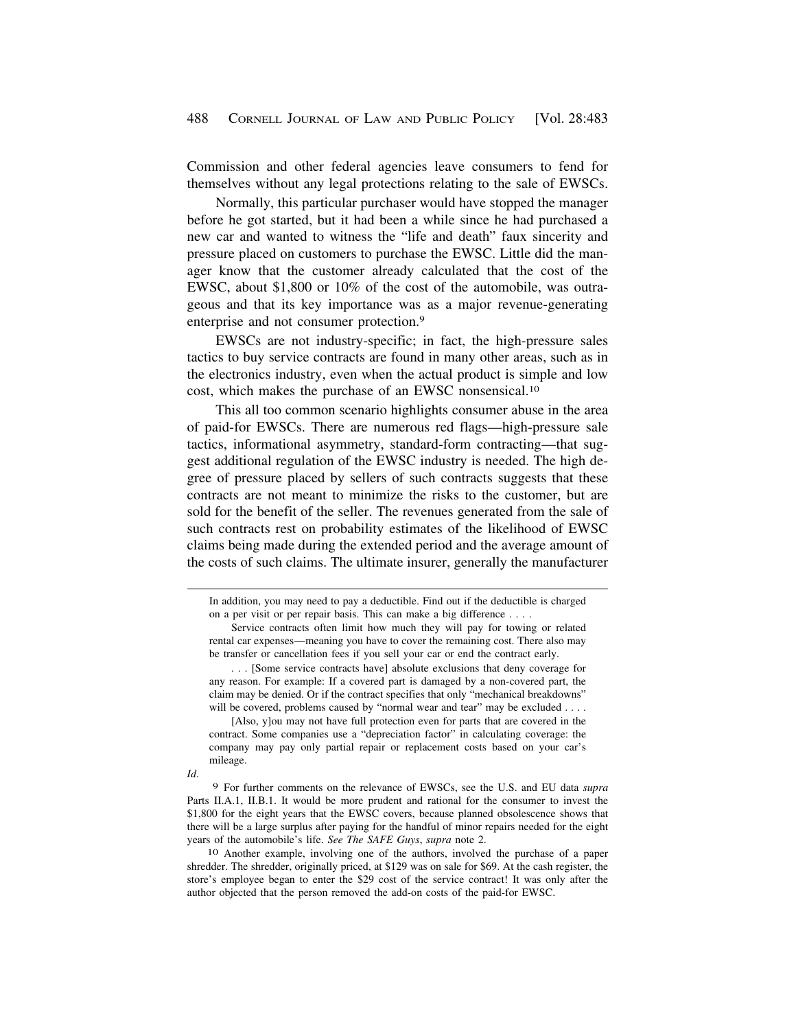Commission and other federal agencies leave consumers to fend for themselves without any legal protections relating to the sale of EWSCs.

Normally, this particular purchaser would have stopped the manager before he got started, but it had been a while since he had purchased a new car and wanted to witness the "life and death" faux sincerity and pressure placed on customers to purchase the EWSC. Little did the manager know that the customer already calculated that the cost of the EWSC, about \$1,800 or 10% of the cost of the automobile, was outrageous and that its key importance was as a major revenue-generating enterprise and not consumer protection.9

EWSCs are not industry-specific; in fact, the high-pressure sales tactics to buy service contracts are found in many other areas, such as in the electronics industry, even when the actual product is simple and low cost, which makes the purchase of an EWSC [nonsensical.10](https://nonsensical.10) 

This all too common scenario highlights consumer abuse in the area of paid-for EWSCs. There are numerous red flags—high-pressure sale tactics, informational asymmetry, standard-form contracting—that suggest additional regulation of the EWSC industry is needed. The high degree of pressure placed by sellers of such contracts suggests that these contracts are not meant to minimize the risks to the customer, but are sold for the benefit of the seller. The revenues generated from the sale of such contracts rest on probability estimates of the likelihood of EWSC claims being made during the extended period and the average amount of the costs of such claims. The ultimate insurer, generally the manufacturer

[Also, y]ou may not have full protection even for parts that are covered in the contract. Some companies use a "depreciation factor" in calculating coverage: the company may pay only partial repair or replacement costs based on your car's mileage.

*Id*.

9 For further comments on the relevance of EWSCs, see the U.S. and EU data *supra*  Parts II.A.1, II.B.1. It would be more prudent and rational for the consumer to invest the \$1,800 for the eight years that the EWSC covers, because planned obsolescence shows that there will be a large surplus after paying for the handful of minor repairs needed for the eight years of the automobile's life. *See The SAFE Guys*, *supra* note 2.

10 Another example, involving one of the authors, involved the purchase of a paper shredder. The shredder, originally priced, at \$129 was on sale for \$69. At the cash register, the store's employee began to enter the \$29 cost of the service contract! It was only after the author objected that the person removed the add-on costs of the paid-for EWSC.

In addition, you may need to pay a deductible. Find out if the deductible is charged on a per visit or per repair basis. This can make a big difference . . . .

Service contracts often limit how much they will pay for towing or related rental car expenses—meaning you have to cover the remaining cost. There also may be transfer or cancellation fees if you sell your car or end the contract early.

<sup>. . . [</sup>Some service contracts have] absolute exclusions that deny coverage for any reason. For example: If a covered part is damaged by a non-covered part, the claim may be denied. Or if the contract specifies that only "mechanical breakdowns" will be covered, problems caused by "normal wear and tear" may be excluded . . . .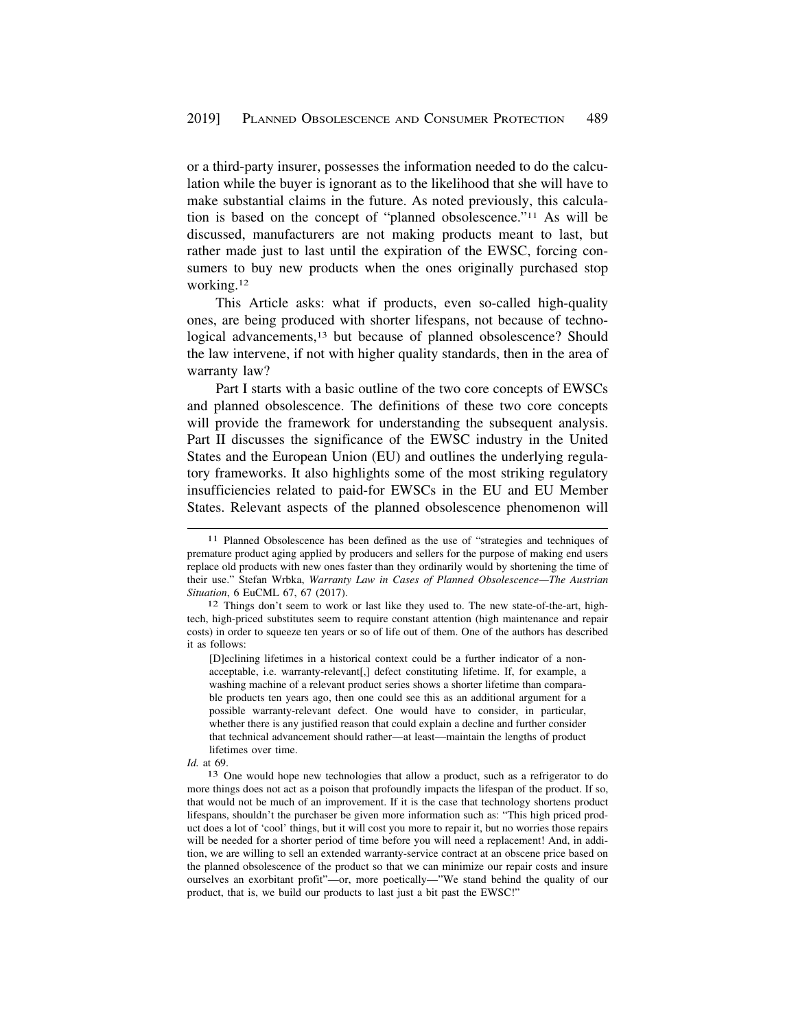or a third-party insurer, possesses the information needed to do the calculation while the buyer is ignorant as to the likelihood that she will have to make substantial claims in the future. As noted previously, this calculation is based on the concept of "planned obsolescence."11 As will be discussed, manufacturers are not making products meant to last, but rather made just to last until the expiration of the EWSC, forcing consumers to buy new products when the ones originally purchased stop [working.12](https://working.12)

This Article asks: what if products, even so-called high-quality ones, are being produced with shorter lifespans, not because of technological advancements,<sup>13</sup> but because of planned obsolescence? Should the law intervene, if not with higher quality standards, then in the area of warranty law?

Part I starts with a basic outline of the two core concepts of EWSCs and planned obsolescence. The definitions of these two core concepts will provide the framework for understanding the subsequent analysis. Part II discusses the significance of the EWSC industry in the United States and the European Union (EU) and outlines the underlying regulatory frameworks. It also highlights some of the most striking regulatory insufficiencies related to paid-for EWSCs in the EU and EU Member States. Relevant aspects of the planned obsolescence phenomenon will

[D]eclining lifetimes in a historical context could be a further indicator of a nonacceptable, i.e. warranty-relevant[,] defect constituting lifetime. If, for example, a washing machine of a relevant product series shows a shorter lifetime than comparable products ten years ago, then one could see this as an additional argument for a possible warranty-relevant defect. One would have to consider, in particular, whether there is any justified reason that could explain a decline and further consider that technical advancement should rather—at least—maintain the lengths of product lifetimes over time.

<sup>11</sup> Planned Obsolescence has been defined as the use of "strategies and techniques of premature product aging applied by producers and sellers for the purpose of making end users replace old products with new ones faster than they ordinarily would by shortening the time of their use." Stefan Wrbka, *Warranty Law in Cases of Planned Obsolescence—The Austrian Situation*, 6 EuCML 67, 67 (2017).<br><sup>12</sup> Things don't seem to work or last like they used to. The new state-of-the-art, high-

tech, high-priced substitutes seem to require constant attention (high maintenance and repair costs) in order to squeeze ten years or so of life out of them. One of the authors has described it as follows:

*Id.* at 69.

<sup>13</sup> One would hope new technologies that allow a product, such as a refrigerator to do more things does not act as a poison that profoundly impacts the lifespan of the product. If so, that would not be much of an improvement. If it is the case that technology shortens product lifespans, shouldn't the purchaser be given more information such as: "This high priced product does a lot of 'cool' things, but it will cost you more to repair it, but no worries those repairs will be needed for a shorter period of time before you will need a replacement! And, in addition, we are willing to sell an extended warranty-service contract at an obscene price based on the planned obsolescence of the product so that we can minimize our repair costs and insure ourselves an exorbitant profit"—or, more poetically—"We stand behind the quality of our product, that is, we build our products to last just a bit past the EWSC!"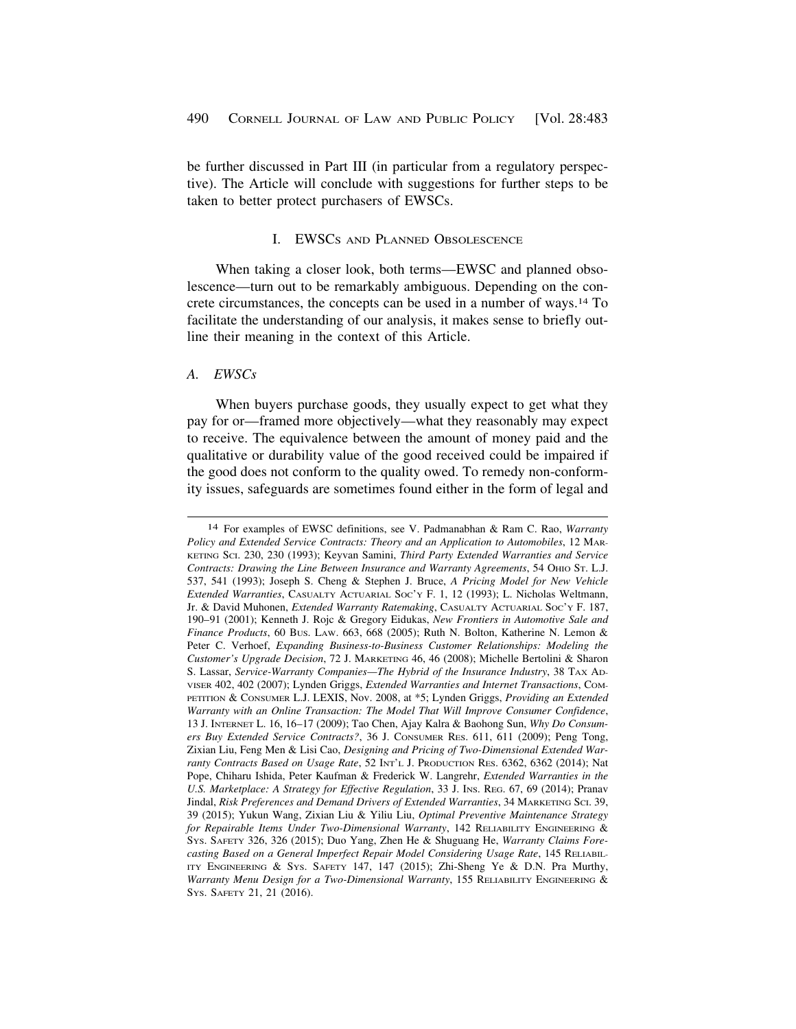<span id="page-7-0"></span>be further discussed in Part III (in particular from a regulatory perspective). The Article will conclude with suggestions for further steps to be taken to better protect purchasers of EWSCs.

## I. EWSCS AND PLANNED OBSOLESCENCE

When taking a closer look, both terms—EWSC and planned obsolescence—turn out to be remarkably ambiguous. Depending on the concrete circumstances, the concepts can be used in a number of ways.14 To facilitate the understanding of our analysis, it makes sense to briefly outline their meaning in the context of this Article.

#### *A. EWSCs*

When buyers purchase goods, they usually expect to get what they pay for or—framed more objectively—what they reasonably may expect to receive. The equivalence between the amount of money paid and the qualitative or durability value of the good received could be impaired if the good does not conform to the quality owed. To remedy non-conformity issues, safeguards are sometimes found either in the form of legal and

<sup>14</sup> For examples of EWSC definitions, see V. Padmanabhan & Ram C. Rao, *Warranty Policy and Extended Service Contracts: Theory and an Application to Automobiles*, 12 MAR-KETING SCI. 230, 230 (1993); Keyvan Samini, *Third Party Extended Warranties and Service Contracts: Drawing the Line Between Insurance and Warranty Agreements*, 54 OHIO ST. L.J. 537, 541 (1993); Joseph S. Cheng & Stephen J. Bruce, *A Pricing Model for New Vehicle Extended Warranties*, CASUALTY ACTUARIAL SOC'Y F. 1, 12 (1993); L. Nicholas Weltmann, Jr. & David Muhonen, *Extended Warranty Ratemaking*, CASUALTY ACTUARIAL SOC'Y F. 187, 190–91 (2001); Kenneth J. Rojc & Gregory Eidukas, *New Frontiers in Automotive Sale and Finance Products*, 60 BUS. LAW. 663, 668 (2005); Ruth N. Bolton, Katherine N. Lemon & Peter C. Verhoef, *Expanding Business-to-Business Customer Relationships: Modeling the Customer's Upgrade Decision*, 72 J. MARKETING 46, 46 (2008); Michelle Bertolini & Sharon S. Lassar, *Service-Warranty Companies—The Hybrid of the Insurance Industry*, 38 TAX AD-VISER 402, 402 (2007); Lynden Griggs, *Extended Warranties and Internet Transactions*, COM-PETITION & CONSUMER L.J. LEXIS, Nov. 2008, at \*5; Lynden Griggs, *Providing an Extended Warranty with an Online Transaction: The Model That Will Improve Consumer Confidence*, 13 J. INTERNET L. 16, 16–17 (2009); Tao Chen, Ajay Kalra & Baohong Sun, *Why Do Consumers Buy Extended Service Contracts?*, 36 J. CONSUMER RES. 611, 611 (2009); Peng Tong, Zixian Liu, Feng Men & Lisi Cao, *Designing and Pricing of Two-Dimensional Extended Warranty Contracts Based on Usage Rate*, 52 INT'L J. PRODUCTION RES. 6362, 6362 (2014); Nat Pope, Chiharu Ishida, Peter Kaufman & Frederick W. Langrehr, *Extended Warranties in the U.S. Marketplace: A Strategy for Effective Regulation*, 33 J. INS. REG. 67, 69 (2014); Pranav Jindal, *Risk Preferences and Demand Drivers of Extended Warranties*, 34 MARKETING SCI. 39, 39 (2015); Yukun Wang, Zixian Liu & Yiliu Liu, *Optimal Preventive Maintenance Strategy for Repairable Items Under Two-Dimensional Warranty*, 142 RELIABILITY ENGINEERING & SYS. SAFETY 326, 326 (2015); Duo Yang, Zhen He & Shuguang He, *Warranty Claims Forecasting Based on a General Imperfect Repair Model Considering Usage Rate*, 145 RELIABIL-ITY ENGINEERING & SYS. SAFETY 147, 147 (2015); Zhi-Sheng Ye & D.N. Pra Murthy, *Warranty Menu Design for a Two-Dimensional Warranty*, 155 RELIABILITY ENGINEERING & SYS. SAFETY 21, 21 (2016).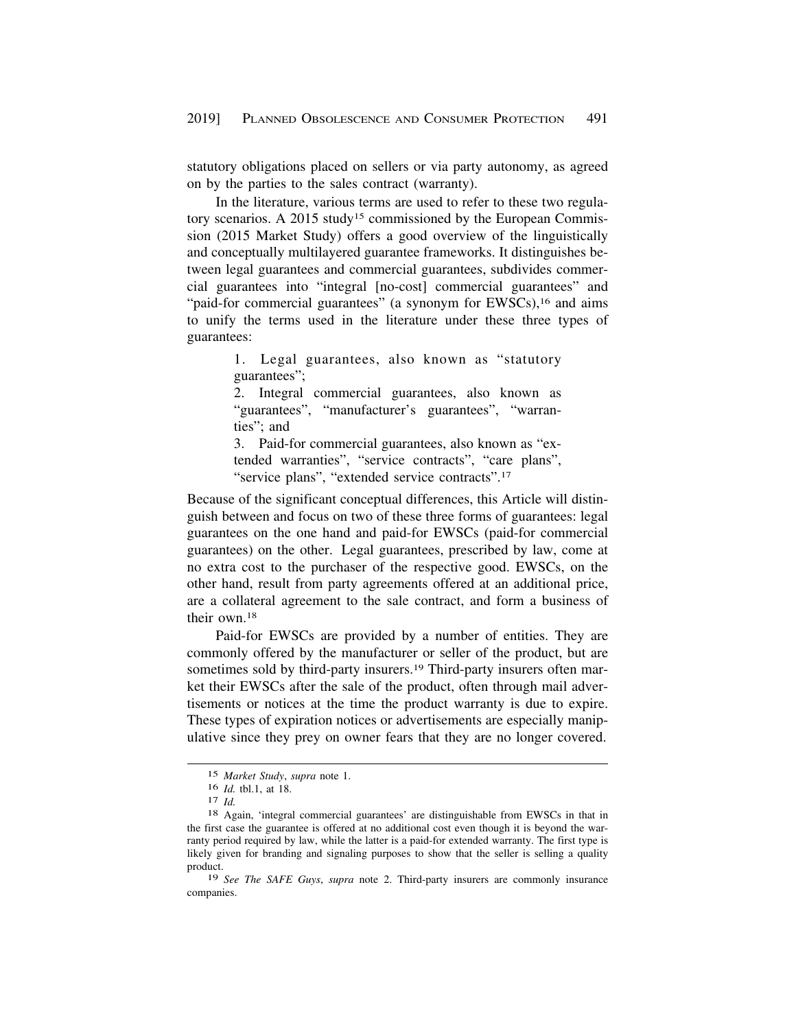statutory obligations placed on sellers or via party autonomy, as agreed on by the parties to the sales contract (warranty).

In the literature, various terms are used to refer to these two regulatory scenarios. A 2015 study<sup>15</sup> commissioned by the European Commission (2015 Market Study) offers a good overview of the linguistically and conceptually multilayered guarantee frameworks. It distinguishes between legal guarantees and commercial guarantees, subdivides commercial guarantees into "integral [no-cost] commercial guarantees" and "paid-for commercial guarantees" (a synonym for EWSCs),<sup>16</sup> and aims to unify the terms used in the literature under these three types of guarantees:

> 1. Legal guarantees, also known as "statutory guarantees";

> 2. Integral commercial guarantees, also known as "guarantees", "manufacturer's guarantees", "warranties"; and

> 3. Paid-for commercial guarantees, also known as "extended warranties", "service contracts", "care plans", "service plans", "extended service contracts".<sup>17</sup>

Because of the significant conceptual differences, this Article will distinguish between and focus on two of these three forms of guarantees: legal guarantees on the one hand and paid-for EWSCs (paid-for commercial guarantees) on the other. Legal guarantees, prescribed by law, come at no extra cost to the purchaser of the respective good. EWSCs, on the other hand, result from party agreements offered at an additional price, are a collateral agreement to the sale contract, and form a business of their own.18

Paid-for EWSCs are provided by a number of entities. They are commonly offered by the manufacturer or seller of the product, but are sometimes sold by third-party insurers.<sup>19</sup> Third-party insurers often market their EWSCs after the sale of the product, often through mail advertisements or notices at the time the product warranty is due to expire. These types of expiration notices or advertisements are especially manipulative since they prey on owner fears that they are no longer covered.

<sup>15</sup> *Market Study*, *supra* note 1.

<sup>16</sup> *Id.* tbl.1, at 18.<br><sup>17</sup> *Id.* 2011. <sup>17</sup> *Id.* 18 Again, 'integral commercial guarantees' are distinguishable from EWSCs in that in the first case the guarantee is offered at no additional cost even though it is beyond the warranty period required by law, while the latter is a paid-for extended warranty. The first type is likely given for branding and signaling purposes to show that the seller is selling a quality product.

<sup>19</sup> *See The SAFE Guys*, *supra* note 2. Third-party insurers are commonly insurance companies.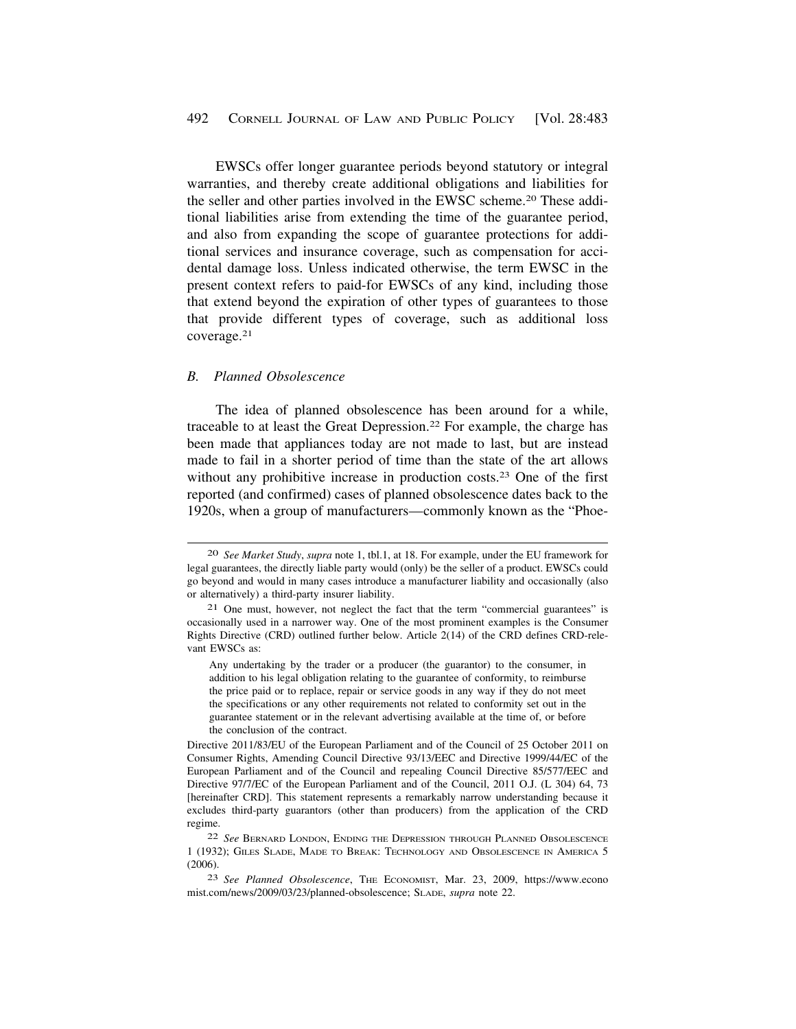<span id="page-9-0"></span>EWSCs offer longer guarantee periods beyond statutory or integral warranties, and thereby create additional obligations and liabilities for the seller and other parties involved in the EWSC [scheme.20](https://scheme.20) These additional liabilities arise from extending the time of the guarantee period, and also from expanding the scope of guarantee protections for additional services and insurance coverage, such as compensation for accidental damage loss. Unless indicated otherwise, the term EWSC in the present context refers to paid-for EWSCs of any kind, including those that extend beyond the expiration of other types of guarantees to those that provide different types of coverage, such as additional loss [coverage.21](https://coverage.21)

#### *B. Planned Obsolescence*

The idea of planned obsolescence has been around for a while, traceable to at least the Great [Depression.22](https://Depression.22) For example, the charge has been made that appliances today are not made to last, but are instead made to fail in a shorter period of time than the state of the art allows without any prohibitive increase in production costs.<sup>23</sup> One of the first reported (and confirmed) cases of planned obsolescence dates back to the 1920s, when a group of manufacturers—commonly known as the "Phoe-

<sup>20</sup> *See Market Study*, *supra* note 1, tbl.1, at 18. For example, under the EU framework for legal guarantees, the directly liable party would (only) be the seller of a product. EWSCs could go beyond and would in many cases introduce a manufacturer liability and occasionally (also or alternatively) a third-party insurer liability.

<sup>21</sup> One must, however, not neglect the fact that the term "commercial guarantees" is occasionally used in a narrower way. One of the most prominent examples is the Consumer Rights Directive (CRD) outlined further below. Article 2(14) of the CRD defines CRD-relevant EWSCs as:

Any undertaking by the trader or a producer (the guarantor) to the consumer, in addition to his legal obligation relating to the guarantee of conformity, to reimburse the price paid or to replace, repair or service goods in any way if they do not meet the specifications or any other requirements not related to conformity set out in the guarantee statement or in the relevant advertising available at the time of, or before the conclusion of the contract.

Directive 2011/83/EU of the European Parliament and of the Council of 25 October 2011 on Consumer Rights, Amending Council Directive 93/13/EEC and Directive 1999/44/EC of the European Parliament and of the Council and repealing Council Directive 85/577/EEC and Directive 97/7/EC of the European Parliament and of the Council, 2011 O.J. (L 304) 64, 73 [hereinafter CRD]. This statement represents a remarkably narrow understanding because it excludes third-party guarantors (other than producers) from the application of the CRD regime.

<sup>22</sup> *See* BERNARD LONDON, ENDING THE DEPRESSION THROUGH PLANNED OBSOLESCENCE 1 (1932); GILES SLADE, MADE TO BREAK: TECHNOLOGY AND OBSOLESCENCE IN AMERICA 5 (2006).

<sup>23</sup> *See Planned Obsolescence*, THE ECONOMIST, Mar. 23, 2009, <https://www.econo> [mist.com/news/2009/03/23/planned-obsolescence](https://mist.com/news/2009/03/23/planned-obsolescence); SLADE, *supra* note 22.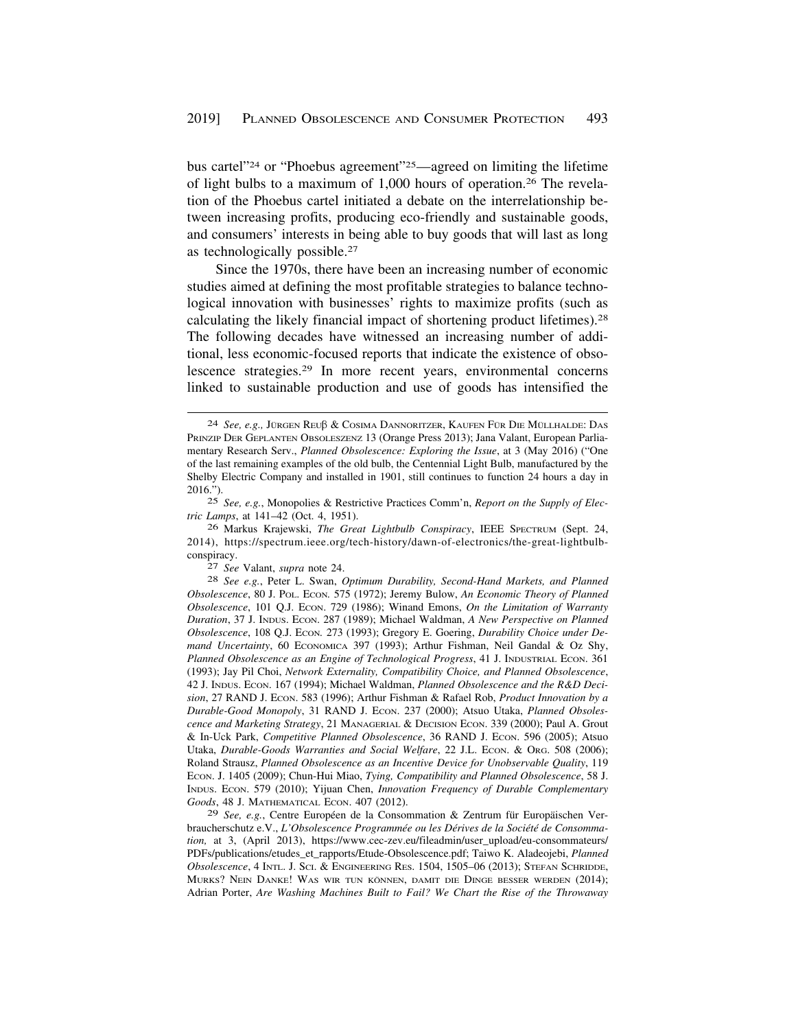bus cartel"24 or "Phoebus agreement"25—agreed on limiting the lifetime of light bulbs to a maximum of 1,000 hours of [operation.26](https://operation.26) The revelation of the Phoebus cartel initiated a debate on the interrelationship between increasing profits, producing eco-friendly and sustainable goods, and consumers' interests in being able to buy goods that will last as long as technologically [possible.27](https://possible.27) 

Since the 1970s, there have been an increasing number of economic studies aimed at defining the most profitable strategies to balance technological innovation with businesses' rights to maximize profits (such as calculating the likely financial impact of shortening product [lifetimes\).28](https://lifetimes).28)  The following decades have witnessed an increasing number of additional, less economic-focused reports that indicate the existence of obsolescence [strategies.29](https://strategies.29) In more recent years, environmental concerns linked to sustainable production and use of goods has intensified the

<sup>24</sup> *See, e.g., Jürgen Reuß & Cosima Dannoritzer*, Kaufen Für Die Müllhalde: Das PRINZIP DER GEPLANTEN OBSOLESZENZ 13 (Orange Press 2013); Jana Valant, European Parliamentary Research Serv., *Planned Obsolescence: Exploring the Issue*, at 3 (May 2016) ("One of the last remaining examples of the old bulb, the Centennial Light Bulb, manufactured by the Shelby Electric Company and installed in 1901, still continues to function 24 hours a day in 2016.").

<sup>25</sup> *See, e.g.*, Monopolies & Restrictive Practices Comm'n, *Report on the Supply of Electric Lamps*, at 141–42 (Oct. 4, 1951).

<sup>26</sup> Markus Krajewski, *The Great Lightbulb Conspiracy*, IEEE SPECTRUM (Sept. 24, 2014), <https://spectrum.ieee.org/tech-history/dawn-of-electronics/the-great-lightbulb>conspiracy. 27 *See* Valant, *supra* note 24. 28 *See e.g.*, Peter L. Swan, *Optimum Durability, Second-Hand Markets, and Planned* 

*Obsolescence*, 80 J. POL. ECON*.* 575 (1972); Jeremy Bulow, *An Economic Theory of Planned Obsolescence*, 101 Q.J. ECON. 729 (1986); Winand Emons, *On the Limitation of Warranty Duration*, 37 J. INDUS. ECON. 287 (1989); Michael Waldman, *A New Perspective on Planned Obsolescence*, 108 Q.J. ECON*.* 273 (1993); Gregory E. Goering, *Durability Choice under Demand Uncertainty*, 60 ECONOMICA 397 (1993); Arthur Fishman, Neil Gandal & Oz Shy, *Planned Obsolescence as an Engine of Technological Progress*, 41 J. INDUSTRIAL ECON. 361 (1993); Jay Pil Choi, *Network Externality, Compatibility Choice, and Planned Obsolescence*, 42 J. INDUS. ECON. 167 (1994); Michael Waldman, *Planned Obsolescence and the R&D Decision*, 27 RAND J. ECON. 583 (1996); Arthur Fishman & Rafael Rob, *Product Innovation by a Durable-Good Monopoly*, 31 RAND J. ECON. 237 (2000); Atsuo Utaka, *Planned Obsolescence and Marketing Strategy*, 21 MANAGERIAL & DECISION ECON. 339 (2000); Paul A. Grout & In-Uck Park, *Competitive Planned Obsolescence*, 36 RAND J. ECON. 596 (2005); Atsuo Utaka, *Durable-Goods Warranties and Social Welfare*, 22 J.L. ECON. & ORG. 508 (2006); Roland Strausz, *Planned Obsolescence as an Incentive Device for Unobservable Quality*, 119 ECON. J. 1405 (2009); Chun-Hui Miao, *Tying, Compatibility and Planned Obsolescence*, 58 J. INDUS. ECON. 579 (2010); Yijuan Chen, *Innovation Frequency of Durable Complementary Goods*, 48 J. MATHEMATICAL ECON. 407 (2012).

<sup>&</sup>lt;sup>29</sup> See, e.g., Centre Européen de la Consommation & Zentrum für Europäischen Verbraucherschutz e.V., *L'Obsolescence Programmée ou les Dérives de la Société de Consommation,* at 3, (April 2013), [https://www.cec-zev.eu/fileadmin/user\\_upload/eu-consommateurs/](https://www.cec-zev.eu/fileadmin/user_upload/eu-consommateurs) PDFs/publications/etudes\_et\_rapports/Etude-Obsolescence.pdf; Taiwo K. Aladeojebi, *Planned Obsolescence*, 4 INTL. J. SCI. & ENGINEERING RES. 1504, 1505–06 (2013); STEFAN SCHRIDDE, MURKS? NEIN DANKE! WAS WIR TUN KÖNNEN, DAMIT DIE DINGE BESSER WERDEN (2014); Adrian Porter, *Are Washing Machines Built to Fail? We Chart the Rise of the Throwaway*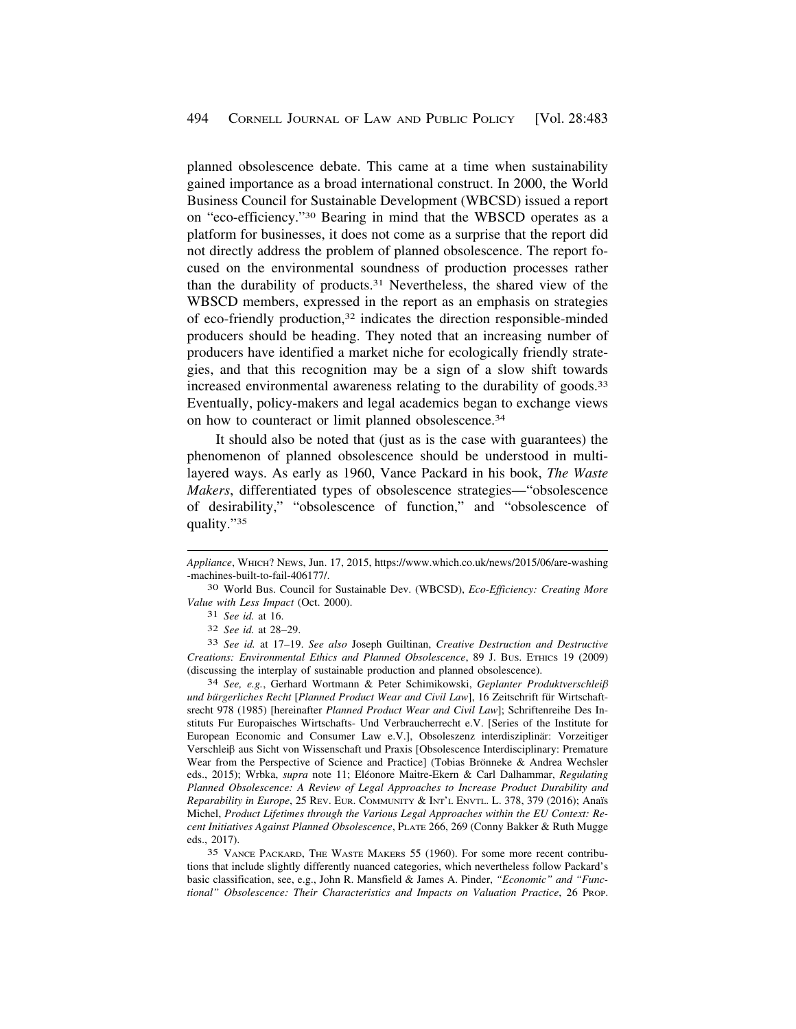planned obsolescence debate. This came at a time when sustainability gained importance as a broad international construct. In 2000, the World Business Council for Sustainable Development (WBCSD) issued a report on "eco-efficiency."30 Bearing in mind that the WBSCD operates as a platform for businesses, it does not come as a surprise that the report did not directly address the problem of planned obsolescence. The report focused on the environmental soundness of production processes rather than the durability of [products.31](https://products.31) Nevertheless, the shared view of the WBSCD members, expressed in the report as an emphasis on strategies of eco-friendly production,32 indicates the direction responsible-minded producers should be heading. They noted that an increasing number of producers have identified a market niche for ecologically friendly strategies, and that this recognition may be a sign of a slow shift towards increased environmental awareness relating to the durability of [goods.33](https://goods.33)  Eventually, policy-makers and legal academics began to exchange views on how to counteract or limit planned [obsolescence.34](https://obsolescence.34) 

It should also be noted that (just as is the case with guarantees) the phenomenon of planned obsolescence should be understood in multilayered ways. As early as 1960, Vance Packard in his book, *The Waste Makers*, differentiated types of obsolescence strategies—"obsolescence of desirability," "obsolescence of function," and "obsolescence of quality."35

33 *See id.* at 17–19. *See also* Joseph Guiltinan, *Creative Destruction and Destructive Creations: Environmental Ethics and Planned Obsolescence*, 89 J. BUS. ETHICS 19 (2009) (discussing the interplay of sustainable production and planned obsolescence).

34 *See, e.g.*, Gerhard Wortmann & Peter Schimikowski, *Geplanter Produktverschlei*b und bürgerliches Recht [Planned Product Wear and Civil Law], 16 Zeitschrift für Wirtschaftsrecht 978 (1985) [hereinafter *Planned Product Wear and Civil Law*]; Schriftenreihe Des Instituts Fur Europaisches Wirtschafts- Und Verbraucherrecht e.V. [Series of the Institute for European Economic and Consumer Law e.V.], Obsoleszenz interdisziplinär: Vorzeitiger Verschleiß aus Sicht von Wissenschaft und Praxis [Obsolescence Interdisciplinary: Premature Wear from the Perspective of Science and Practice] (Tobias Brönneke  $\&$  Andrea Wechsler eds., 2015); Wrbka, *supra* note 11; Eléonore Maitre-Ekern & Carl Dalhammar, Regulating *Planned Obsolescence: A Review of Legal Approaches to Increase Product Durability and Reparability in Europe*, 25 REV. EUR. COMMUNITY & INT'L ENVTL. L. 378, 379 (2016); Ana¨ıs Michel, *Product Lifetimes through the Various Legal Approaches within the EU Context: Recent Initiatives Against Planned Obsolescence*, PLATE 266, 269 (Conny Bakker & Ruth Mugge eds., 2017).

35 VANCE PACKARD, THE WASTE MAKERS 55 (1960). For some more recent contributions that include slightly differently nuanced categories, which nevertheless follow Packard's basic classification, see, e.g., John R. Mansfield & James A. Pinder, *"Economic" and "Functional" Obsolescence: Their Characteristics and Impacts on Valuation Practice*, 26 PROP.

*Appliance*, WHICH? NEWS, Jun. 17, 2015,<https://www.which.co.uk/news/2015/06/are-washing> -machines-built-to-fail-406177/.

<sup>30</sup> World Bus. Council for Sustainable Dev. (WBCSD), *Eco-Efficiency: Creating More Value with Less Impact* (Oct. 2000).

<sup>31</sup> *See id.* at 16.

<sup>32</sup> *See id.* at 28–29.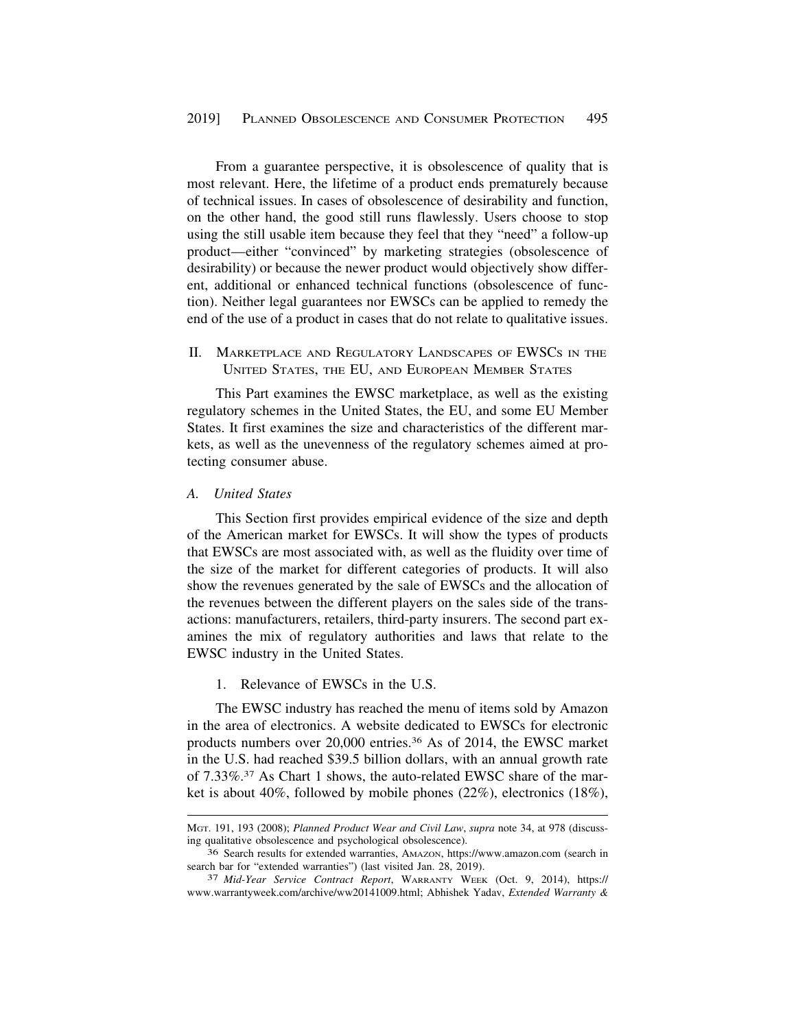<span id="page-12-0"></span>From a guarantee perspective, it is obsolescence of quality that is most relevant. Here, the lifetime of a product ends prematurely because of technical issues. In cases of obsolescence of desirability and function, on the other hand, the good still runs flawlessly. Users choose to stop using the still usable item because they feel that they "need" a follow-up product—either "convinced" by marketing strategies (obsolescence of desirability) or because the newer product would objectively show different, additional or enhanced technical functions (obsolescence of function). Neither legal guarantees nor EWSCs can be applied to remedy the end of the use of a product in cases that do not relate to qualitative issues.

## II. MARKETPLACE AND REGULATORY LANDSCAPES OF EWSCS IN THE UNITED STATES, THE EU, AND EUROPEAN MEMBER STATES

This Part examines the EWSC marketplace, as well as the existing regulatory schemes in the United States, the EU, and some EU Member States. It first examines the size and characteristics of the different markets, as well as the unevenness of the regulatory schemes aimed at protecting consumer abuse.

## *A. United States*

This Section first provides empirical evidence of the size and depth of the American market for EWSCs. It will show the types of products that EWSCs are most associated with, as well as the fluidity over time of the size of the market for different categories of products. It will also show the revenues generated by the sale of EWSCs and the allocation of the revenues between the different players on the sales side of the transactions: manufacturers, retailers, third-party insurers. The second part examines the mix of regulatory authorities and laws that relate to the EWSC industry in the United States.

## 1. Relevance of EWSCs in the U.S.

The EWSC industry has reached the menu of items sold by Amazon in the area of electronics. A website dedicated to EWSCs for electronic products numbers over 20,000 [entries.36](https://entries.36) As of 2014, the EWSC market in the U.S. had reached \$39.5 billion dollars, with an annual growth rate of [7.33%.37](https://7.33%.37) As Chart 1 shows, the auto-related EWSC share of the market is about 40%, followed by mobile phones (22%), electronics (18%),

MGT. 191, 193 (2008); *Planned Product Wear and Civil Law*, *supra* note 34, at 978 (discussing qualitative obsolescence and psychological obsolescence).

<sup>36</sup> Search results for extended warranties, AMAZON, <https://www.amazon.com>(search in search bar for "extended warranties") (last visited Jan. 28, 2019). 37 *Mid-Year Service Contract Report*, WARRANTY WEEK (Oct. 9, 2014), https://

<www.warrantyweek.com/archive/ww20141009.html>; Abhishek Yadav, *Extended Warranty &*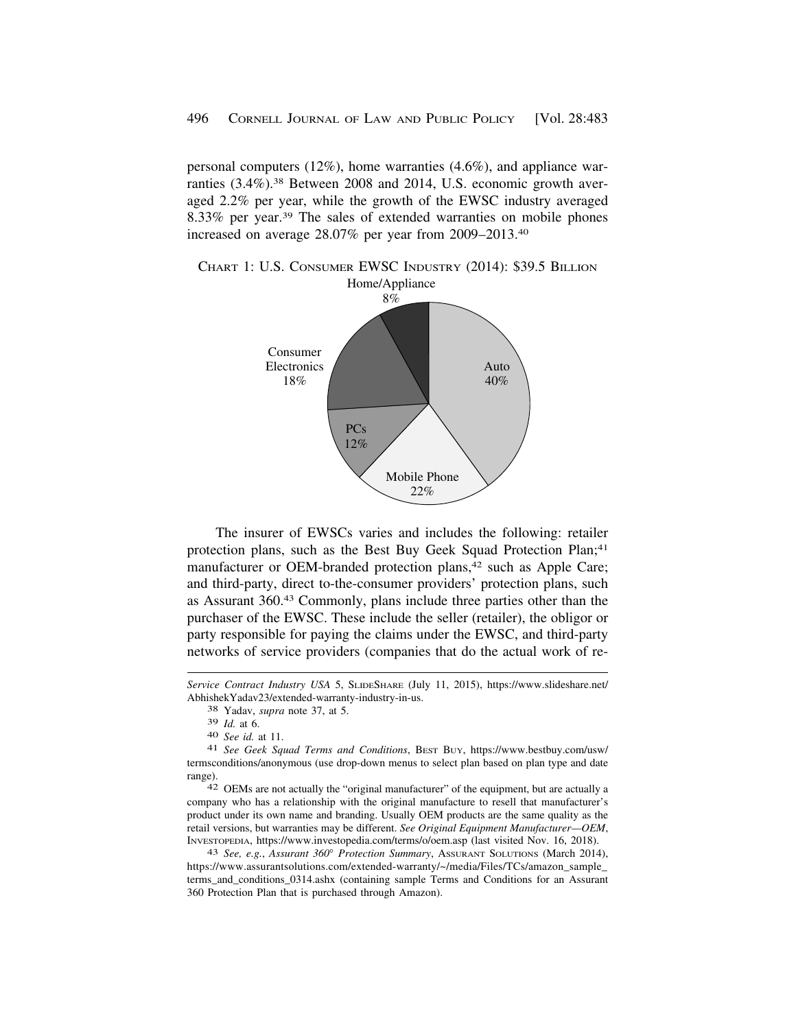personal computers  $(12\%)$ , home warranties  $(4.6\%)$ , and appliance warranties (3.4%).<sup>38</sup> Between 2008 and 2014, U.S. economic growth averaged 2.2% per year, while the growth of the EWSC industry averaged 8.33% per year.39 The sales of extended warranties on mobile phones increased on average 28.07% per year from [2009–2013.40](https://2009�2013.40) 

Home/Appliance CHART 1: U.S. CONSUMER EWSC INDUSTRY (2014): \$39.5 BILLION



The insurer of EWSCs varies and includes the following: retailer protection plans, such as the Best Buy Geek Squad Protection Plan;<sup>41</sup> manufacturer or OEM-branded protection plans,<sup>42</sup> such as Apple Care; and third-party, direct to-the-consumer providers' protection plans, such as Assurant 360.43 Commonly, plans include three parties other than the purchaser of the EWSC. These include the seller (retailer), the obligor or party responsible for paying the claims under the EWSC, and third-party networks of service providers (companies that do the actual work of re-

*Service Contract Industry USA* 5, SLIDESHARE (July 11, 2015), [https://www.slideshare.net/](https://www.slideshare.net) AbhishekYadav23/extended-warranty-industry-in-us. 38 Yadav, *supra* note 37, at 5.

<sup>39</sup>*Id.* at 6. 40 *See id.* at 11. 41 *See Geek Squad Terms and Conditions*, BEST BUY, [https://www.bestbuy.com/usw/](https://www.bestbuy.com/usw) termsconditions/anonymous (use drop-down menus to select plan based on plan type and date range). 42 OEMs are not actually the "original manufacturer" of the equipment, but are actually a

company who has a relationship with the original manufacture to resell that manufacturer's product under its own name and branding. Usually OEM products are the same quality as the retail versions, but warranties may be different. *See Original Equipment Manufacturer—OEM*, INVESTOPEDIA, <https://www.investopedia.com/terms/o/oem.asp>(last visited Nov. 16, 2018). 43 *See, e.g.*, *Assurant 360*° *Protection Summary*, ASSURANT SOLUTIONS (March 2014),

[https://www.assurantsolutions.com/extended-warranty/~/media/Files/TCs/amazon\\_sample](https://www.assurantsolutions.com/extended-warranty/~/media/Files/TCs/amazon_sample)\_ terms\_and\_conditions\_0314.ashx (containing sample Terms and Conditions for an Assurant 360 Protection Plan that is purchased through Amazon).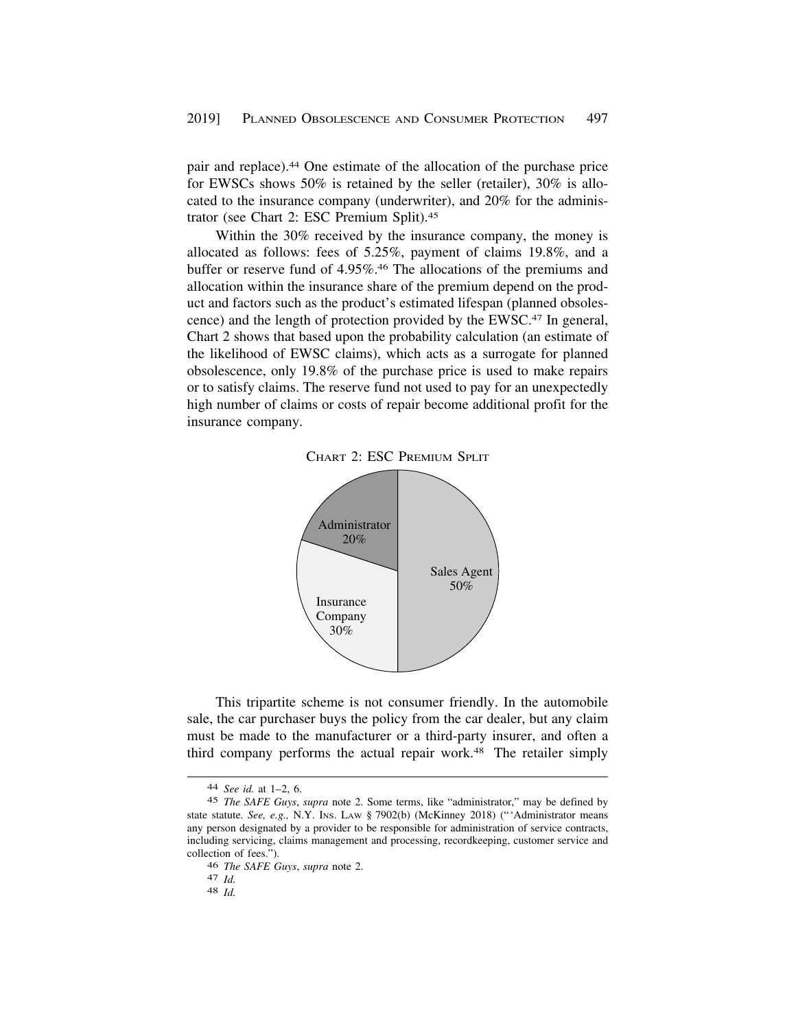pair and [replace\).44](https://replace).44) One estimate of the allocation of the purchase price for EWSCs shows 50% is retained by the seller (retailer), 30% is allocated to the insurance company (underwriter), and 20% for the administrator (see Chart 2: ESC Premium [Split\).45](https://Split).45)

Within the 30% received by the insurance company, the money is allocated as follows: fees of 5.25%, payment of claims 19.8%, and a buffer or reserve fund of [4.95%.46](https://4.95%.46) The allocations of the premiums and allocation within the insurance share of the premium depend on the product and factors such as the product's estimated lifespan (planned obsolescence) and the length of protection provided by the EWSC.47 In general, Chart 2 shows that based upon the probability calculation (an estimate of the likelihood of EWSC claims), which acts as a surrogate for planned obsolescence, only 19.8% of the purchase price is used to make repairs or to satisfy claims. The reserve fund not used to pay for an unexpectedly high number of claims or costs of repair become additional profit for the insurance company.





This tripartite scheme is not consumer friendly. In the automobile sale, the car purchaser buys the policy from the car dealer, but any claim must be made to the manufacturer or a third-party insurer, and often a third company performs the actual repair work.48 The retailer simply

<sup>44</sup> *See id.* at 1–2, 6.

<sup>45</sup> *The SAFE Guys*, *supra* note 2. Some terms, like "administrator," may be defined by state statute. *See, e.g.,* N.Y. INS. LAW § 7902(b) (McKinney 2018) ("'Administrator means any person designated by a provider to be responsible for administration of service contracts, including servicing, claims management and processing, recordkeeping, customer service and collection of fees.").

<sup>46</sup>*The SAFE Guys*, *supra* note 2. 47 *Id.* 48 *Id.*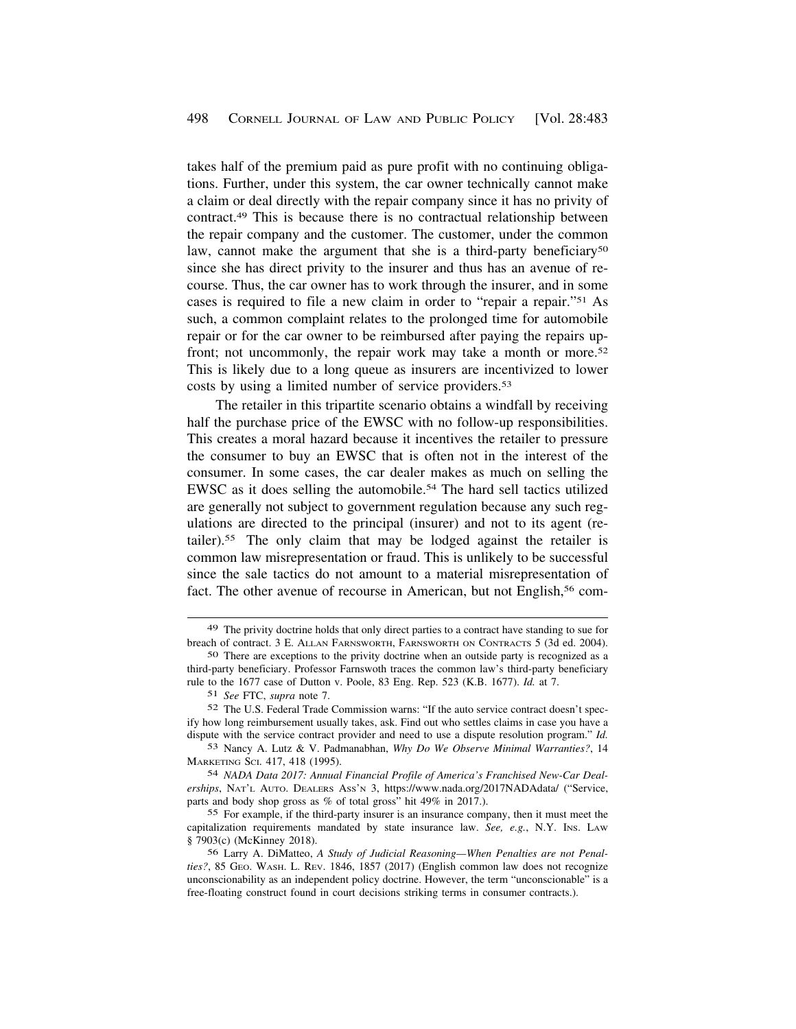takes half of the premium paid as pure profit with no continuing obligations. Further, under this system, the car owner technically cannot make a claim or deal directly with the repair company since it has no privity of [contract.49](https://contract.49) This is because there is no contractual relationship between the repair company and the customer. The customer, under the common law, cannot make the argument that she is a third-party beneficiary<sup>50</sup> since she has direct privity to the insurer and thus has an avenue of recourse. Thus, the car owner has to work through the insurer, and in some cases is required to file a new claim in order to "repair a repair."51 As such, a common complaint relates to the prolonged time for automobile repair or for the car owner to be reimbursed after paying the repairs upfront; not uncommonly, the repair work may take a month or more.<sup>52</sup> This is likely due to a long queue as insurers are incentivized to lower costs by using a limited number of service [providers.53](https://providers.53) 

The retailer in this tripartite scenario obtains a windfall by receiving half the purchase price of the EWSC with no follow-up responsibilities. This creates a moral hazard because it incentives the retailer to pressure the consumer to buy an EWSC that is often not in the interest of the consumer. In some cases, the car dealer makes as much on selling the EWSC as it does selling the [automobile.54](https://automobile.54) The hard sell tactics utilized are generally not subject to government regulation because any such regulations are directed to the principal (insurer) and not to its agent (re[tailer\).55](https://tailer).55) The only claim that may be lodged against the retailer is common law misrepresentation or fraud. This is unlikely to be successful since the sale tactics do not amount to a material misrepresentation of fact. The other avenue of recourse in American, but not English,<sup>56</sup> com-

<sup>49</sup> The privity doctrine holds that only direct parties to a contract have standing to sue for breach of contract. 3 E. ALLAN FARNSWORTH, FARNSWORTH ON CONTRACTS 5 (3d ed. 2004).

<sup>50</sup> There are exceptions to the privity doctrine when an outside party is recognized as a third-party beneficiary. Professor Farnswoth traces the common law's third-party beneficiary rule to the 1677 case of Dutton v. Poole, 83 Eng. Rep. 523 (K.B. 1677). *Id.* at 7.

<sup>51</sup> *See* FTC, *supra* note 7.

<sup>52</sup> The U.S. Federal Trade Commission warns: "If the auto service contract doesn't specify how long reimbursement usually takes, ask. Find out who settles claims in case you have a dispute with the service contract provider and need to use a dispute resolution program." *Id.* 

<sup>53</sup> Nancy A. Lutz & V. Padmanabhan, *Why Do We Observe Minimal Warranties?*, 14 MARKETING SCI. 417, 418 (1995).

<sup>54</sup> *NADA Data 2017: Annual Financial Profile of America's Franchised New-Car Dealerships*, NAT'L AUTO. DEALERS ASS'N 3, [https://www.nada.org/2017NADAdata/](https://www.nada.org/2017NADAdata) ("Service, parts and body shop gross as % of total gross" hit 49% in 2017.).

<sup>55</sup> For example, if the third-party insurer is an insurance company, then it must meet the capitalization requirements mandated by state insurance law. *See, e.g.*, N.Y. INS. LAW § 7903(c) (McKinney 2018).

<sup>56</sup> Larry A. DiMatteo, *A Study of Judicial Reasoning—When Penalties are not Penalties?*, 85 GEO. WASH. L. REV. 1846, 1857 (2017) (English common law does not recognize unconscionability as an independent policy doctrine. However, the term "unconscionable" is a free-floating construct found in court decisions striking terms in consumer contracts.).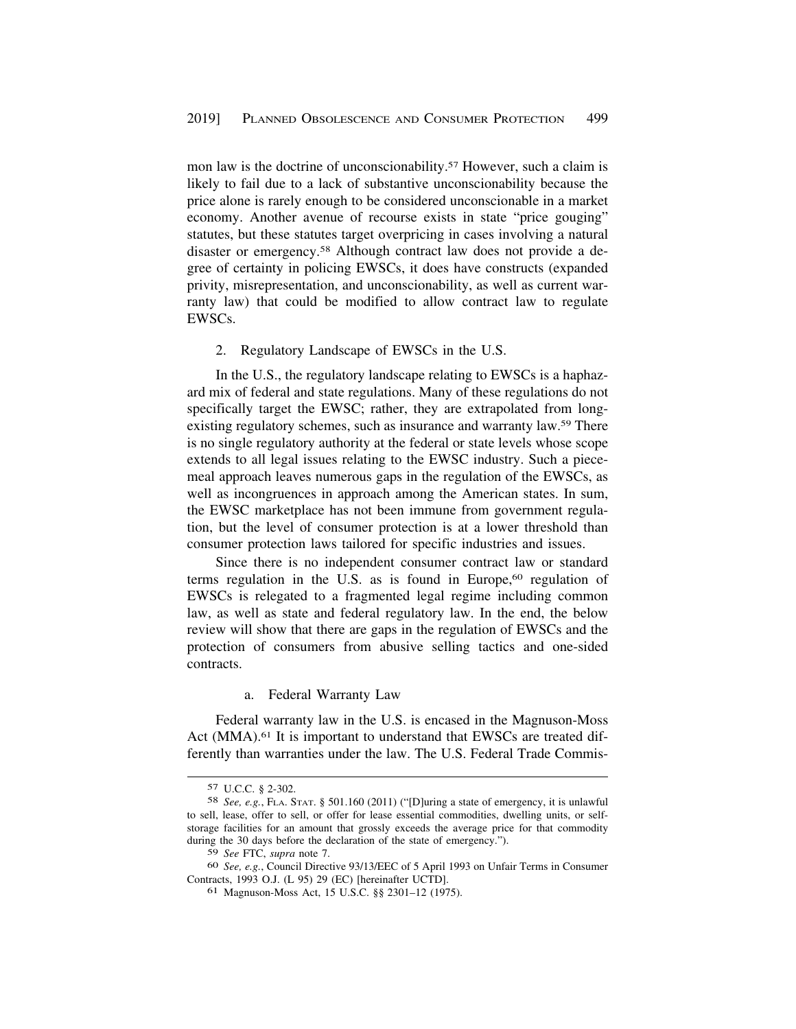<span id="page-16-0"></span>mon law is the doctrine of unconscionability.<sup>57</sup> However, such a claim is likely to fail due to a lack of substantive unconscionability because the price alone is rarely enough to be considered unconscionable in a market economy. Another avenue of recourse exists in state "price gouging" statutes, but these statutes target overpricing in cases involving a natural disaster or [emergency.58](https://emergency.58) Although contract law does not provide a degree of certainty in policing EWSCs, it does have constructs (expanded privity, misrepresentation, and unconscionability, as well as current warranty law) that could be modified to allow contract law to regulate EWSCs.

#### 2. Regulatory Landscape of EWSCs in the U.S.

In the U.S., the regulatory landscape relating to EWSCs is a haphazard mix of federal and state regulations. Many of these regulations do not specifically target the EWSC; rather, they are extrapolated from longexisting regulatory schemes, such as insurance and warranty law.59 There is no single regulatory authority at the federal or state levels whose scope extends to all legal issues relating to the EWSC industry. Such a piecemeal approach leaves numerous gaps in the regulation of the EWSCs, as well as incongruences in approach among the American states. In sum, the EWSC marketplace has not been immune from government regulation, but the level of consumer protection is at a lower threshold than consumer protection laws tailored for specific industries and issues.

Since there is no independent consumer contract law or standard terms regulation in the U.S. as is found in Europe, $60$  regulation of EWSCs is relegated to a fragmented legal regime including common law, as well as state and federal regulatory law. In the end, the below review will show that there are gaps in the regulation of EWSCs and the protection of consumers from abusive selling tactics and one-sided contracts.

#### a. Federal Warranty Law

Federal warranty law in the U.S. is encased in the Magnuson-Moss Act (MMA).<sup>61</sup> It is important to understand that EWSCs are treated differently than warranties under the law. The U.S. Federal Trade Commis-

<sup>57</sup> U.C.C. § 2-302.

<sup>58</sup> *See, e.g.*, FLA. STAT. § 501.160 (2011) ("[D]uring a state of emergency, it is unlawful to sell, lease, offer to sell, or offer for lease essential commodities, dwelling units, or selfstorage facilities for an amount that grossly exceeds the average price for that commodity during the 30 days before the declaration of the state of emergency.").

<sup>59</sup> *See* FTC, *supra* note 7.

<sup>60</sup> *See, e.g.*, Council Directive 93/13/EEC of 5 April 1993 on Unfair Terms in Consumer Contracts, 1993 O.J. (L 95) 29 (EC) [hereinafter UCTD].

<sup>61</sup> Magnuson-Moss Act, 15 U.S.C. §§ 2301–12 (1975).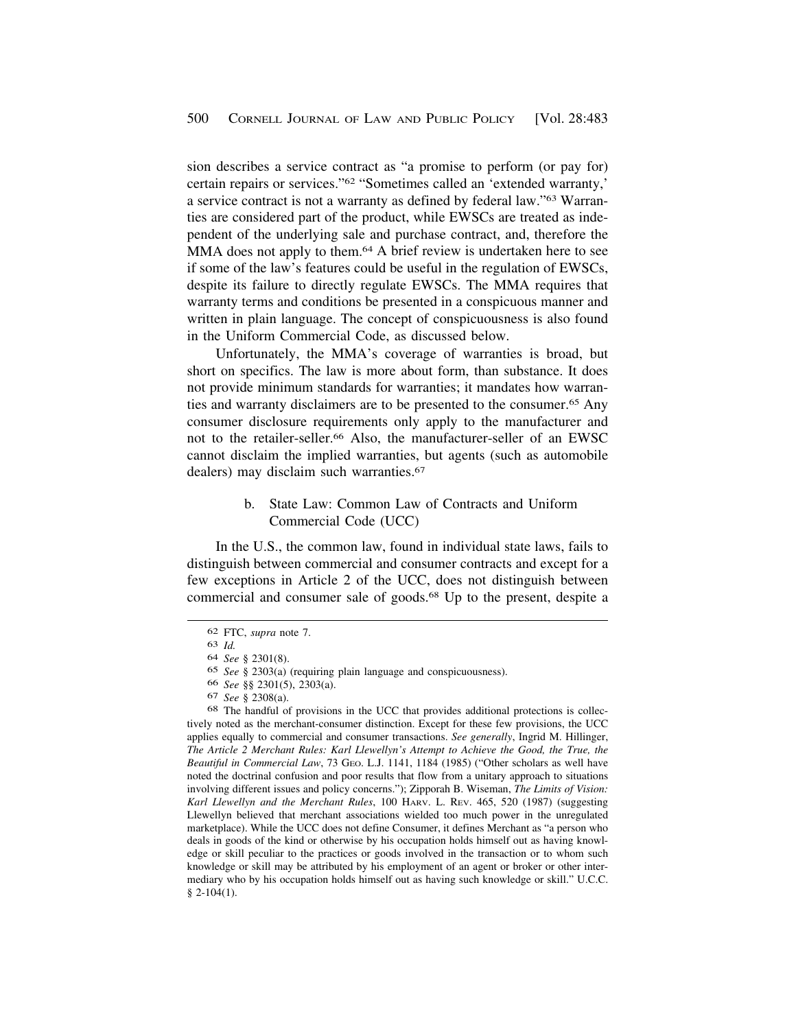<span id="page-17-0"></span>sion describes a service contract as "a promise to perform (or pay for) certain repairs or services."62 "Sometimes called an 'extended warranty,' a service contract is not a warranty as defined by federal law."63 Warranties are considered part of the product, while EWSCs are treated as independent of the underlying sale and purchase contract, and, therefore the MMA does not apply to them.<sup>64</sup> A brief review is undertaken here to see if some of the law's features could be useful in the regulation of EWSCs, despite its failure to directly regulate EWSCs. The MMA requires that warranty terms and conditions be presented in a conspicuous manner and written in plain language. The concept of conspicuousness is also found in the Uniform Commercial Code, as discussed below.

Unfortunately, the MMA's coverage of warranties is broad, but short on specifics. The law is more about form, than substance. It does not provide minimum standards for warranties; it mandates how warranties and warranty disclaimers are to be presented to the [consumer.65](https://consumer.65) Any consumer disclosure requirements only apply to the manufacturer and not to the [retailer-seller.66](https://retailer-seller.66) Also, the manufacturer-seller of an EWSC cannot disclaim the implied warranties, but agents (such as automobile dealers) may disclaim such warranties.<sup>67</sup>

> b. State Law: Common Law of Contracts and Uniform Commercial Code (UCC)

In the U.S., the common law, found in individual state laws, fails to distinguish between commercial and consumer contracts and except for a few exceptions in Article 2 of the UCC, does not distinguish between commercial and consumer sale of [goods.68](https://goods.68) Up to the present, despite a

66 *See* §§ 2301(5), 2303(a).

<sup>62</sup> FTC, *supra* note 7.

<sup>63</sup> *Id.* 

<sup>64</sup> *See* § 2301(8).

<sup>65</sup> *See* § 2303(a) (requiring plain language and conspicuousness).

<sup>67</sup> *See* § 2308(a).

<sup>68</sup> The handful of provisions in the UCC that provides additional protections is collectively noted as the merchant-consumer distinction. Except for these few provisions, the UCC applies equally to commercial and consumer transactions. *See generally*, Ingrid M. Hillinger, *The Article 2 Merchant Rules: Karl Llewellyn's Attempt to Achieve the Good, the True, the Beautiful in Commercial Law*, 73 GEO. L.J. 1141, 1184 (1985) ("Other scholars as well have noted the doctrinal confusion and poor results that flow from a unitary approach to situations involving different issues and policy concerns."); Zipporah B. Wiseman, *The Limits of Vision: Karl Llewellyn and the Merchant Rules*, 100 HARV. L. REV. 465, 520 (1987) (suggesting Llewellyn believed that merchant associations wielded too much power in the unregulated marketplace). While the UCC does not define Consumer, it defines Merchant as "a person who deals in goods of the kind or otherwise by his occupation holds himself out as having knowledge or skill peculiar to the practices or goods involved in the transaction or to whom such knowledge or skill may be attributed by his employment of an agent or broker or other intermediary who by his occupation holds himself out as having such knowledge or skill." U.C.C.  $§$  2-104(1).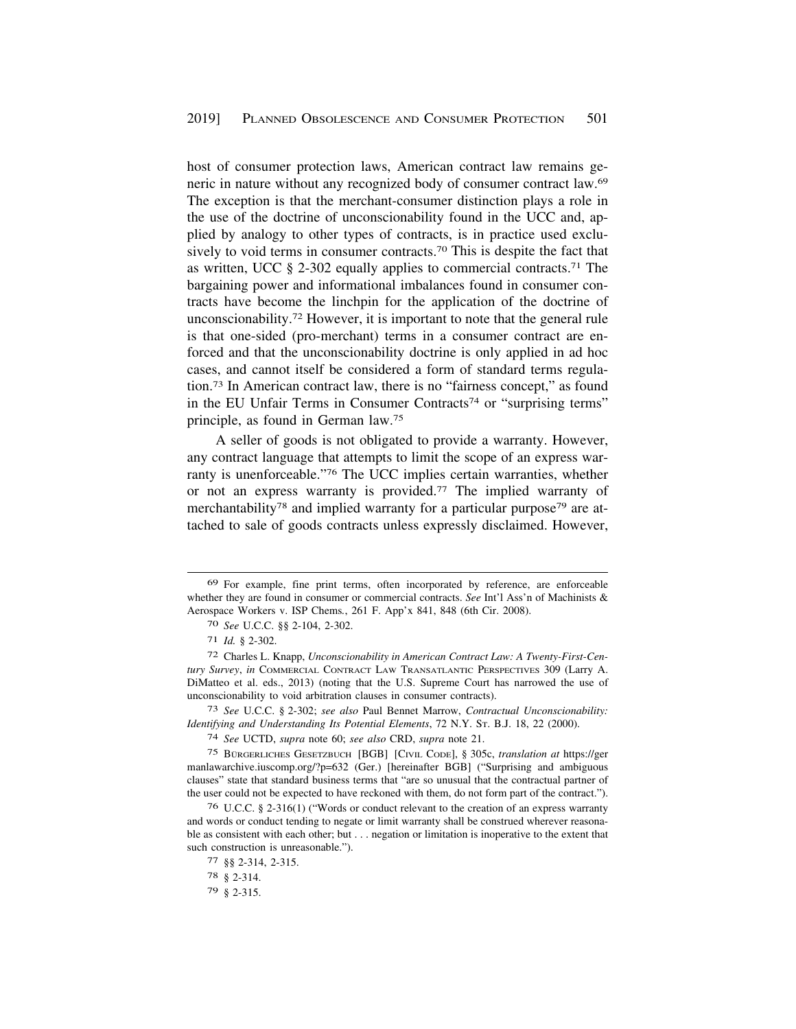host of consumer protection laws, American contract law remains generic in nature without any recognized body of consumer contract law.69 The exception is that the merchant-consumer distinction plays a role in the use of the doctrine of unconscionability found in the UCC and, applied by analogy to other types of contracts, is in practice used exclusively to void terms in consumer [contracts.70](https://contracts.70) This is despite the fact that as written, UCC § 2-302 equally applies to commercial [contracts.71](https://contracts.71) The bargaining power and informational imbalances found in consumer contracts have become the linchpin for the application of the doctrine of [unconscionability.72](https://unconscionability.72) However, it is important to note that the general rule is that one-sided (pro-merchant) terms in a consumer contract are enforced and that the unconscionability doctrine is only applied in ad hoc cases, and cannot itself be considered a form of standard terms regulation.73 In American contract law, there is no "fairness concept," as found in the EU Unfair Terms in Consumer Contracts<sup>74</sup> or "surprising terms" principle, as found in German law.75

A seller of goods is not obligated to provide a warranty. However, any contract language that attempts to limit the scope of an express warranty is unenforceable."76 The UCC implies certain warranties, whether or not an express warranty is [provided.77](https://provided.77) The implied warranty of merchantability<sup>78</sup> and implied warranty for a particular purpose<sup>79</sup> are attached to sale of goods contracts unless expressly disclaimed. However,

<sup>69</sup> For example, fine print terms, often incorporated by reference, are enforceable whether they are found in consumer or commercial contracts. *See* Int'l Ass'n of Machinists & Aerospace Workers v. ISP Chems*.*, 261 F. App'x 841, 848 (6th Cir. 2008).

<sup>70</sup> *See* U.C.C. §§ 2-104, 2-302.

<sup>71</sup> *Id.* § 2-302.

<sup>72</sup> Charles L. Knapp, *Unconscionability in American Contract Law: A Twenty-First-Century Survey*, *in* COMMERCIAL CONTRACT LAW TRANSATLANTIC PERSPECTIVES 309 (Larry A. DiMatteo et al. eds., 2013) (noting that the U.S. Supreme Court has narrowed the use of unconscionability to void arbitration clauses in consumer contracts).

<sup>73</sup> *See* U.C.C. § 2-302; *see also* Paul Bennet Marrow, *Contractual Unconscionability: Identifying and Understanding Its Potential Elements*, 72 N.Y. ST. B.J. 18, 22 (2000).

<sup>74</sup> *See* UCTD, *supra* note 60; *see also* CRD, *supra* note 21.

<sup>&</sup>lt;sup>75</sup> BÜRGERLICHES GESETZBUCH [BGB] [CIVIL CODE], § 305c, *translation at* https://ger manlawarchive.iuscomp.org/?p=632 (Ger.) [hereinafter BGB] ("Surprising and ambiguous clauses" state that standard business terms that "are so unusual that the contractual partner of the user could not be expected to have reckoned with them, do not form part of the contract.").

<sup>76</sup> U.C.C. § 2-316(1) ("Words or conduct relevant to the creation of an express warranty and words or conduct tending to negate or limit warranty shall be construed wherever reasonable as consistent with each other; but . . . negation or limitation is inoperative to the extent that such construction is unreasonable.").

<sup>77 §§ 2-314, 2-315.</sup> 

<sup>78 § 2-314.</sup> 

<sup>79 § 2-315.</sup>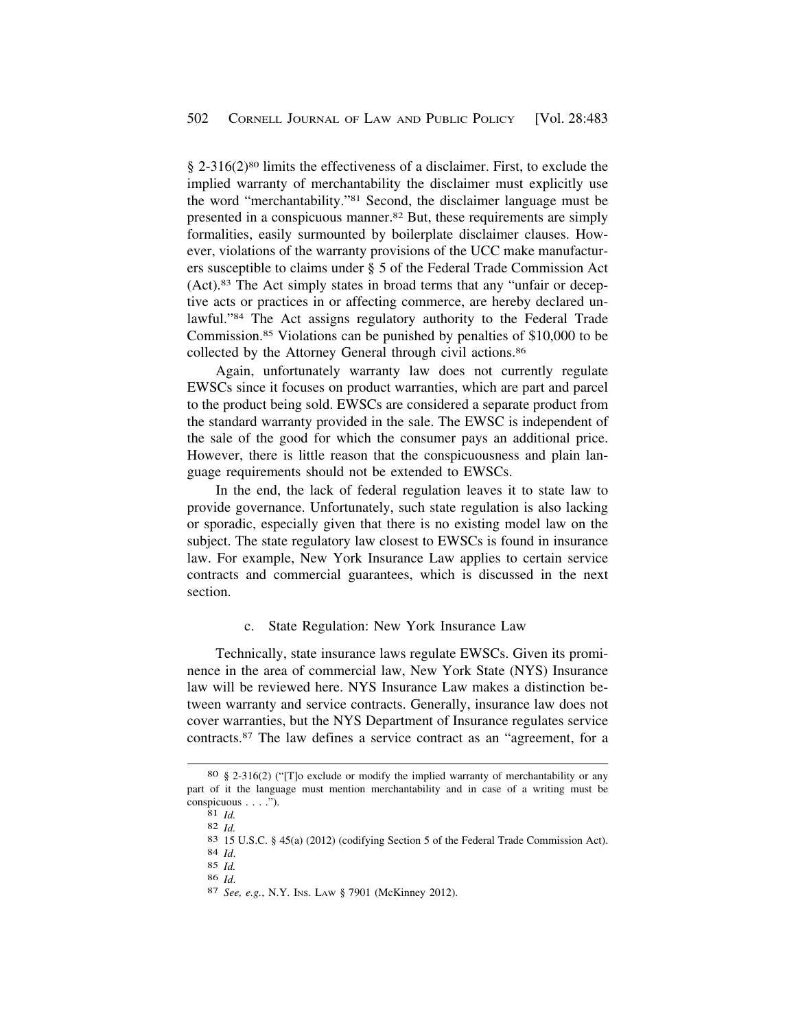<span id="page-19-0"></span>§ 2-316(2)80 limits the effectiveness of a disclaimer. First, to exclude the implied warranty of merchantability the disclaimer must explicitly use the word "merchantability."81 Second, the disclaimer language must be presented in a conspicuous [manner.82](https://manner.82) But, these requirements are simply formalities, easily surmounted by boilerplate disclaimer clauses. However, violations of the warranty provisions of the UCC make manufacturers susceptible to claims under § 5 of the Federal Trade Commission Act (Act).83 The Act simply states in broad terms that any "unfair or deceptive acts or practices in or affecting commerce, are hereby declared unlawful."84 The Act assigns regulatory authority to the Federal Trade [Commission.85](https://Commission.85) Violations can be punished by penalties of \$10,000 to be collected by the Attorney General through civil [actions.86](https://actions.86) 

Again, unfortunately warranty law does not currently regulate EWSCs since it focuses on product warranties, which are part and parcel to the product being sold. EWSCs are considered a separate product from the standard warranty provided in the sale. The EWSC is independent of the sale of the good for which the consumer pays an additional price. However, there is little reason that the conspicuousness and plain language requirements should not be extended to EWSCs.

In the end, the lack of federal regulation leaves it to state law to provide governance. Unfortunately, such state regulation is also lacking or sporadic, especially given that there is no existing model law on the subject. The state regulatory law closest to EWSCs is found in insurance law. For example, New York Insurance Law applies to certain service contracts and commercial guarantees, which is discussed in the next section.

#### c. State Regulation: New York Insurance Law

Technically, state insurance laws regulate EWSCs. Given its prominence in the area of commercial law, New York State (NYS) Insurance law will be reviewed here. NYS Insurance Law makes a distinction between warranty and service contracts. Generally, insurance law does not cover warranties, but the NYS Department of Insurance regulates service [contracts.87](https://contracts.87) The law defines a service contract as an "agreement, for a

<sup>80 § 2-316(2) (&</sup>quot;[T]o exclude or modify the implied warranty of merchantability or any part of it the language must mention merchantability and in case of a writing must be

conspicuous . . . .").<br>
81 *Id.*<br>
82 *Id.*<br>
83 15 U.S.C. § 45(a) (2012) (codifying Section 5 of the Federal Trade Commission Act).<br>
84 *Id.*<br>
85 *Id.* 

<sup>86</sup>*Id*. 87 *See, e.g.*, N.Y. INS. LAW § 7901 (McKinney 2012).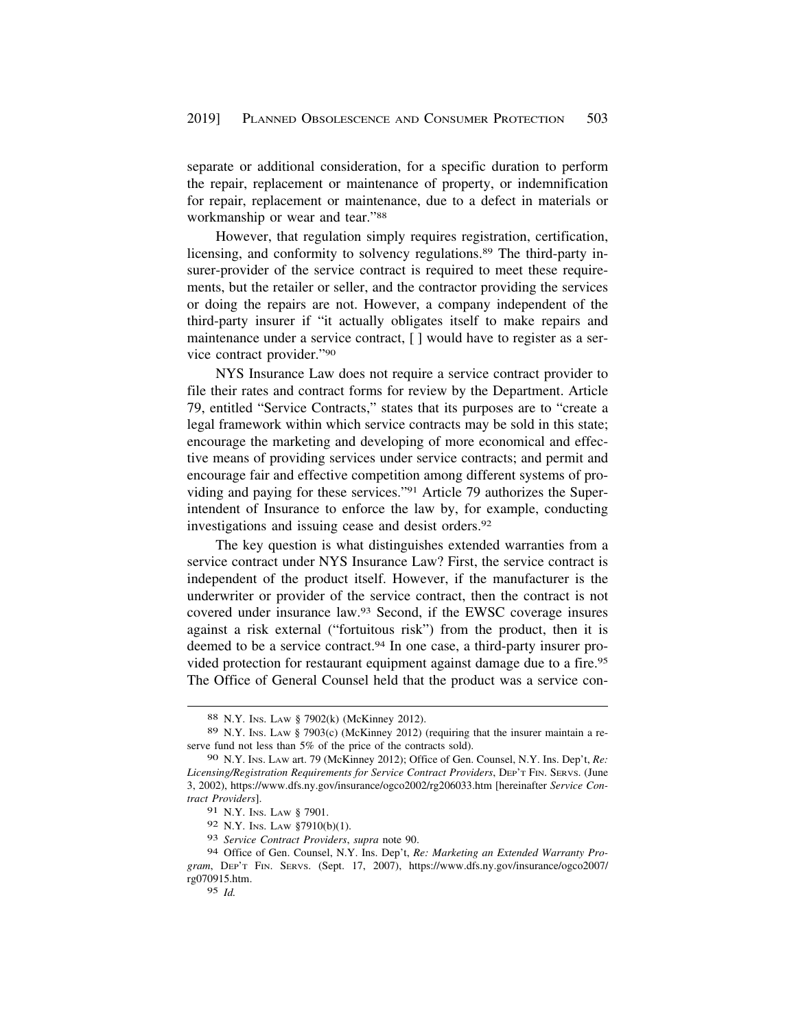separate or additional consideration, for a specific duration to perform the repair, replacement or maintenance of property, or indemnification for repair, replacement or maintenance, due to a defect in materials or workmanship or wear and tear."88

However, that regulation simply requires registration, certification, licensing, and conformity to solvency [regulations.89](https://regulations.89) The third-party insurer-provider of the service contract is required to meet these requirements, but the retailer or seller, and the contractor providing the services or doing the repairs are not. However, a company independent of the third-party insurer if "it actually obligates itself to make repairs and maintenance under a service contract, [ ] would have to register as a service contract provider."90

NYS Insurance Law does not require a service contract provider to file their rates and contract forms for review by the Department. Article 79, entitled "Service Contracts," states that its purposes are to "create a legal framework within which service contracts may be sold in this state; encourage the marketing and developing of more economical and effective means of providing services under service contracts; and permit and encourage fair and effective competition among different systems of providing and paying for these services."91 Article 79 authorizes the Superintendent of Insurance to enforce the law by, for example, conducting investigations and issuing cease and desist [orders.92](https://orders.92)

The key question is what distinguishes extended warranties from a service contract under NYS Insurance Law? First, the service contract is independent of the product itself. However, if the manufacturer is the underwriter or provider of the service contract, then the contract is not covered under insurance law.93 Second, if the EWSC coverage insures against a risk external ("fortuitous risk") from the product, then it is deemed to be a service contract.<sup>94</sup> In one case, a third-party insurer provided protection for restaurant equipment against damage due to a fire.95 The Office of General Counsel held that the product was a service con-

<sup>88</sup> N.Y. INS. LAW § 7902(k) (McKinney 2012).

<sup>89</sup> N.Y. INS. LAW § 7903(c) (McKinney 2012) (requiring that the insurer maintain a reserve fund not less than 5% of the price of the contracts sold).

<sup>90</sup> N.Y. INS. LAW art. 79 (McKinney 2012); Office of Gen. Counsel, N.Y. Ins. Dep't, *Re: Licensing/Registration Requirements for Service Contract Providers*, DEP'T FIN. SERVS. (June 3, 2002),<https://www.dfs.ny.gov/insurance/ogco2002/rg206033.htm>[hereinafter *Service Contract Providers*].

<sup>91</sup> N.Y. INS. LAW § 7901.

<sup>92</sup> N.Y. INS. LAW §7910(b)(1).

<sup>93</sup> *Service Contract Providers*, *supra* note 90.

<sup>94</sup> Office of Gen. Counsel, N.Y. Ins. Dep't, *Re: Marketing an Extended Warranty Program*, DEP'T FIN. SERVS. (Sept. 17, 2007), [https://www.dfs.ny.gov/insurance/ogco2007/](https://www.dfs.ny.gov/insurance/ogco2007) rg070915.htm.

<sup>95</sup> *Id.*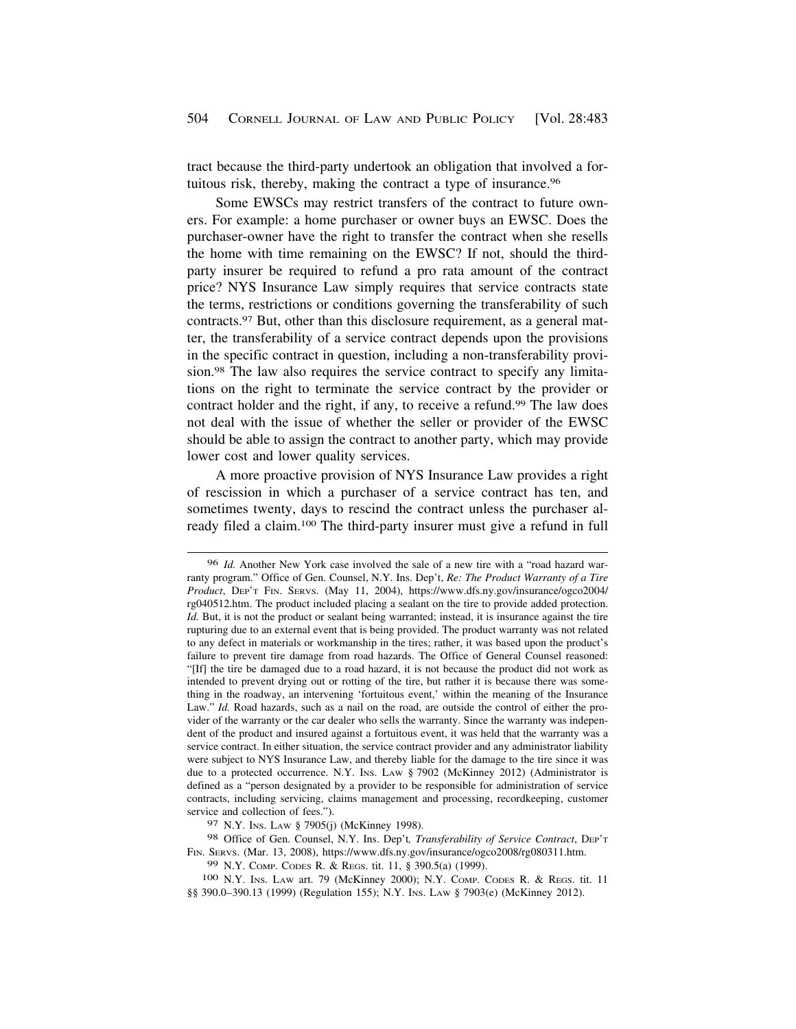tract because the third-party undertook an obligation that involved a fortuitous risk, thereby, making the contract a type of [insurance.96](https://insurance.96)

Some EWSCs may restrict transfers of the contract to future owners. For example: a home purchaser or owner buys an EWSC. Does the purchaser-owner have the right to transfer the contract when she resells the home with time remaining on the EWSC? If not, should the thirdparty insurer be required to refund a pro rata amount of the contract price? NYS Insurance Law simply requires that service contracts state the terms, restrictions or conditions governing the transferability of such [contracts.97](https://contracts.97) But, other than this disclosure requirement, as a general matter, the transferability of a service contract depends upon the provisions in the specific contract in question, including a non-transferability provision.98 The law also requires the service contract to specify any limitations on the right to terminate the service contract by the provider or contract holder and the right, if any, to receive a refund.<sup>99</sup> The law does not deal with the issue of whether the seller or provider of the EWSC should be able to assign the contract to another party, which may provide lower cost and lower quality services.

A more proactive provision of NYS Insurance Law provides a right of rescission in which a purchaser of a service contract has ten, and sometimes twenty, days to rescind the contract unless the purchaser already filed a claim.100 The third-party insurer must give a refund in full

100 N.Y. INS. LAW art. 79 (McKinney 2000); N.Y. COMP. CODES R. & REGS. tit. 11 §§ 390.0-390.13 (1999) (Regulation 155); N.Y. Ins. LAw § 7903(e) (McKinney 2012).

<sup>96</sup> *Id.* Another New York case involved the sale of a new tire with a "road hazard warranty program." Office of Gen. Counsel, N.Y. Ins. Dep't, *Re: The Product Warranty of a Tire Product*, DEP'T FIN. SERVS. (May 11, 2004), [https://www.dfs.ny.gov/insurance/ogco2004/](https://www.dfs.ny.gov/insurance/ogco2004) rg040512.htm. The product included placing a sealant on the tire to provide added protection. *Id.* But, it is not the product or sealant being warranted; instead, it is insurance against the tire rupturing due to an external event that is being provided. The product warranty was not related to any defect in materials or workmanship in the tires; rather, it was based upon the product's failure to prevent tire damage from road hazards. The Office of General Counsel reasoned: "[If] the tire be damaged due to a road hazard, it is not because the product did not work as intended to prevent drying out or rotting of the tire, but rather it is because there was something in the roadway, an intervening 'fortuitous event,' within the meaning of the Insurance Law." *Id.* Road hazards, such as a nail on the road, are outside the control of either the provider of the warranty or the car dealer who sells the warranty. Since the warranty was independent of the product and insured against a fortuitous event, it was held that the warranty was a service contract. In either situation, the service contract provider and any administrator liability were subject to NYS Insurance Law, and thereby liable for the damage to the tire since it was due to a protected occurrence. N.Y. Ins. Law § 7902 (McKinney 2012) (Administrator is defined as a "person designated by a provider to be responsible for administration of service contracts, including servicing, claims management and processing, recordkeeping, customer service and collection of fees.").

<sup>97</sup> N.Y. INS. LAW § 7905(j) (McKinney 1998).

<sup>98</sup> Office of Gen. Counsel, N.Y. Ins. Dep't*, Transferability of Service Contract*, DEP'T FIN. SERVS. (Mar. 13, 2008), <https://www.dfs.ny.gov/insurance/ogco2008/rg080311.htm>.

<sup>99</sup> N.Y. COMP. CODES R. & REGS. tit. 11, § 390.5(a) (1999).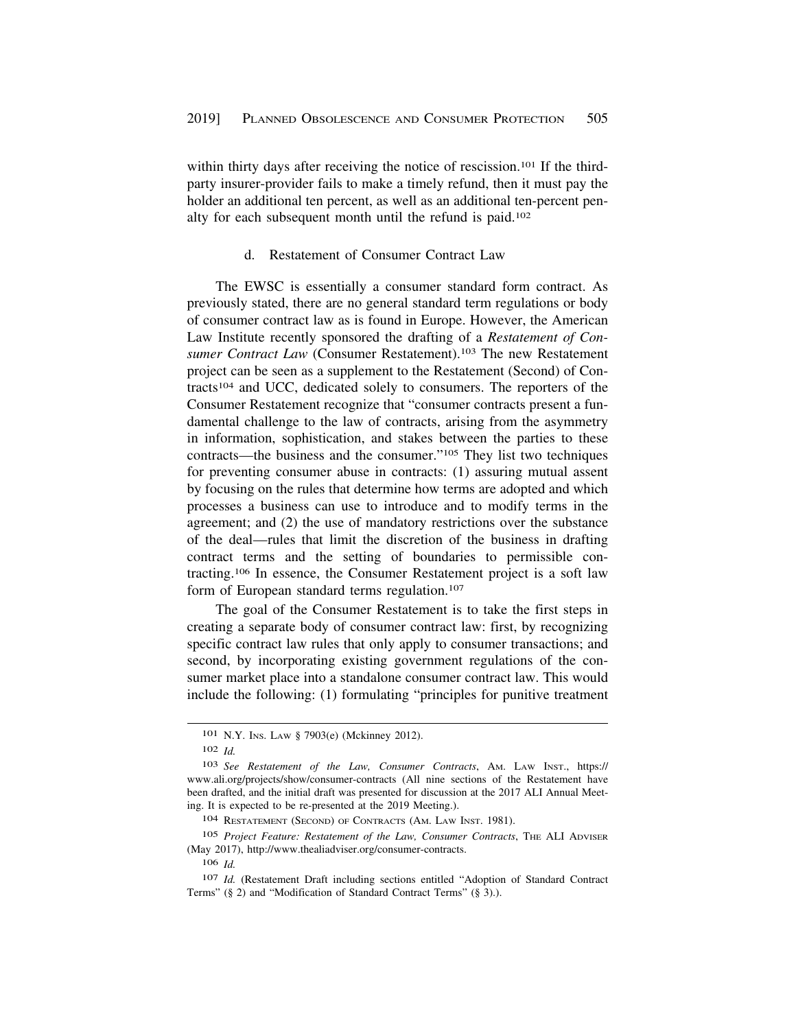<span id="page-22-0"></span>within thirty days after receiving the notice of rescission.<sup>101</sup> If the thirdparty insurer-provider fails to make a timely refund, then it must pay the holder an additional ten percent, as well as an additional ten-percent penalty for each subsequent month until the refund is paid.102

#### d. Restatement of Consumer Contract Law

The EWSC is essentially a consumer standard form contract. As previously stated, there are no general standard term regulations or body of consumer contract law as is found in Europe. However, the American Law Institute recently sponsored the drafting of a *Restatement of Consumer Contract Law* (Consumer Restatement).103 The new Restatement project can be seen as a supplement to the Restatement (Second) of Contracts104 and UCC, dedicated solely to consumers. The reporters of the Consumer Restatement recognize that "consumer contracts present a fundamental challenge to the law of contracts, arising from the asymmetry in information, sophistication, and stakes between the parties to these contracts—the business and the consumer."105 They list two techniques for preventing consumer abuse in contracts: (1) assuring mutual assent by focusing on the rules that determine how terms are adopted and which processes a business can use to introduce and to modify terms in the agreement; and (2) the use of mandatory restrictions over the substance of the deal—rules that limit the discretion of the business in drafting contract terms and the setting of boundaries to permissible contracting.106 In essence, the Consumer Restatement project is a soft law form of European standard terms regulation.<sup>107</sup>

The goal of the Consumer Restatement is to take the first steps in creating a separate body of consumer contract law: first, by recognizing specific contract law rules that only apply to consumer transactions; and second, by incorporating existing government regulations of the consumer market place into a standalone consumer contract law. This would include the following: (1) formulating "principles for punitive treatment

<sup>101</sup> N.Y. INS. LAW § 7903(e) (Mckinney 2012).

<sup>102</sup> *Id.* 

<sup>103</sup> *See Restatement of the Law, Consumer Contracts*, AM. LAW INST., https:// <www.ali.org/projects/show/consumer-contracts> (All nine sections of the Restatement have been drafted, and the initial draft was presented for discussion at the 2017 ALI Annual Meeting. It is expected to be re-presented at the 2019 Meeting.).

<sup>104</sup> RESTATEMENT (SECOND) OF CONTRACTS (AM. LAW INST. 1981).

<sup>105</sup> Project Feature: Restatement of the Law, Consumer Contracts, THE ALI ADVISER (May 2017), [http://www.thealiadviser.org/consumer-contracts.](http://www.thealiadviser.org/consumer-contracts)

<sup>106</sup> *Id.* 

<sup>107</sup> *Id.* (Restatement Draft including sections entitled "Adoption of Standard Contract Terms" (§ 2) and "Modification of Standard Contract Terms" (§ 3).).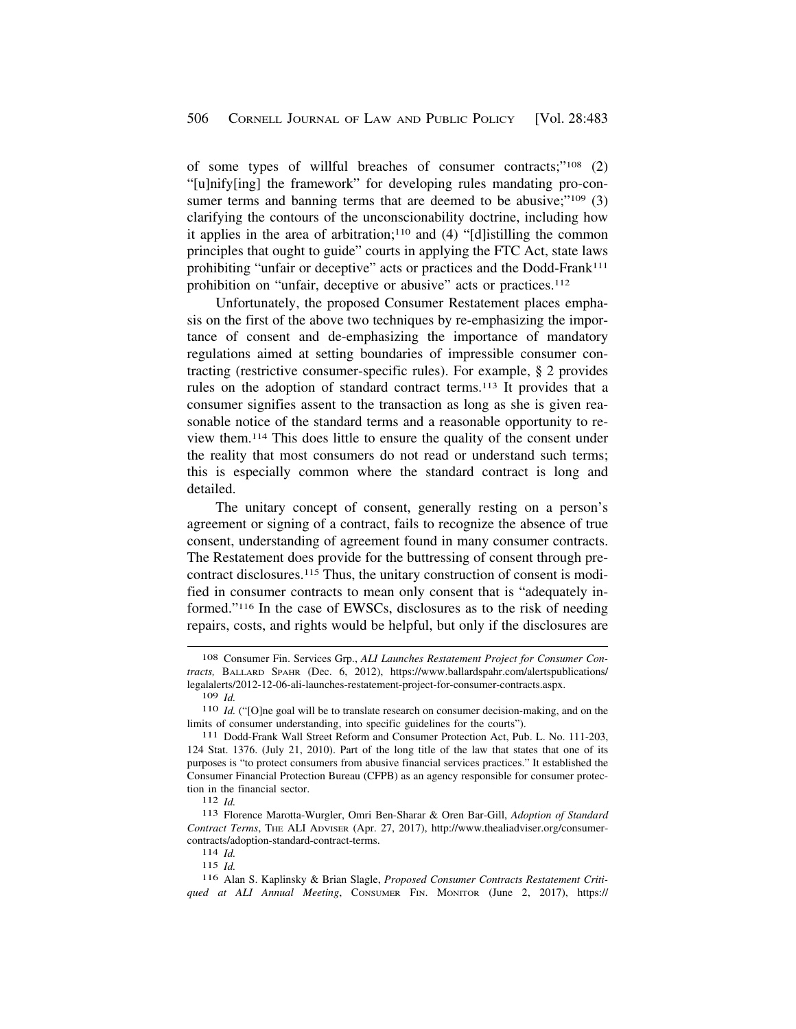of some types of willful breaches of consumer contracts;"108 (2) "[u]nify[ing] the framework" for developing rules mandating pro-consumer terms and banning terms that are deemed to be abusive;" $109$  (3) clarifying the contours of the unconscionability doctrine, including how it applies in the area of arbitration;<sup>110</sup> and  $(4)$  "[d]istilling the common principles that ought to guide" courts in applying the FTC Act, state laws prohibiting "unfair or deceptive" acts or practices and the Dodd-Frank<sup>111</sup> prohibition on "unfair, deceptive or abusive" acts or practices.<sup>112</sup>

Unfortunately, the proposed Consumer Restatement places emphasis on the first of the above two techniques by re-emphasizing the importance of consent and de-emphasizing the importance of mandatory regulations aimed at setting boundaries of impressible consumer contracting (restrictive consumer-specific rules). For example, § 2 provides rules on the adoption of standard contract terms.113 It provides that a consumer signifies assent to the transaction as long as she is given reasonable notice of the standard terms and a reasonable opportunity to review them.114 This does little to ensure the quality of the consent under the reality that most consumers do not read or understand such terms; this is especially common where the standard contract is long and detailed.

The unitary concept of consent, generally resting on a person's agreement or signing of a contract, fails to recognize the absence of true consent, understanding of agreement found in many consumer contracts. The Restatement does provide for the buttressing of consent through precontract disclosures.115 Thus, the unitary construction of consent is modified in consumer contracts to mean only consent that is "adequately informed."116 In the case of EWSCs, disclosures as to the risk of needing repairs, costs, and rights would be helpful, but only if the disclosures are

115 *Id.* 

116 Alan S. Kaplinsky & Brian Slagle, *Proposed Consumer Contracts Restatement Critiqued at ALI Annual Meeting*, CONSUMER FIN. MONITOR (June 2, 2017), https://

<sup>108</sup> Consumer Fin. Services Grp., *ALI Launches Restatement Project for Consumer Contracts,* BALLARD SPAHR (Dec. 6, 2012), [https://www.ballardspahr.com/alertspublications/](https://www.ballardspahr.com/alertspublications) legalalerts/2012-12-06-ali-launches-restatement-project-for-consumer-contracts.aspx.<br>109 Id.

<sup>&</sup>lt;sup>110</sup> *Id.* ("[O]ne goal will be to translate research on consumer decision-making, and on the

limits of consumer understanding, into specific guidelines for the courts"). 111 Dodd-Frank Wall Street Reform and Consumer Protection Act, Pub. L. No. 111-203, 124 Stat. 1376. (July 21, 2010). Part of the long title of the law that states that one of its purposes is "to protect consumers from abusive financial services practices." It established the Consumer Financial Protection Bureau (CFPB) as an agency responsible for consumer protection in the financial sector. 112 *Id.* 113 Florence Marotta-Wurgler, Omri Ben-Sharar & Oren Bar-Gill, *Adoption of Standard* 

*Contract Terms*, THE ALI ADVISER (Apr. 27, 2017), <http://www.thealiadviser.org/consumer>contracts/adoption-standard-contract-terms. 114 *Id.*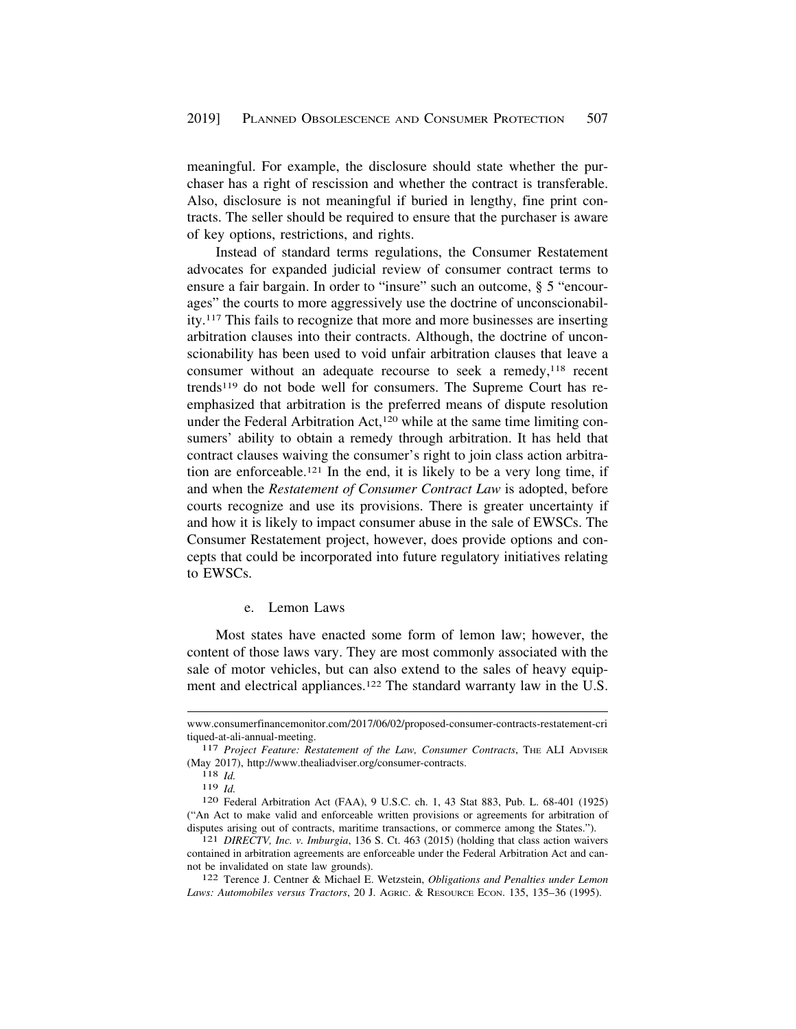<span id="page-24-0"></span>meaningful. For example, the disclosure should state whether the purchaser has a right of rescission and whether the contract is transferable. Also, disclosure is not meaningful if buried in lengthy, fine print contracts. The seller should be required to ensure that the purchaser is aware of key options, restrictions, and rights.

Instead of standard terms regulations, the Consumer Restatement advocates for expanded judicial review of consumer contract terms to ensure a fair bargain. In order to "insure" such an outcome, § 5 "encourages" the courts to more aggressively use the doctrine of unconscionability.117 This fails to recognize that more and more businesses are inserting arbitration clauses into their contracts. Although, the doctrine of unconscionability has been used to void unfair arbitration clauses that leave a consumer without an adequate recourse to seek a remedy,<sup>118</sup> recent trends119 do not bode well for consumers. The Supreme Court has reemphasized that arbitration is the preferred means of dispute resolution under the Federal Arbitration Act,<sup>120</sup> while at the same time limiting consumers' ability to obtain a remedy through arbitration. It has held that contract clauses waiving the consumer's right to join class action arbitration are enforceable.121 In the end, it is likely to be a very long time, if and when the *Restatement of Consumer Contract Law* is adopted, before courts recognize and use its provisions. There is greater uncertainty if and how it is likely to impact consumer abuse in the sale of EWSCs. The Consumer Restatement project, however, does provide options and concepts that could be incorporated into future regulatory initiatives relating to EWSCs.

#### e. Lemon Laws

Most states have enacted some form of lemon law; however, the content of those laws vary. They are most commonly associated with the sale of motor vehicles, but can also extend to the sales of heavy equipment and electrical appliances.<sup>122</sup> The standard warranty law in the U.S.

<www.consumerfinancemonitor.com/2017/06/02/proposed-consumer-contracts-restatement-cri> tiqued-at-ali-annual-meeting.<br><sup>117</sup> *Project Feature: Restatement of the Law, Consumer Contracts*, THE ALI ADVISER

<sup>(</sup>May 2017), [http://www.thealiadviser.org/consumer-contracts.](http://www.thealiadviser.org/consumer-contracts) 118 *Id.* 

<sup>119</sup>*Id.* 120 Federal Arbitration Act (FAA), 9 U.S.C. ch. 1, 43 Stat 883, Pub. L. 68-401 (1925) ("An Act to make valid and enforceable written provisions or agreements for arbitration of disputes arising out of contracts, maritime transactions, or commerce among the States."). 121 *DIRECTV, Inc. v. Imburgia*, 136 S. Ct. 463 (2015) (holding that class action waivers

contained in arbitration agreements are enforceable under the Federal Arbitration Act and cannot be invalidated on state law grounds). 122 Terence J. Centner & Michael E. Wetzstein, *Obligations and Penalties under Lemon* 

*Laws: Automobiles versus Tractors*, 20 J. AGRIC. & RESOURCE ECON. 135, 135–36 (1995).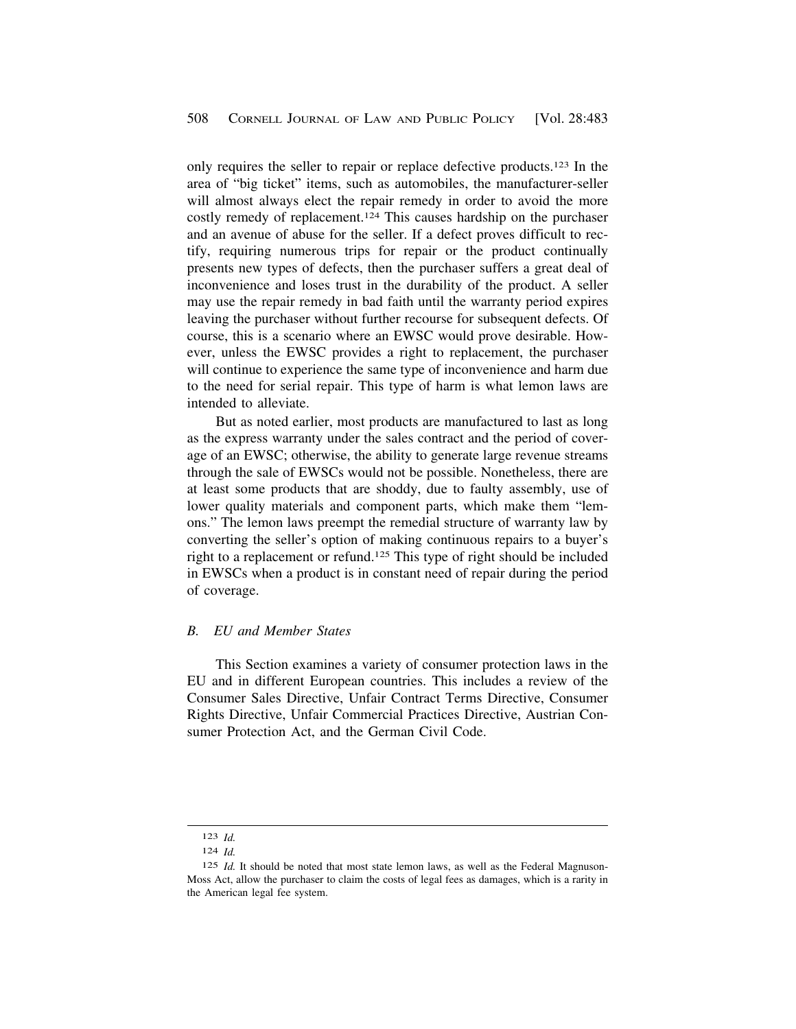<span id="page-25-0"></span>only requires the seller to repair or replace defective products.123 In the area of "big ticket" items, such as automobiles, the manufacturer-seller will almost always elect the repair remedy in order to avoid the more costly remedy of replacement.124 This causes hardship on the purchaser and an avenue of abuse for the seller. If a defect proves difficult to rectify, requiring numerous trips for repair or the product continually presents new types of defects, then the purchaser suffers a great deal of inconvenience and loses trust in the durability of the product. A seller may use the repair remedy in bad faith until the warranty period expires leaving the purchaser without further recourse for subsequent defects. Of course, this is a scenario where an EWSC would prove desirable. However, unless the EWSC provides a right to replacement, the purchaser will continue to experience the same type of inconvenience and harm due to the need for serial repair. This type of harm is what lemon laws are intended to alleviate.

But as noted earlier, most products are manufactured to last as long as the express warranty under the sales contract and the period of coverage of an EWSC; otherwise, the ability to generate large revenue streams through the sale of EWSCs would not be possible. Nonetheless, there are at least some products that are shoddy, due to faulty assembly, use of lower quality materials and component parts, which make them "lemons." The lemon laws preempt the remedial structure of warranty law by converting the seller's option of making continuous repairs to a buyer's right to a replacement or refund.125 This type of right should be included in EWSCs when a product is in constant need of repair during the period of coverage.

## *B. EU and Member States*

This Section examines a variety of consumer protection laws in the EU and in different European countries. This includes a review of the Consumer Sales Directive, Unfair Contract Terms Directive, Consumer Rights Directive, Unfair Commercial Practices Directive, Austrian Consumer Protection Act, and the German Civil Code.

<sup>123</sup> *Id.* 

<sup>124</sup> *Id.* 

<sup>125</sup> *Id.* It should be noted that most state lemon laws, as well as the Federal Magnuson-Moss Act, allow the purchaser to claim the costs of legal fees as damages, which is a rarity in the American legal fee system.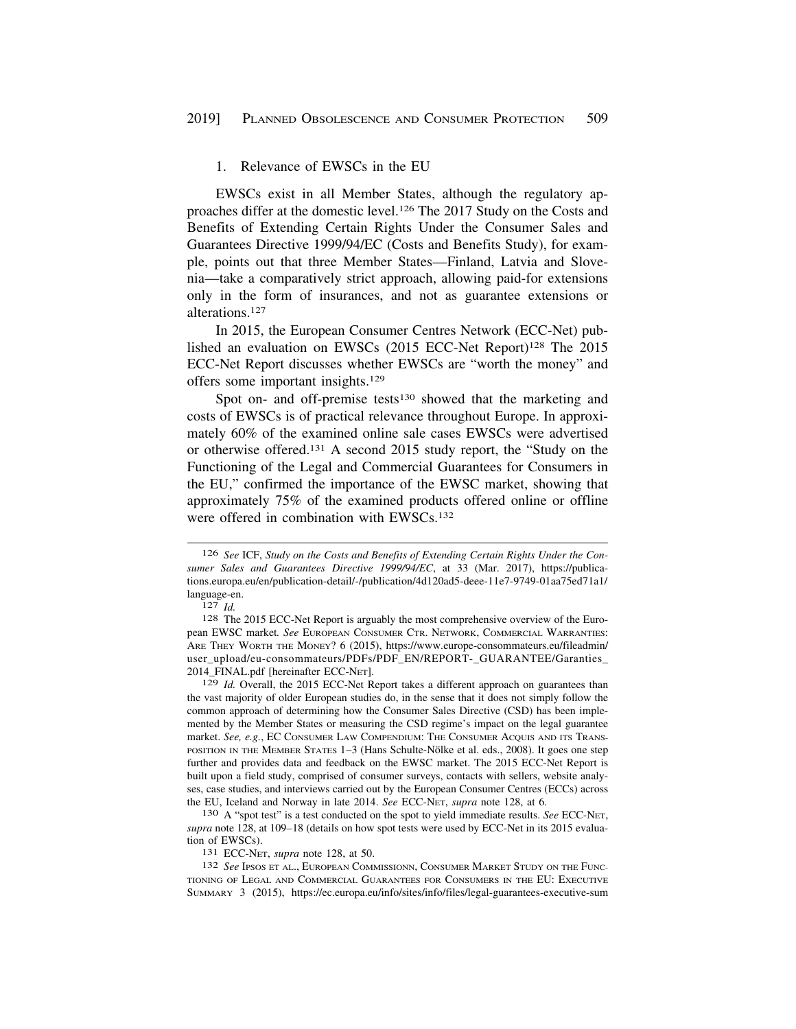#### <span id="page-26-0"></span>1. Relevance of EWSCs in the EU

EWSCs exist in all Member States, although the regulatory approaches differ at the domestic level.126 The 2017 Study on the Costs and Benefits of Extending Certain Rights Under the Consumer Sales and Guarantees Directive 1999/94/EC (Costs and Benefits Study), for example, points out that three Member States—Finland, Latvia and Slovenia—take a comparatively strict approach, allowing paid-for extensions only in the form of insurances, and not as guarantee extensions or alterations.127

In 2015, the European Consumer Centres Network (ECC-Net) published an evaluation on EWSCs (2015 ECC-Net Report)<sup>128</sup> The 2015 ECC-Net Report discusses whether EWSCs are "worth the money" and offers some important insights.129

Spot on- and off-premise tests<sup>130</sup> showed that the marketing and costs of EWSCs is of practical relevance throughout Europe. In approximately 60% of the examined online sale cases EWSCs were advertised or otherwise offered.131 A second 2015 study report, the "Study on the Functioning of the Legal and Commercial Guarantees for Consumers in the EU," confirmed the importance of the EWSC market, showing that approximately 75% of the examined products offered online or offline were offered in combination with EWSCs.<sup>132</sup>

*supra* note 128, at 109–18 (details on how spot tests were used by ECC-Net in its 2015 evaluation of EWSCs).<br>
131 ECC-Net, *supra* note 128, at 50.<br>
132 *See* IPSOS ET AL., EUROPEAN COMMISSIONN, CONSUMER MARKET STUDY ON THE FUNC-

TIONING OF LEGAL AND COMMERCIAL GUARANTEES FOR CONSUMERS IN THE EU: EXECUTIVE SUMMARY 3 (2015), <https://ec.europa.eu/info/sites/info/files/legal-guarantees-executive-sum>

<sup>126</sup> *See* ICF, *Study on the Costs and Benefits of Extending Certain Rights Under the Consumer Sales and Guarantees Directive 1999/94/EC*, at 33 (Mar. 2017), <https://publica>tions.europa.eu/en/publication-detail/-/publication/4d120ad5-deee-11e7-9749-01aa75ed71a1/ language-en.<br><sup>127</sup> *Id.* **128** The 2015 ECC-Net Report is arguably the most comprehensive overview of the Euro-

pean EWSC market*. See* EUROPEAN CONSUMER CTR. NETWORK, COMMERCIAL WARRANTIES: ARE THEY WORTH THE MONEY? 6 (2015), [https://www.europe-consommateurs.eu/fileadmin/](https://www.europe-consommateurs.eu/fileadmin) user\_upload/eu-consommateurs/PDFs/PDF\_EN/REPORT-\_GUARANTEE/Garanties\_ 2014\_FINAL.pdf [hereinafter ECC-NET].

<sup>129</sup> *Id.* Overall, the 2015 ECC-Net Report takes a different approach on guarantees than the vast majority of older European studies do, in the sense that it does not simply follow the common approach of determining how the Consumer Sales Directive (CSD) has been implemented by the Member States or measuring the CSD regime's impact on the legal guarantee market. *See, e.g.*, EC CONSUMER LAW COMPENDIUM: THE CONSUMER ACQUIS AND ITS TRANS-POSITION IN THE MEMBER STATES 1–3 (Hans Schulte-Nölke et al. eds., 2008). It goes one step further and provides data and feedback on the EWSC market. The 2015 ECC-Net Report is built upon a field study, comprised of consumer surveys, contacts with sellers, website analyses, case studies, and interviews carried out by the European Consumer Centres (ECCs) across the EU, Iceland and Norway in late 2014. *See* ECC-NET, *supra* note 128, at 6. 130 A "spot test" is a test conducted on the spot to yield immediate results. *See* ECC-NET,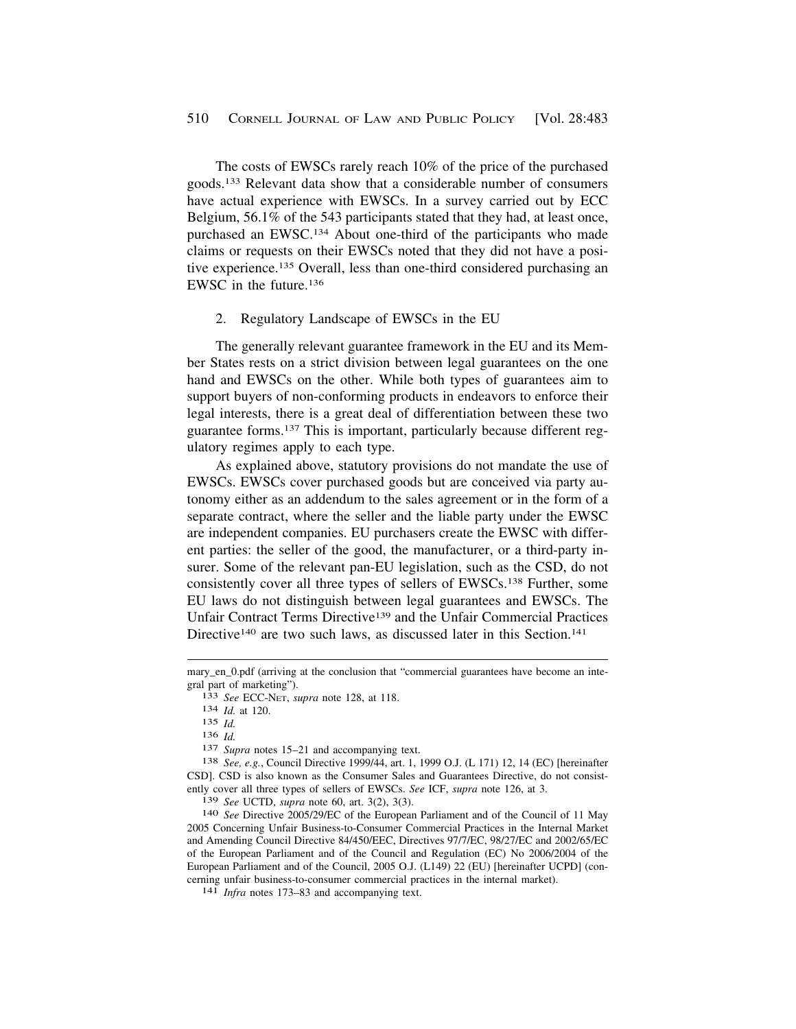<span id="page-27-0"></span>The costs of EWSCs rarely reach 10% of the price of the purchased goods.133 Relevant data show that a considerable number of consumers have actual experience with EWSCs. In a survey carried out by ECC Belgium, 56.1% of the 543 participants stated that they had, at least once, purchased an EWSC.134 About one-third of the participants who made claims or requests on their EWSCs noted that they did not have a positive experience.135 Overall, less than one-third considered purchasing an EWSC in the future.136

#### 2. Regulatory Landscape of EWSCs in the EU

The generally relevant guarantee framework in the EU and its Member States rests on a strict division between legal guarantees on the one hand and EWSCs on the other. While both types of guarantees aim to support buyers of non-conforming products in endeavors to enforce their legal interests, there is a great deal of differentiation between these two guarantee forms.137 This is important, particularly because different regulatory regimes apply to each type.

As explained above, statutory provisions do not mandate the use of EWSCs. EWSCs cover purchased goods but are conceived via party autonomy either as an addendum to the sales agreement or in the form of a separate contract, where the seller and the liable party under the EWSC are independent companies. EU purchasers create the EWSC with different parties: the seller of the good, the manufacturer, or a third-party insurer. Some of the relevant pan-EU legislation, such as the CSD, do not consistently cover all three types of sellers of EWSCs.138 Further, some EU laws do not distinguish between legal guarantees and EWSCs. The Unfair Contract Terms Directive139 and the Unfair Commercial Practices Directive<sup>140</sup> are two such laws, as discussed later in this Section.<sup>141</sup>

<sup>136</sup>*Id.* 137 *Supra* notes 15–21 and accompanying text. 138 *See, e.g.*, Council Directive 1999/44, art. 1, 1999 O.J. (L 171) 12, 14 (EC) [hereinafter CSD]. CSD is also known as the Consumer Sales and Guarantees Directive, do not consistently cover all three types of sellers of EWSCs. *See* ICF, *supra* note 126, at 3.

<sup>139</sup>*See* UCTD, *supra* note 60, art. 3(2), 3(3). 140 *See* Directive 2005/29/EC of the European Parliament and of the Council of 11 May 2005 Concerning Unfair Business-to-Consumer Commercial Practices in the Internal Market and Amending Council Directive 84/450/EEC, Directives 97/7/EC, 98/27/EC and 2002/65/EC of the European Parliament and of the Council and Regulation (EC) No 2006/2004 of the European Parliament and of the Council, 2005 O.J. (L149) 22 (EU) [hereinafter UCPD] (concerning unfair business-to-consumer commercial practices in the internal market). 141 *Infra* notes 173–83 and accompanying text.

mary\_en\_0.pdf (arriving at the conclusion that "commercial guarantees have become an integral part of marketing"). 133 *See* ECC-NET, *supra* note 128, at 118. 134 *Id.* at 120.

<sup>135</sup> *Id.*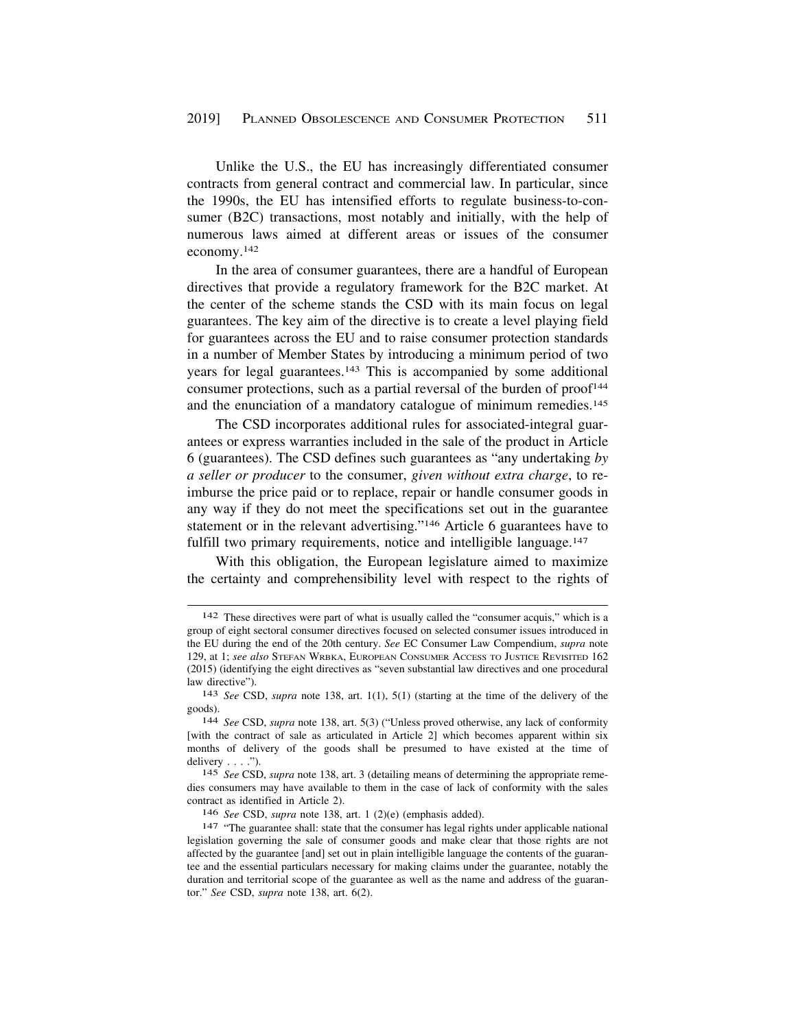Unlike the U.S., the EU has increasingly differentiated consumer contracts from general contract and commercial law. In particular, since the 1990s, the EU has intensified efforts to regulate business-to-consumer (B2C) transactions, most notably and initially, with the help of numerous laws aimed at different areas or issues of the consumer economy.142

In the area of consumer guarantees, there are a handful of European directives that provide a regulatory framework for the B2C market. At the center of the scheme stands the CSD with its main focus on legal guarantees. The key aim of the directive is to create a level playing field for guarantees across the EU and to raise consumer protection standards in a number of Member States by introducing a minimum period of two years for legal guarantees.143 This is accompanied by some additional consumer protections, such as a partial reversal of the burden of  $proof<sup>144</sup>$ and the enunciation of a mandatory catalogue of minimum remedies.<sup>145</sup>

The CSD incorporates additional rules for associated-integral guarantees or express warranties included in the sale of the product in Article 6 (guarantees). The CSD defines such guarantees as "any undertaking *by a seller or producer* to the consumer, *given without extra charge*, to reimburse the price paid or to replace, repair or handle consumer goods in any way if they do not meet the specifications set out in the guarantee statement or in the relevant advertising."146 Article 6 guarantees have to fulfill two primary requirements, notice and intelligible language.<sup>147</sup>

With this obligation, the European legislature aimed to maximize the certainty and comprehensibility level with respect to the rights of

<sup>142</sup> These directives were part of what is usually called the "consumer acquis," which is a group of eight sectoral consumer directives focused on selected consumer issues introduced in the EU during the end of the 20th century. *See* EC Consumer Law Compendium, *supra* note 129, at 1; *see also* STEFAN WRBKA, EUROPEAN CONSUMER ACCESS TO JUSTICE REVISITED 162 (2015) (identifying the eight directives as "seven substantial law directives and one procedural law directive"). 143 *See* CSD, *supra* note 138, art. 1(1), 5(1) (starting at the time of the delivery of the

goods). 144 *See* CSD, *supra* note 138, art. 5(3) ("Unless proved otherwise, any lack of conformity

<sup>[</sup>with the contract of sale as articulated in Article 2] which becomes apparent within six months of delivery of the goods shall be presumed to have existed at the time of delivery . . . .").

<sup>145</sup> *See* CSD, *supra* note 138, art. 3 (detailing means of determining the appropriate remedies consumers may have available to them in the case of lack of conformity with the sales contract as identified in Article 2).

<sup>&</sup>lt;sup>146</sup> See CSD, *supra* note 138, art. 1 (2)(e) (emphasis added).<br><sup>147</sup> "The guarantee shall: state that the consumer has legal rights under applicable national legislation governing the sale of consumer goods and make clear that those rights are not affected by the guarantee [and] set out in plain intelligible language the contents of the guarantee and the essential particulars necessary for making claims under the guarantee, notably the duration and territorial scope of the guarantee as well as the name and address of the guarantor." *See* CSD, *supra* note 138, art. 6(2).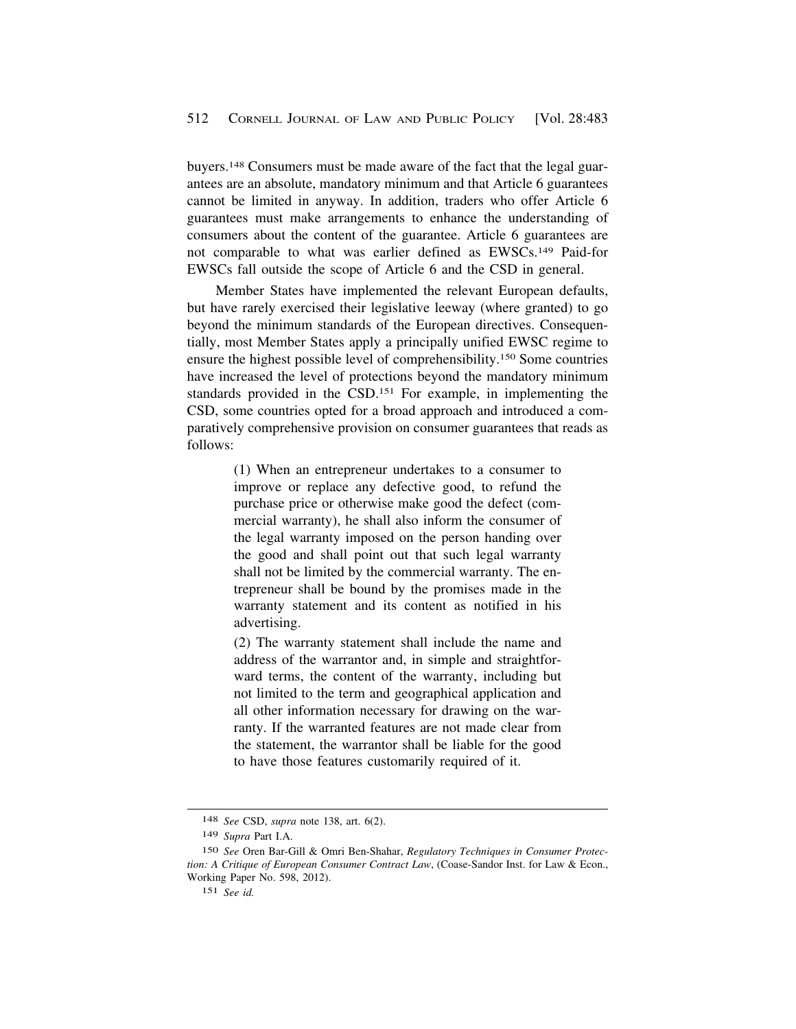buyers.148 Consumers must be made aware of the fact that the legal guarantees are an absolute, mandatory minimum and that Article 6 guarantees cannot be limited in anyway. In addition, traders who offer Article 6 guarantees must make arrangements to enhance the understanding of consumers about the content of the guarantee. Article 6 guarantees are not comparable to what was earlier defined as EWSCs.149 Paid-for EWSCs fall outside the scope of Article 6 and the CSD in general.

Member States have implemented the relevant European defaults, but have rarely exercised their legislative leeway (where granted) to go beyond the minimum standards of the European directives. Consequentially, most Member States apply a principally unified EWSC regime to ensure the highest possible level of comprehensibility.150 Some countries have increased the level of protections beyond the mandatory minimum standards provided in the CSD.151 For example, in implementing the CSD, some countries opted for a broad approach and introduced a comparatively comprehensive provision on consumer guarantees that reads as follows:

> (1) When an entrepreneur undertakes to a consumer to improve or replace any defective good, to refund the purchase price or otherwise make good the defect (commercial warranty), he shall also inform the consumer of the legal warranty imposed on the person handing over the good and shall point out that such legal warranty shall not be limited by the commercial warranty. The entrepreneur shall be bound by the promises made in the warranty statement and its content as notified in his advertising.

> (2) The warranty statement shall include the name and address of the warrantor and, in simple and straightforward terms, the content of the warranty, including but not limited to the term and geographical application and all other information necessary for drawing on the warranty. If the warranted features are not made clear from the statement, the warrantor shall be liable for the good to have those features customarily required of it.

<sup>148</sup> *See* CSD, *supra* note 138, art. 6(2).

<sup>149</sup> *Supra* Part I.A.

<sup>150</sup> *See* Oren Bar-Gill & Omri Ben-Shahar, *Regulatory Techniques in Consumer Protection: A Critique of European Consumer Contract Law*, (Coase-Sandor Inst. for Law & Econ., Working Paper No. 598, 2012).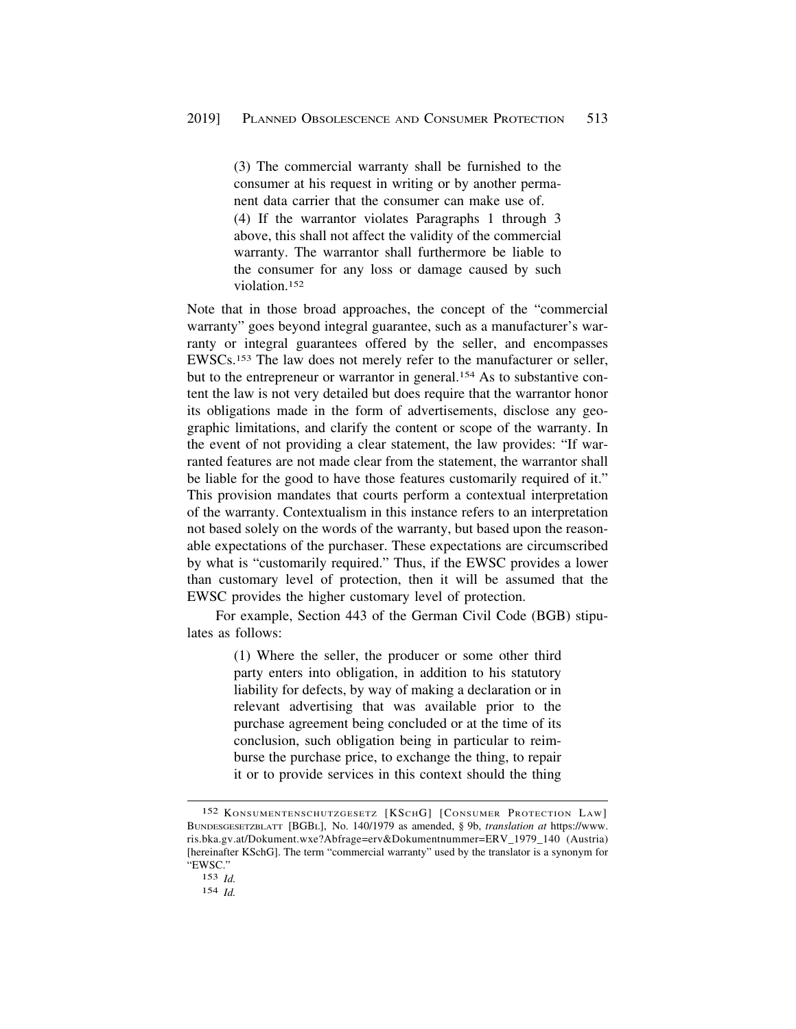(3) The commercial warranty shall be furnished to the consumer at his request in writing or by another permanent data carrier that the consumer can make use of. (4) If the warrantor violates Paragraphs 1 through 3 above, this shall not affect the validity of the commercial warranty. The warrantor shall furthermore be liable to the consumer for any loss or damage caused by such violation<sup>152</sup>

Note that in those broad approaches, the concept of the "commercial warranty" goes beyond integral guarantee, such as a manufacturer's warranty or integral guarantees offered by the seller, and encompasses EWSCs.153 The law does not merely refer to the manufacturer or seller, but to the entrepreneur or warrantor in general.<sup>154</sup> As to substantive content the law is not very detailed but does require that the warrantor honor its obligations made in the form of advertisements, disclose any geographic limitations, and clarify the content or scope of the warranty. In the event of not providing a clear statement, the law provides: "If warranted features are not made clear from the statement, the warrantor shall be liable for the good to have those features customarily required of it." This provision mandates that courts perform a contextual interpretation of the warranty. Contextualism in this instance refers to an interpretation not based solely on the words of the warranty, but based upon the reasonable expectations of the purchaser. These expectations are circumscribed by what is "customarily required." Thus, if the EWSC provides a lower than customary level of protection, then it will be assumed that the EWSC provides the higher customary level of protection.

For example, Section 443 of the German Civil Code (BGB) stipulates as follows:

> (1) Where the seller, the producer or some other third party enters into obligation, in addition to his statutory liability for defects, by way of making a declaration or in relevant advertising that was available prior to the purchase agreement being concluded or at the time of its conclusion, such obligation being in particular to reimburse the purchase price, to exchange the thing, to repair it or to provide services in this context should the thing

<sup>152</sup> KONSUMENTENSCHUTZGESETZ [KSCHG] [CONSUMER PROTECTION LAW] BUNDESGESETZBLATT [BGBL], No. 140/1979 as amended, § 9b, *translation at* [https://www.](https://www) ris.bka.gv.at/Dokument.wxe?Abfrage=erv&Dokumentnummer=ERV\_1979\_140 (Austria) [hereinafter KSchG]. The term "commercial warranty" used by the translator is a synonym for "EWSC."

<sup>153</sup> *Id.* 

<sup>154</sup> *Id.*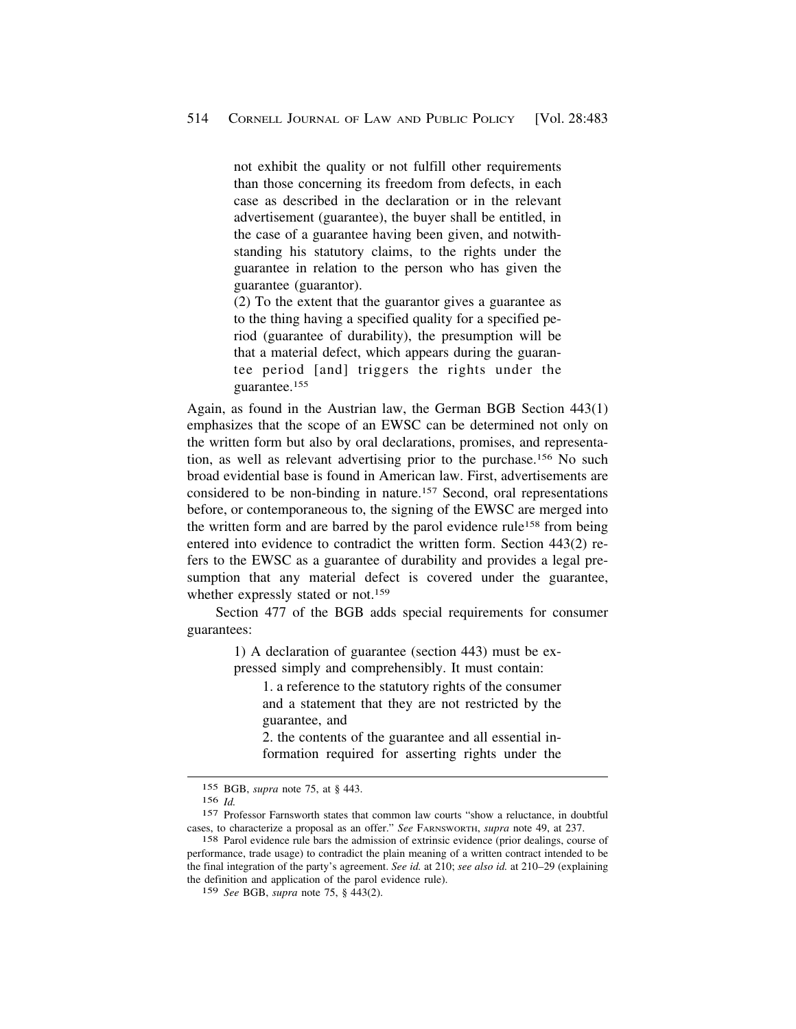not exhibit the quality or not fulfill other requirements than those concerning its freedom from defects, in each case as described in the declaration or in the relevant advertisement (guarantee), the buyer shall be entitled, in the case of a guarantee having been given, and notwithstanding his statutory claims, to the rights under the guarantee in relation to the person who has given the guarantee (guarantor).

(2) To the extent that the guarantor gives a guarantee as to the thing having a specified quality for a specified period (guarantee of durability), the presumption will be that a material defect, which appears during the guarantee period [and] triggers the rights under the guarantee.155

Again, as found in the Austrian law, the German BGB Section 443(1) emphasizes that the scope of an EWSC can be determined not only on the written form but also by oral declarations, promises, and representation, as well as relevant advertising prior to the purchase.156 No such broad evidential base is found in American law. First, advertisements are considered to be non-binding in nature.157 Second, oral representations before, or contemporaneous to, the signing of the EWSC are merged into the written form and are barred by the parol evidence rule158 from being entered into evidence to contradict the written form. Section 443(2) refers to the EWSC as a guarantee of durability and provides a legal presumption that any material defect is covered under the guarantee, whether expressly stated or not.<sup>159</sup>

Section 477 of the BGB adds special requirements for consumer guarantees:

> 1) A declaration of guarantee (section 443) must be expressed simply and comprehensibly. It must contain:

1. a reference to the statutory rights of the consumer and a statement that they are not restricted by the guarantee, and

2. the contents of the guarantee and all essential information required for asserting rights under the

159 *See* BGB, *supra* note 75, § 443(2).

<sup>155</sup> BGB, *supra* note 75, at § 443.

<sup>156</sup> *Id.* 

<sup>157</sup> Professor Farnsworth states that common law courts "show a reluctance, in doubtful cases, to characterize a proposal as an offer." *See* FARNSWORTH, *supra* note 49, at 237.

<sup>158</sup> Parol evidence rule bars the admission of extrinsic evidence (prior dealings, course of performance, trade usage) to contradict the plain meaning of a written contract intended to be the final integration of the party's agreement. *See id.* at 210; *see also id.* at 210–29 (explaining the definition and application of the parol evidence rule).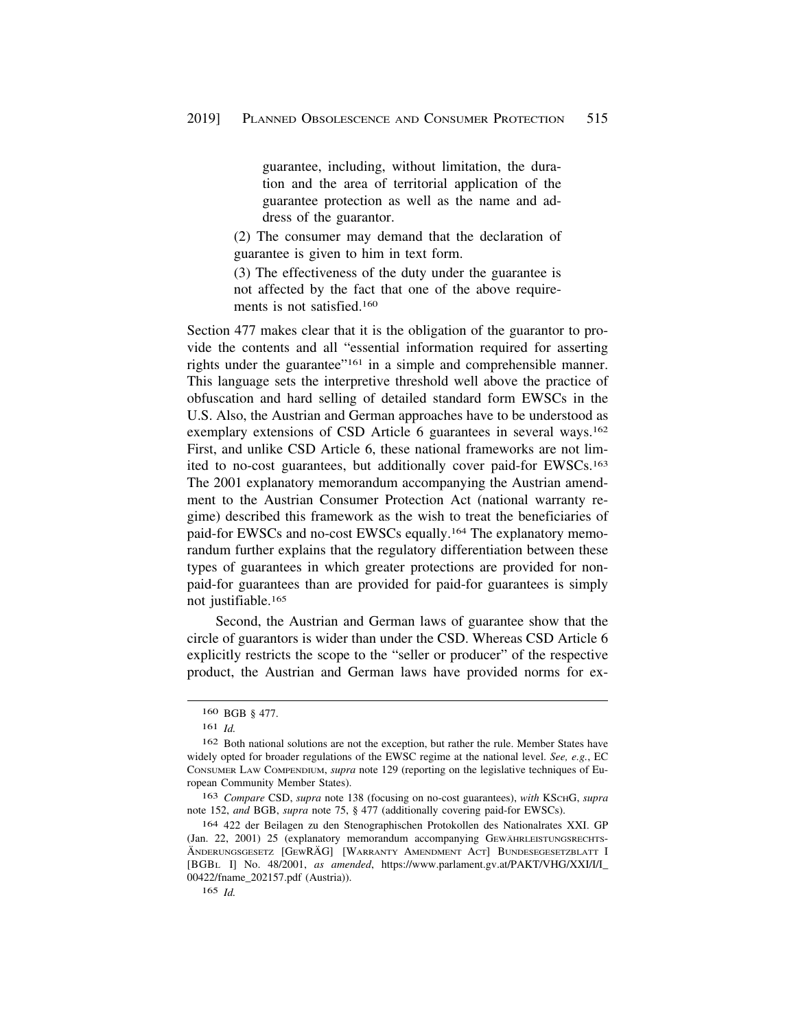guarantee, including, without limitation, the duration and the area of territorial application of the guarantee protection as well as the name and address of the guarantor.

(2) The consumer may demand that the declaration of guarantee is given to him in text form.

(3) The effectiveness of the duty under the guarantee is not affected by the fact that one of the above requirements is not satisfied.160

Section 477 makes clear that it is the obligation of the guarantor to provide the contents and all "essential information required for asserting rights under the guarantee"161 in a simple and comprehensible manner. This language sets the interpretive threshold well above the practice of obfuscation and hard selling of detailed standard form EWSCs in the U.S. Also, the Austrian and German approaches have to be understood as exemplary extensions of CSD Article 6 guarantees in several ways.<sup>162</sup> First, and unlike CSD Article 6, these national frameworks are not limited to no-cost guarantees, but additionally cover paid-for EWSCs.163 The 2001 explanatory memorandum accompanying the Austrian amendment to the Austrian Consumer Protection Act (national warranty regime) described this framework as the wish to treat the beneficiaries of paid-for EWSCs and no-cost EWSCs equally.164 The explanatory memorandum further explains that the regulatory differentiation between these types of guarantees in which greater protections are provided for nonpaid-for guarantees than are provided for paid-for guarantees is simply not justifiable.165

Second, the Austrian and German laws of guarantee show that the circle of guarantors is wider than under the CSD. Whereas CSD Article 6 explicitly restricts the scope to the "seller or producer" of the respective product, the Austrian and German laws have provided norms for ex-

163 *Compare* CSD, *supra* note 138 (focusing on no-cost guarantees), *with* KSCHG, *supra*  note 152, *and* BGB, *supra* note 75, § 477 (additionally covering paid-for EWSCs).

164 422 der Beilagen zu den Stenographischen Protokollen des Nationalrates XXI. GP (Jan. 22, 2001) 25 (explanatory memorandum accompanying GEWÄHRLEISTUNGSRECHTS-ÄNDERUNGSGESETZ [GEWRÄG] [WARRANTY AMENDMENT ACT] BUNDESEGESETZBLATT I [BGBL I] No. 48/2001, *as amended*, [https://www.parlament.gv.at/PAKT/VHG/XXI/I/I\\_](https://www.parlament.gv.at/PAKT/VHG/XXI/I/I) 00422/fname\_202157.pdf (Austria)).

165 *Id.* 

<sup>160</sup> BGB § 477.

<sup>161</sup> *Id.* 

<sup>162</sup> Both national solutions are not the exception, but rather the rule. Member States have widely opted for broader regulations of the EWSC regime at the national level. *See, e.g.*, EC CONSUMER LAW COMPENDIUM, *supra* note 129 (reporting on the legislative techniques of European Community Member States).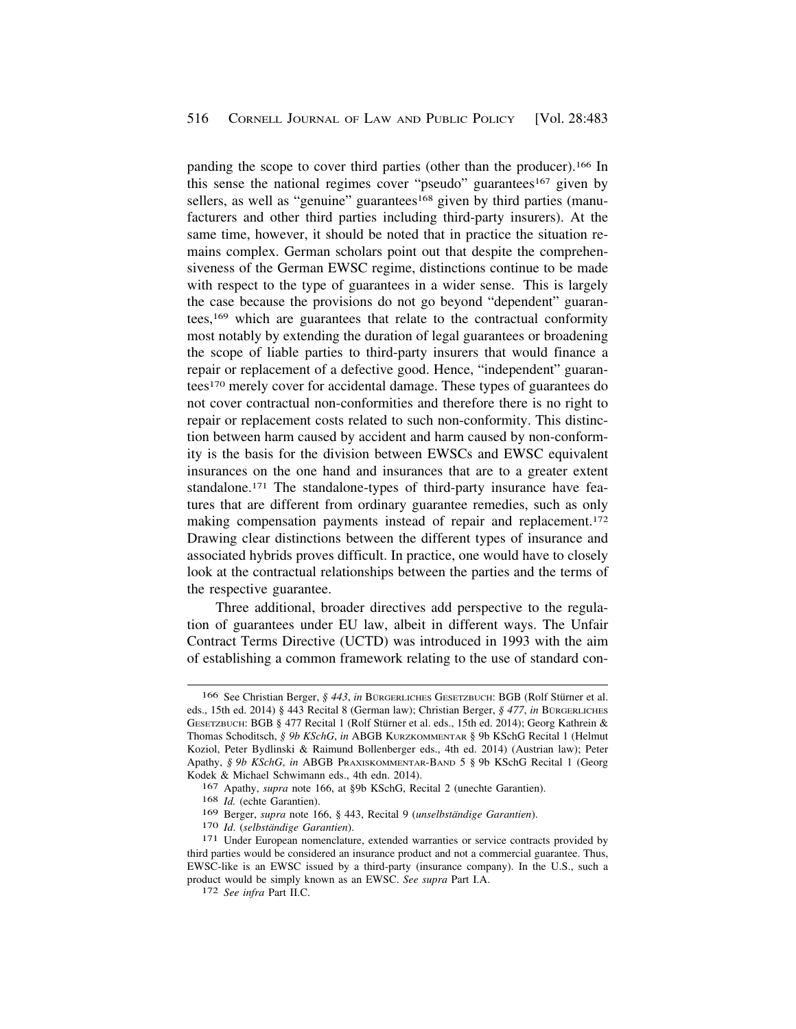panding the scope to cover third parties (other than the producer).166 In this sense the national regimes cover "pseudo" guarantees<sup>167</sup> given by sellers, as well as "genuine" guarantees<sup>168</sup> given by third parties (manufacturers and other third parties including third-party insurers). At the same time, however, it should be noted that in practice the situation remains complex. German scholars point out that despite the comprehensiveness of the German EWSC regime, distinctions continue to be made with respect to the type of guarantees in a wider sense. This is largely the case because the provisions do not go beyond "dependent" guarantees,169 which are guarantees that relate to the contractual conformity most notably by extending the duration of legal guarantees or broadening the scope of liable parties to third-party insurers that would finance a repair or replacement of a defective good. Hence, "independent" guarantees170 merely cover for accidental damage. These types of guarantees do not cover contractual non-conformities and therefore there is no right to repair or replacement costs related to such non-conformity. This distinction between harm caused by accident and harm caused by non-conformity is the basis for the division between EWSCs and EWSC equivalent insurances on the one hand and insurances that are to a greater extent standalone.171 The standalone-types of third-party insurance have features that are different from ordinary guarantee remedies, such as only making compensation payments instead of repair and replacement.172 Drawing clear distinctions between the different types of insurance and associated hybrids proves difficult. In practice, one would have to closely look at the contractual relationships between the parties and the terms of the respective guarantee.

Three additional, broader directives add perspective to the regulation of guarantees under EU law, albeit in different ways. The Unfair Contract Terms Directive (UCTD) was introduced in 1993 with the aim of establishing a common framework relating to the use of standard con-

<sup>166</sup> See Christian Berger, § 443, in BURGERLICHES GESETZBUCH: BGB (Rolf Stürner et al. eds., 15th ed. 2014) § 443 Recital 8 (German law); Christian Berger, § 477, *in* BURGERLICHES GESETZBUCH: BGB § 477 Recital 1 (Rolf Stürner et al. eds., 15th ed. 2014); Georg Kathrein & Thomas Schoditsch, *§ 9b KSchG*, *in* ABGB KURZKOMMENTAR § 9b KSchG Recital 1 (Helmut Koziol, Peter Bydlinski & Raimund Bollenberger eds., 4th ed. 2014) (Austrian law); Peter Apathy, *§ 9b KSchG*, *in* ABGB PRAXISKOMMENTAR-BAND 5 § 9b KSchG Recital 1 (Georg Kodek & Michael Schwimann eds., 4th edn. 2014).

<sup>167</sup> Apathy, *supra* note 166, at §9b KSchG, Recital 2 (unechte Garantien).

<sup>168</sup> *Id.* (echte Garantien).

<sup>&</sup>lt;sup>169</sup> Berger, *supra* note 166, § 443, Recital 9 (*unselbständige Garantien*). <sup>170</sup> *Id.* (*selbständige Garantien*). <sup>171</sup> Under European nomenclature, extended warranties or service contracts provided by third parties would be considered an insurance product and not a commercial guarantee. Thus, EWSC-like is an EWSC issued by a third-party (insurance company). In the U.S., such a product would be simply known as an EWSC. *See supra* Part I.A. 172 *See infra* Part II.C.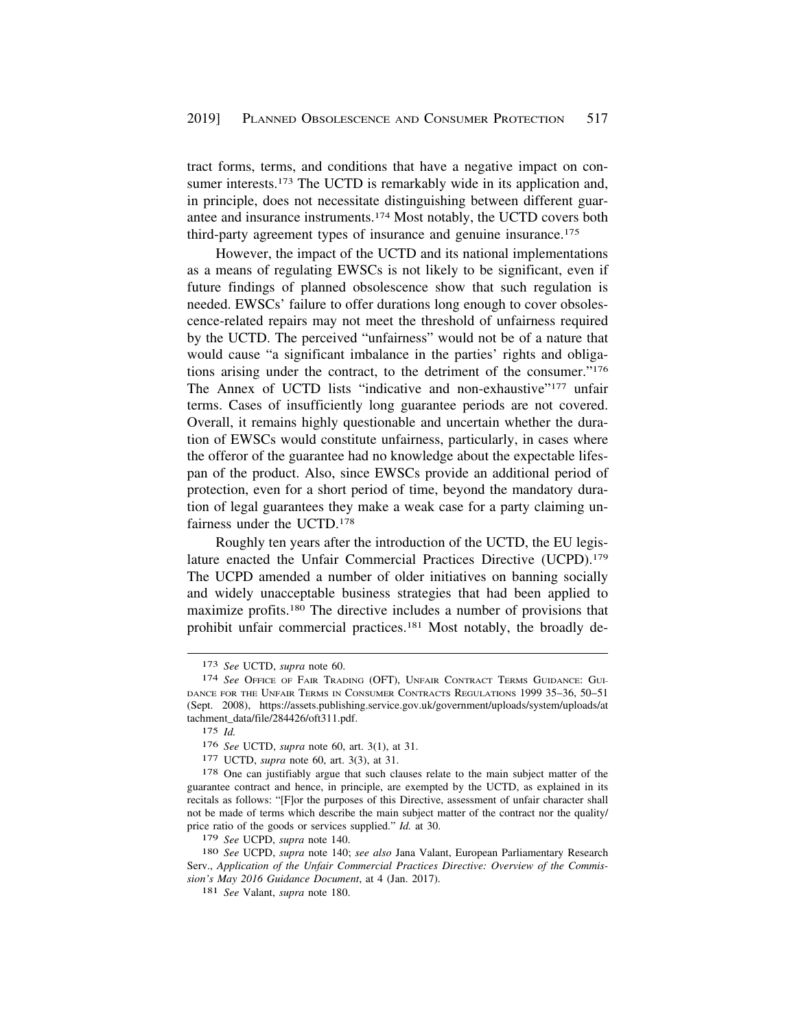tract forms, terms, and conditions that have a negative impact on consumer interests.<sup>173</sup> The UCTD is remarkably wide in its application and, in principle, does not necessitate distinguishing between different guarantee and insurance instruments.174 Most notably, the UCTD covers both third-party agreement types of insurance and genuine insurance.175

However, the impact of the UCTD and its national implementations as a means of regulating EWSCs is not likely to be significant, even if future findings of planned obsolescence show that such regulation is needed. EWSCs' failure to offer durations long enough to cover obsolescence-related repairs may not meet the threshold of unfairness required by the UCTD. The perceived "unfairness" would not be of a nature that would cause "a significant imbalance in the parties' rights and obligations arising under the contract, to the detriment of the consumer."176 The Annex of UCTD lists "indicative and non-exhaustive"<sup>177</sup> unfair terms. Cases of insufficiently long guarantee periods are not covered. Overall, it remains highly questionable and uncertain whether the duration of EWSCs would constitute unfairness, particularly, in cases where the offeror of the guarantee had no knowledge about the expectable lifespan of the product. Also, since EWSCs provide an additional period of protection, even for a short period of time, beyond the mandatory duration of legal guarantees they make a weak case for a party claiming unfairness under the UCTD.178

Roughly ten years after the introduction of the UCTD, the EU legislature enacted the Unfair Commercial Practices Directive (UCPD).<sup>179</sup> The UCPD amended a number of older initiatives on banning socially and widely unacceptable business strategies that had been applied to maximize profits.180 The directive includes a number of provisions that prohibit unfair commercial practices.181 Most notably, the broadly de-

<sup>173</sup> *See* UCTD, *supra* note 60.

<sup>174</sup> *See* OFFICE OF FAIR TRADING (OFT), UNFAIR CONTRACT TERMS GUIDANCE: GUI-DANCE FOR THE UNFAIR TERMS IN CONSUMER CONTRACTS REGULATIONS 1999 35–36, 50–51 (Sept. 2008), <https://assets.publishing.service.gov.uk/government/uploads/system/uploads/at> tachment\_data/file/284426/oft311.pdf.

<sup>175</sup> *Id.* 

<sup>176</sup> *See* UCTD, *supra* note 60, art. 3(1), at 31.

<sup>177</sup> UCTD, *supra* note 60, art. 3(3), at 31.

<sup>&</sup>lt;sup>178</sup> One can justifiably argue that such clauses relate to the main subject matter of the guarantee contract and hence, in principle, are exempted by the UCTD, as explained in its recitals as follows: "[F]or the purposes of this Directive, assessment of unfair character shall not be made of terms which describe the main subject matter of the contract nor the quality/ price ratio of the goods or services supplied." *Id.* at 30.

<sup>179</sup> *See* UCPD, *supra* note 140.

<sup>180</sup> *See* UCPD, *supra* note 140; *see also* Jana Valant, European Parliamentary Research Serv., *Application of the Unfair Commercial Practices Directive: Overview of the Commission's May 2016 Guidance Document*, at 4 (Jan. 2017). 181 *See* Valant, *supra* note 180.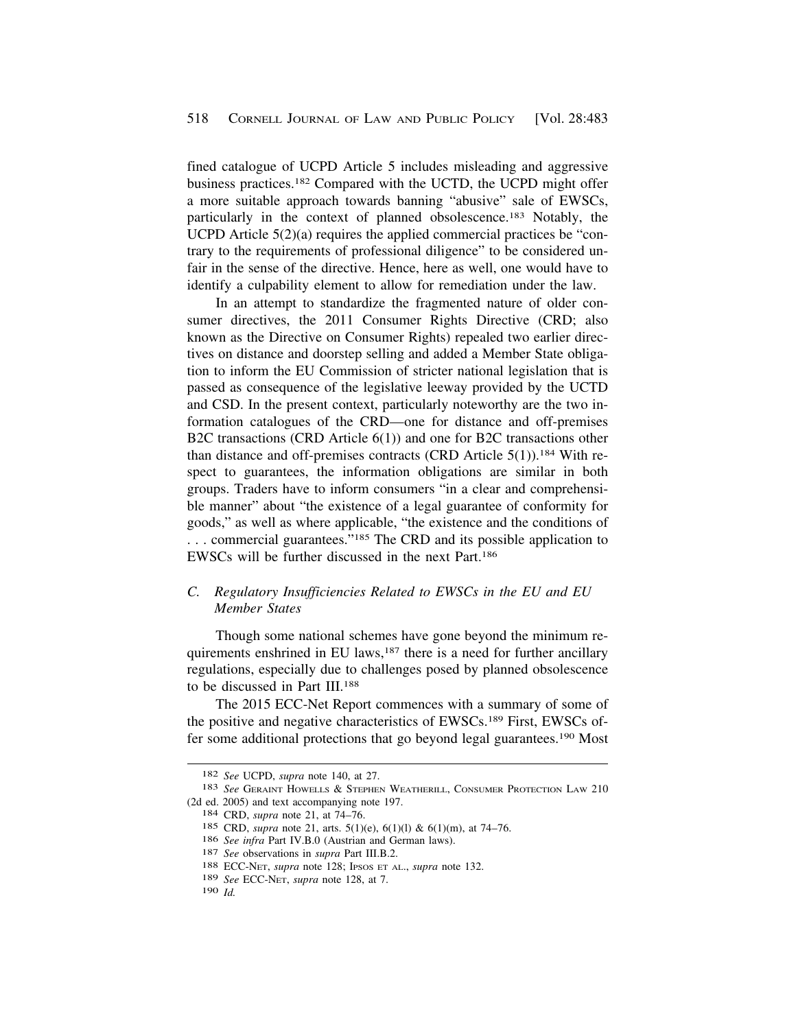<span id="page-35-0"></span>fined catalogue of UCPD Article 5 includes misleading and aggressive business practices.182 Compared with the UCTD, the UCPD might offer a more suitable approach towards banning "abusive" sale of EWSCs, particularly in the context of planned obsolescence.183 Notably, the UCPD Article 5(2)(a) requires the applied commercial practices be "contrary to the requirements of professional diligence" to be considered unfair in the sense of the directive. Hence, here as well, one would have to identify a culpability element to allow for remediation under the law.

In an attempt to standardize the fragmented nature of older consumer directives, the 2011 Consumer Rights Directive (CRD; also known as the Directive on Consumer Rights) repealed two earlier directives on distance and doorstep selling and added a Member State obligation to inform the EU Commission of stricter national legislation that is passed as consequence of the legislative leeway provided by the UCTD and CSD. In the present context, particularly noteworthy are the two information catalogues of the CRD—one for distance and off-premises B2C transactions (CRD Article 6(1)) and one for B2C transactions other than distance and off-premises contracts (CRD Article  $5(1)$ ).<sup>184</sup> With respect to guarantees, the information obligations are similar in both groups. Traders have to inform consumers "in a clear and comprehensible manner" about "the existence of a legal guarantee of conformity for goods," as well as where applicable, "the existence and the conditions of ... commercial guarantees."<sup>185</sup> The CRD and its possible application to EWSCs will be further discussed in the next Part.186

## *C. Regulatory Insufficiencies Related to EWSCs in the EU and EU Member States*

Though some national schemes have gone beyond the minimum requirements enshrined in EU laws,187 there is a need for further ancillary regulations, especially due to challenges posed by planned obsolescence to be discussed in Part III.188

The 2015 ECC-Net Report commences with a summary of some of the positive and negative characteristics of EWSCs.189 First, EWSCs offer some additional protections that go beyond legal guarantees.190 Most

<sup>182</sup>*See* UCPD, *supra* note 140, at 27. 183 *See* GERAINT HOWELLS & STEPHEN WEATHERILL, CONSUMER PROTECTION LAW 210 (2d ed. 2005) and text accompanying note 197. 184 CRD, *supra* note 21, at 74–76.

<sup>185</sup> CRD, *supra* note 21, arts. 5(1)(e), 6(1)(l) & 6(1)(m), at 74–76.

<sup>186</sup>*See infra* Part IV.B.0 (Austrian and German laws). 187 *See* observations in *supra* Part III.B.2. 188 ECC-NET, *supra* note 128; IPSOS ET AL., *supra* note 132.

<sup>189</sup> *See* ECC-NET, *supra* note 128, at 7.

<sup>190</sup> *Id.*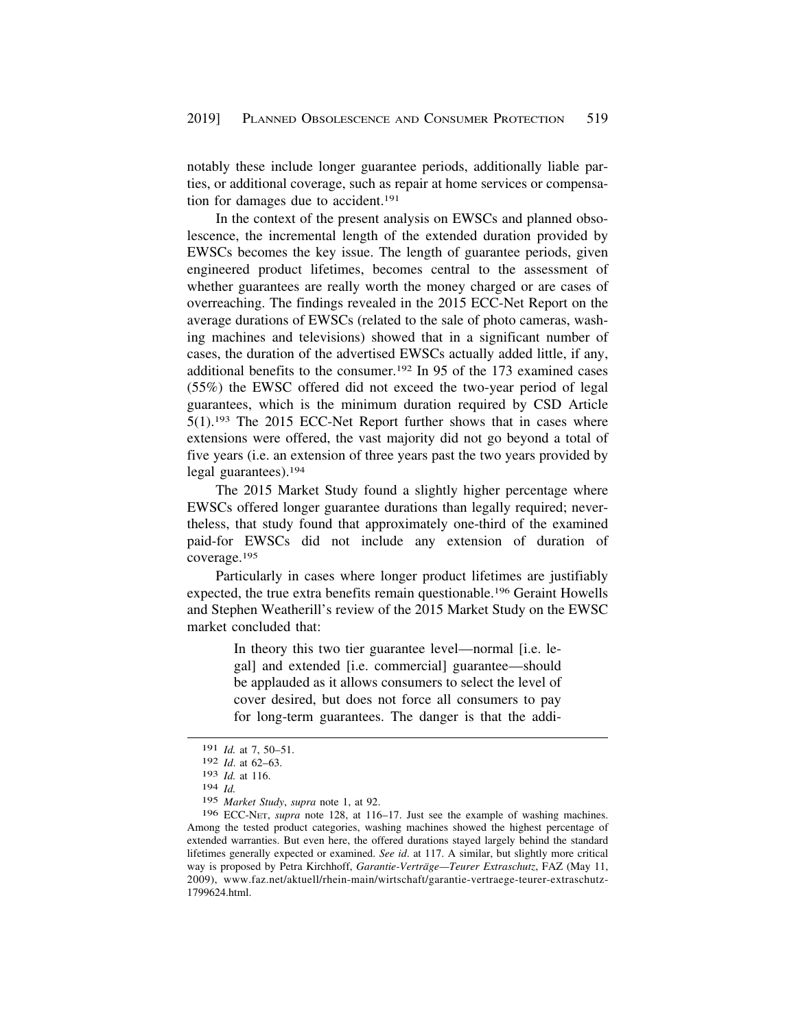notably these include longer guarantee periods, additionally liable parties, or additional coverage, such as repair at home services or compensation for damages due to accident.191

In the context of the present analysis on EWSCs and planned obsolescence, the incremental length of the extended duration provided by EWSCs becomes the key issue. The length of guarantee periods, given engineered product lifetimes, becomes central to the assessment of whether guarantees are really worth the money charged or are cases of overreaching. The findings revealed in the 2015 ECC-Net Report on the average durations of EWSCs (related to the sale of photo cameras, washing machines and televisions) showed that in a significant number of cases, the duration of the advertised EWSCs actually added little, if any, additional benefits to the consumer.192 In 95 of the 173 examined cases (55%) the EWSC offered did not exceed the two-year period of legal guarantees, which is the minimum duration required by CSD Article 5(1).193 The 2015 ECC-Net Report further shows that in cases where extensions were offered, the vast majority did not go beyond a total of five years (i.e. an extension of three years past the two years provided by legal guarantees).194

The 2015 Market Study found a slightly higher percentage where EWSCs offered longer guarantee durations than legally required; nevertheless, that study found that approximately one-third of the examined paid-for EWSCs did not include any extension of duration of coverage.195

Particularly in cases where longer product lifetimes are justifiably expected, the true extra benefits remain questionable.196 Geraint Howells and Stephen Weatherill's review of the 2015 Market Study on the EWSC market concluded that:

> In theory this two tier guarantee level—normal [i.e. legal] and extended [i.e. commercial] guarantee—should be applauded as it allows consumers to select the level of cover desired, but does not force all consumers to pay for long-term guarantees. The danger is that the addi-

<sup>191</sup> *Id.* at 7, 50–51.

<sup>192</sup> *Id*. at 62–63.

<sup>193</sup> *Id.* at 116.

<sup>194</sup> *Id.* 

<sup>195</sup> *Market Study*, *supra* note 1, at 92.

<sup>196</sup> ECC-NET, *supra* note 128, at 116–17. Just see the example of washing machines. Among the tested product categories, washing machines showed the highest percentage of extended warranties. But even here, the offered durations stayed largely behind the standard lifetimes generally expected or examined. *See id*. at 117. A similar, but slightly more critical way is proposed by Petra Kirchhoff, *Garantie-Verträge—Teurer Extraschutz*, FAZ (May 11, 2009), <www.faz.net/aktuell/rhein-main/wirtschaft/garantie-vertraege-teurer-extraschutz>-1799624.html.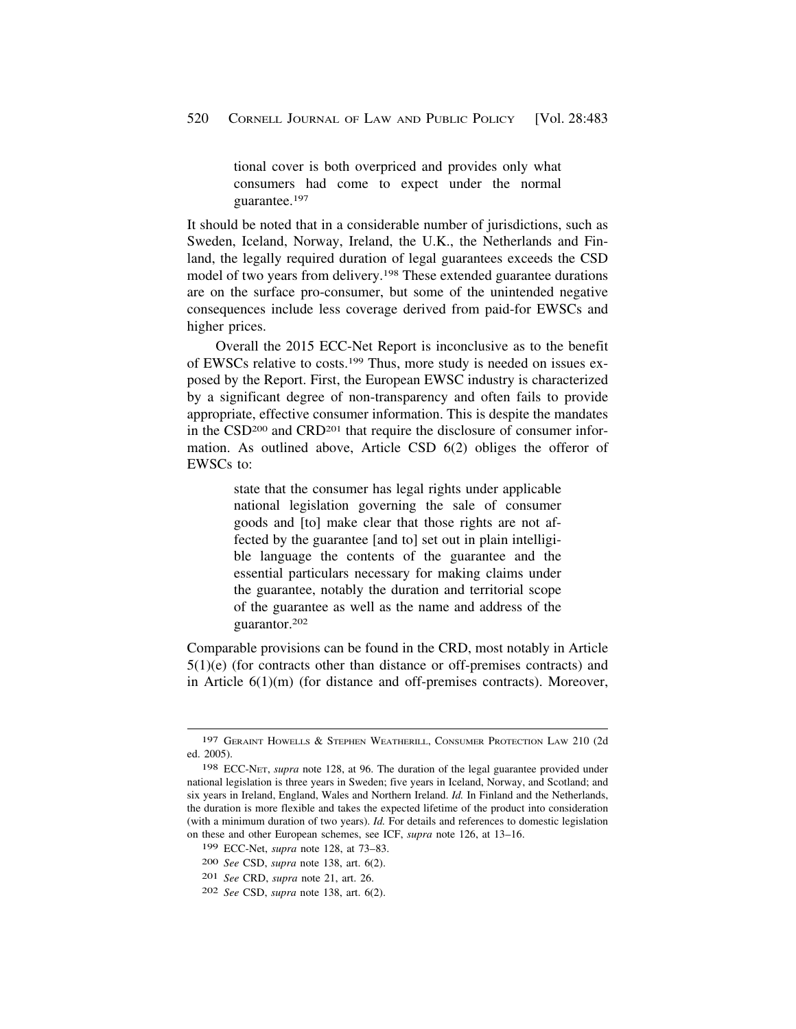tional cover is both overpriced and provides only what consumers had come to expect under the normal guarantee.197

It should be noted that in a considerable number of jurisdictions, such as Sweden, Iceland, Norway, Ireland, the U.K., the Netherlands and Finland, the legally required duration of legal guarantees exceeds the CSD model of two years from delivery.198 These extended guarantee durations are on the surface pro-consumer, but some of the unintended negative consequences include less coverage derived from paid-for EWSCs and higher prices.

Overall the 2015 ECC-Net Report is inconclusive as to the benefit of EWSCs relative to costs.199 Thus, more study is needed on issues exposed by the Report. First, the European EWSC industry is characterized by a significant degree of non-transparency and often fails to provide appropriate, effective consumer information. This is despite the mandates in the CSD200 and CRD201 that require the disclosure of consumer information. As outlined above, Article CSD 6(2) obliges the offeror of EWSCs to:

> state that the consumer has legal rights under applicable national legislation governing the sale of consumer goods and [to] make clear that those rights are not affected by the guarantee [and to] set out in plain intelligible language the contents of the guarantee and the essential particulars necessary for making claims under the guarantee, notably the duration and territorial scope of the guarantee as well as the name and address of the guarantor.202

Comparable provisions can be found in the CRD, most notably in Article 5(1)(e) (for contracts other than distance or off-premises contracts) and in Article 6(1)(m) (for distance and off-premises contracts). Moreover,

<sup>197</sup> GERAINT HOWELLS & STEPHEN WEATHERILL, CONSUMER PROTECTION LAW 210 (2d ed. 2005).

<sup>198</sup> ECC-NET, *supra* note 128, at 96. The duration of the legal guarantee provided under national legislation is three years in Sweden; five years in Iceland, Norway, and Scotland; and six years in Ireland, England, Wales and Northern Ireland. *Id.* In Finland and the Netherlands, the duration is more flexible and takes the expected lifetime of the product into consideration (with a minimum duration of two years). *Id.* For details and references to domestic legislation on these and other European schemes, see ICF, *supra* note 126, at 13–16.

<sup>199</sup> ECC-Net, *supra* note 128, at 73–83.

<sup>200</sup> *See* CSD, *supra* note 138, art. 6(2).

<sup>201</sup> *See* CRD, *supra* note 21, art. 26.

<sup>202</sup> *See* CSD, *supra* note 138, art. 6(2).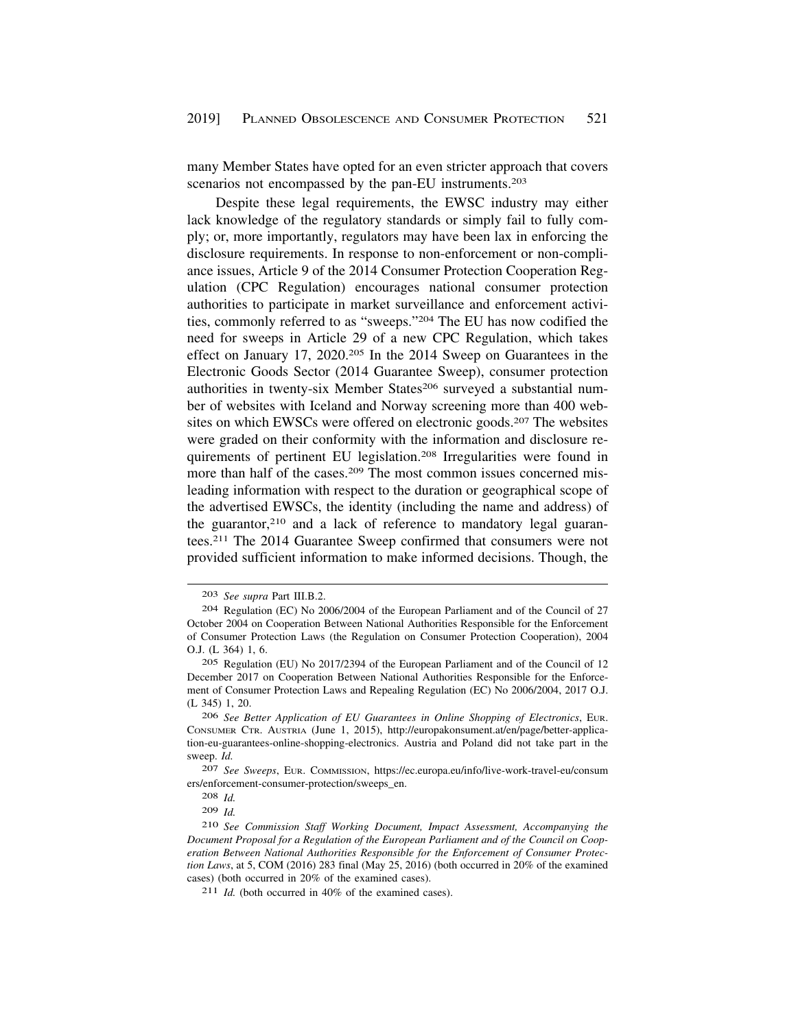many Member States have opted for an even stricter approach that covers scenarios not encompassed by the pan-EU instruments.<sup>203</sup>

Despite these legal requirements, the EWSC industry may either lack knowledge of the regulatory standards or simply fail to fully comply; or, more importantly, regulators may have been lax in enforcing the disclosure requirements. In response to non-enforcement or non-compliance issues, Article 9 of the 2014 Consumer Protection Cooperation Regulation (CPC Regulation) encourages national consumer protection authorities to participate in market surveillance and enforcement activities, commonly referred to as "sweeps."204 The EU has now codified the need for sweeps in Article 29 of a new CPC Regulation, which takes effect on January 17, 2020.205 In the 2014 Sweep on Guarantees in the Electronic Goods Sector (2014 Guarantee Sweep), consumer protection authorities in twenty-six Member States<sup>206</sup> surveyed a substantial number of websites with Iceland and Norway screening more than 400 websites on which EWSCs were offered on electronic goods.<sup>207</sup> The websites were graded on their conformity with the information and disclosure requirements of pertinent EU legislation.208 Irregularities were found in more than half of the cases.<sup>209</sup> The most common issues concerned misleading information with respect to the duration or geographical scope of the advertised EWSCs, the identity (including the name and address) of the guarantor,210 and a lack of reference to mandatory legal guarantees.211 The 2014 Guarantee Sweep confirmed that consumers were not provided sufficient information to make informed decisions. Though, the

<sup>203</sup> *See supra* Part III.B.2.

<sup>204</sup> Regulation (EC) No 2006/2004 of the European Parliament and of the Council of 27 October 2004 on Cooperation Between National Authorities Responsible for the Enforcement of Consumer Protection Laws (the Regulation on Consumer Protection Cooperation), 2004 O.J. (L 364) 1, 6.

<sup>205</sup> Regulation (EU) No 2017/2394 of the European Parliament and of the Council of 12 December 2017 on Cooperation Between National Authorities Responsible for the Enforcement of Consumer Protection Laws and Repealing Regulation (EC) No 2006/2004, 2017 O.J. (L 345) 1, 20.

<sup>206</sup> *See Better Application of EU Guarantees in Online Shopping of Electronics*, EUR. CONSUMER CTR. AUSTRIA (June 1, 2015), <http://europakonsument.at/en/page/better-applica>tion-eu-guarantees-online-shopping-electronics. Austria and Poland did not take part in the sweep. *Id.* 

<sup>207</sup> *See Sweeps*, EUR. COMMISSION, <https://ec.europa.eu/info/live-work-travel-eu/consum> ers/enforcement-consumer-protection/sweeps\_en.

<sup>208</sup> *Id.* 

<sup>209</sup> *Id.* 

<sup>210</sup> *See Commission Staff Working Document, Impact Assessment, Accompanying the Document Proposal for a Regulation of the European Parliament and of the Council on Cooperation Between National Authorities Responsible for the Enforcement of Consumer Protection Laws*, at 5, COM (2016) 283 final (May 25, 2016) (both occurred in 20% of the examined cases) (both occurred in 20% of the examined cases).

<sup>211</sup> *Id.* (both occurred in 40% of the examined cases).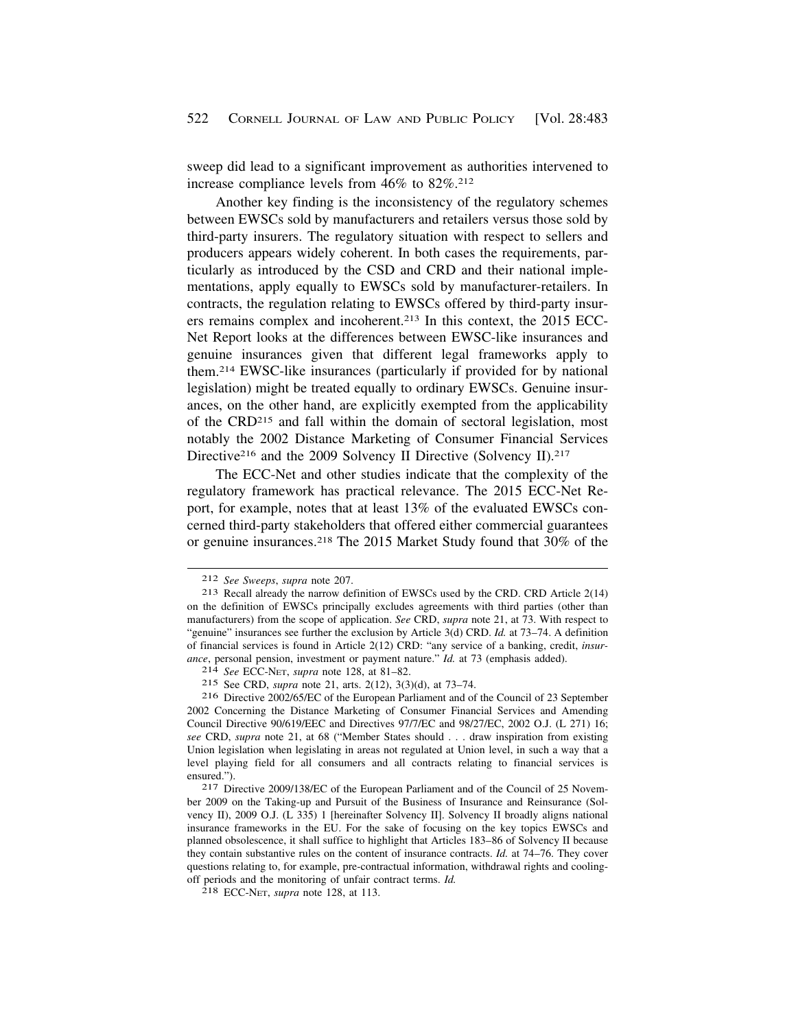sweep did lead to a significant improvement as authorities intervened to increase compliance levels from 46% to 82%.212

Another key finding is the inconsistency of the regulatory schemes between EWSCs sold by manufacturers and retailers versus those sold by third-party insurers. The regulatory situation with respect to sellers and producers appears widely coherent. In both cases the requirements, particularly as introduced by the CSD and CRD and their national implementations, apply equally to EWSCs sold by manufacturer-retailers. In contracts, the regulation relating to EWSCs offered by third-party insurers remains complex and incoherent.213 In this context, the 2015 ECC-Net Report looks at the differences between EWSC-like insurances and genuine insurances given that different legal frameworks apply to them.214 EWSC-like insurances (particularly if provided for by national legislation) might be treated equally to ordinary EWSCs. Genuine insurances, on the other hand, are explicitly exempted from the applicability of the CRD215 and fall within the domain of sectoral legislation, most notably the 2002 Distance Marketing of Consumer Financial Services Directive<sup>216</sup> and the 2009 Solvency II Directive (Solvency II).<sup>217</sup>

The ECC-Net and other studies indicate that the complexity of the regulatory framework has practical relevance. The 2015 ECC-Net Report, for example, notes that at least 13% of the evaluated EWSCs concerned third-party stakeholders that offered either commercial guarantees or genuine insurances.218 The 2015 Market Study found that 30% of the

<sup>212</sup>*See Sweeps*, *supra* note 207. 213 Recall already the narrow definition of EWSCs used by the CRD. CRD Article 2(14) on the definition of EWSCs principally excludes agreements with third parties (other than manufacturers) from the scope of application. *See* CRD, *supra* note 21, at 73. With respect to "genuine" insurances see further the exclusion by Article 3(d) CRD. *Id.* at 73–74. A definition of financial services is found in Article 2(12) CRD: "any service of a banking, credit, *insurance*, personal pension, investment or payment nature." *Id.* at 73 (emphasis added). 214 *See* ECC-NET, *supra* note 128, at 81–82.

<sup>215</sup> See CRD, *supra* note 21, arts. 2(12), 3(3)(d), at 73–74.

<sup>216</sup> Directive 2002/65/EC of the European Parliament and of the Council of 23 September 2002 Concerning the Distance Marketing of Consumer Financial Services and Amending Council Directive 90/619/EEC and Directives 97/7/EC and 98/27/EC, 2002 O.J. (L 271) 16; *see* CRD, *supra* note 21, at 68 ("Member States should . . . draw inspiration from existing Union legislation when legislating in areas not regulated at Union level, in such a way that a level playing field for all consumers and all contracts relating to financial services is ensured.").<br><sup>217</sup> Directive 2009/138/EC of the European Parliament and of the Council of 25 Novem-

ber 2009 on the Taking-up and Pursuit of the Business of Insurance and Reinsurance (Solvency II), 2009 O.J. (L 335) 1 [hereinafter Solvency II]. Solvency II broadly aligns national insurance frameworks in the EU. For the sake of focusing on the key topics EWSCs and planned obsolescence, it shall suffice to highlight that Articles 183–86 of Solvency II because they contain substantive rules on the content of insurance contracts. *Id.* at 74–76. They cover questions relating to, for example, pre-contractual information, withdrawal rights and coolingoff periods and the monitoring of unfair contract terms. *Id.* 218 ECC-NET, *supra* note 128, at 113.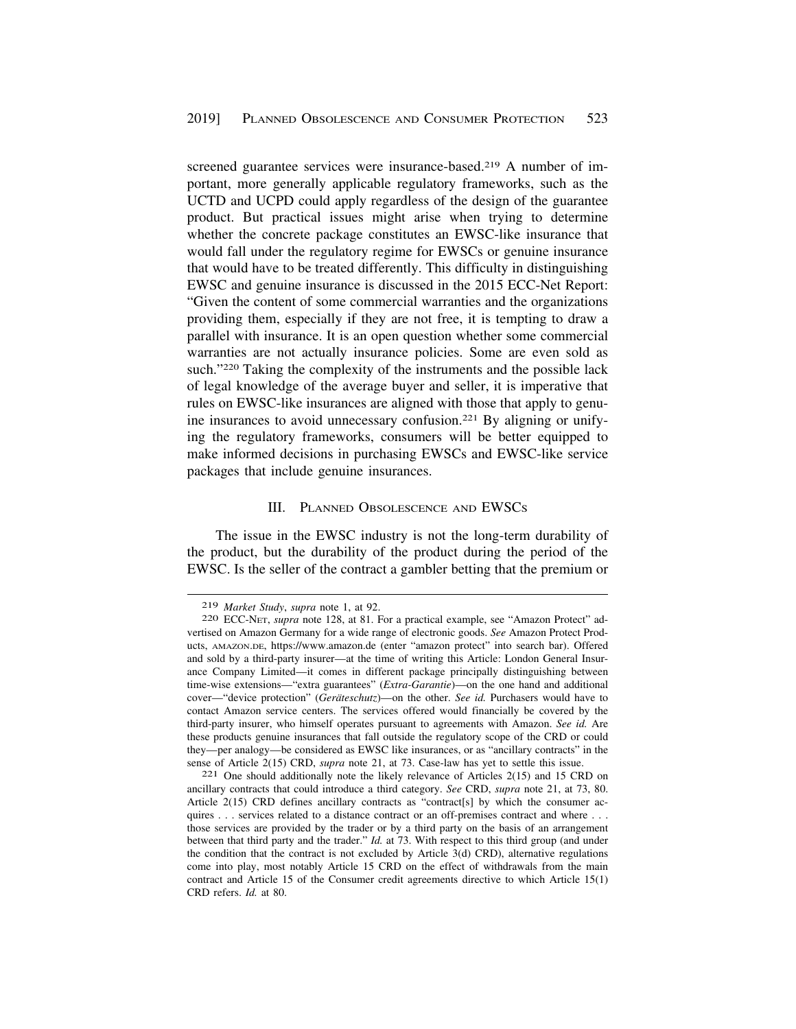<span id="page-40-0"></span>screened guarantee services were insurance-based.<sup>219</sup> A number of important, more generally applicable regulatory frameworks, such as the UCTD and UCPD could apply regardless of the design of the guarantee product. But practical issues might arise when trying to determine whether the concrete package constitutes an EWSC-like insurance that would fall under the regulatory regime for EWSCs or genuine insurance that would have to be treated differently. This difficulty in distinguishing EWSC and genuine insurance is discussed in the 2015 ECC-Net Report: "Given the content of some commercial warranties and the organizations providing them, especially if they are not free, it is tempting to draw a parallel with insurance. It is an open question whether some commercial warranties are not actually insurance policies. Some are even sold as such."220 Taking the complexity of the instruments and the possible lack of legal knowledge of the average buyer and seller, it is imperative that rules on EWSC-like insurances are aligned with those that apply to genuine insurances to avoid unnecessary confusion.221 By aligning or unifying the regulatory frameworks, consumers will be better equipped to make informed decisions in purchasing EWSCs and EWSC-like service packages that include genuine insurances.

#### III. PLANNED OBSOLESCENCE AND EWSCS

The issue in the EWSC industry is not the long-term durability of the product, but the durability of the product during the period of the EWSC. Is the seller of the contract a gambler betting that the premium or

<sup>219</sup>*Market Study*, *supra* note 1, at 92. 220 ECC-NET, *supra* note 128, at 81. For a practical example, see "Amazon Protect" advertised on Amazon Germany for a wide range of electronic goods. *See* Amazon Protect Products, [AMAZON.DE](https://AMAZON.DE), <https://www.amazon.de> (enter "amazon protect" into search bar). Offered and sold by a third-party insurer—at the time of writing this Article: London General Insurance Company Limited—it comes in different package principally distinguishing between time-wise extensions—"extra guarantees" (*Extra-Garantie*)—on the one hand and additional cover—"device protection" (*Geräteschutz*)—on the other. *See id.* Purchasers would have to contact Amazon service centers. The services offered would financially be covered by the third-party insurer, who himself operates pursuant to agreements with Amazon. *See id.* Are these products genuine insurances that fall outside the regulatory scope of the CRD or could they—per analogy—be considered as EWSC like insurances, or as "ancillary contracts" in the

sense of Article 2(15) CRD, *supra* note 21, at 73. Case-law has yet to settle this issue. 221 One should additionally note the likely relevance of Articles 2(15) and 15 CRD on ancillary contracts that could introduce a third category. *See* CRD, *supra* note 21, at 73, 80. Article 2(15) CRD defines ancillary contracts as "contract[s] by which the consumer acquires . . . services related to a distance contract or an off-premises contract and where . . . those services are provided by the trader or by a third party on the basis of an arrangement between that third party and the trader." *Id.* at 73. With respect to this third group (and under the condition that the contract is not excluded by Article 3(d) CRD), alternative regulations come into play, most notably Article 15 CRD on the effect of withdrawals from the main contract and Article 15 of the Consumer credit agreements directive to which Article 15(1) CRD refers. *Id.* at 80.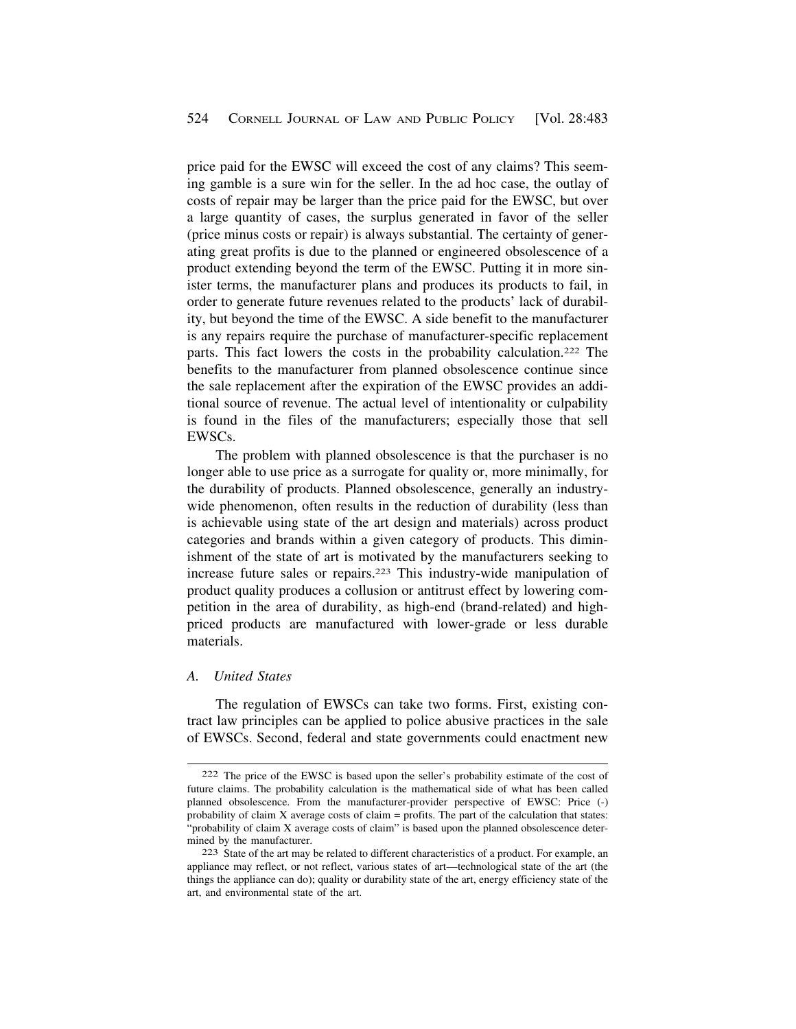<span id="page-41-0"></span>price paid for the EWSC will exceed the cost of any claims? This seeming gamble is a sure win for the seller. In the ad hoc case, the outlay of costs of repair may be larger than the price paid for the EWSC, but over a large quantity of cases, the surplus generated in favor of the seller (price minus costs or repair) is always substantial. The certainty of generating great profits is due to the planned or engineered obsolescence of a product extending beyond the term of the EWSC. Putting it in more sinister terms, the manufacturer plans and produces its products to fail, in order to generate future revenues related to the products' lack of durability, but beyond the time of the EWSC. A side benefit to the manufacturer is any repairs require the purchase of manufacturer-specific replacement parts. This fact lowers the costs in the probability calculation.222 The benefits to the manufacturer from planned obsolescence continue since the sale replacement after the expiration of the EWSC provides an additional source of revenue. The actual level of intentionality or culpability is found in the files of the manufacturers; especially those that sell EWSCs.

The problem with planned obsolescence is that the purchaser is no longer able to use price as a surrogate for quality or, more minimally, for the durability of products. Planned obsolescence, generally an industrywide phenomenon, often results in the reduction of durability (less than is achievable using state of the art design and materials) across product categories and brands within a given category of products. This diminishment of the state of art is motivated by the manufacturers seeking to increase future sales or repairs.223 This industry-wide manipulation of product quality produces a collusion or antitrust effect by lowering competition in the area of durability, as high-end (brand-related) and highpriced products are manufactured with lower-grade or less durable materials.

#### *A. United States*

The regulation of EWSCs can take two forms. First, existing contract law principles can be applied to police abusive practices in the sale of EWSCs. Second, federal and state governments could enactment new

<sup>222</sup> The price of the EWSC is based upon the seller's probability estimate of the cost of future claims. The probability calculation is the mathematical side of what has been called planned obsolescence. From the manufacturer-provider perspective of EWSC: Price (-) probability of claim X average costs of claim = profits. The part of the calculation that states: "probability of claim X average costs of claim" is based upon the planned obsolescence determined by the manufacturer.<br><sup>223</sup> State of the art may be related to different characteristics of a product. For example, an

appliance may reflect, or not reflect, various states of art—technological state of the art (the things the appliance can do); quality or durability state of the art, energy efficiency state of the art, and environmental state of the art.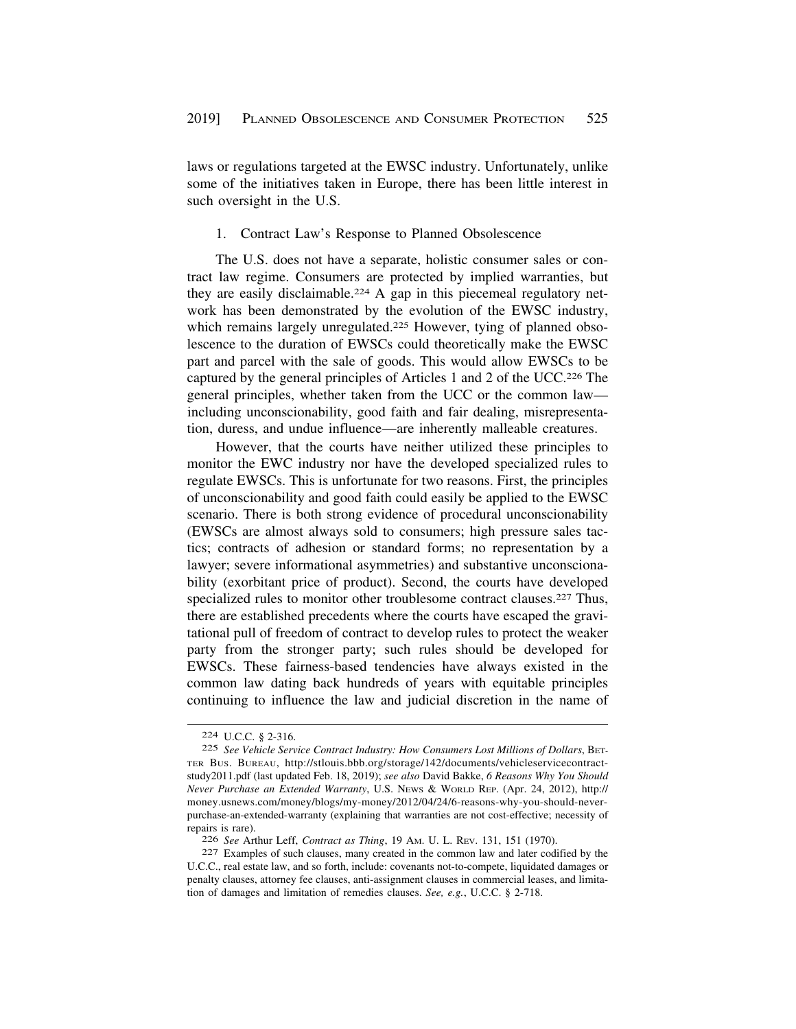<span id="page-42-0"></span>laws or regulations targeted at the EWSC industry. Unfortunately, unlike some of the initiatives taken in Europe, there has been little interest in such oversight in the U.S.

#### 1. Contract Law's Response to Planned Obsolescence

The U.S. does not have a separate, holistic consumer sales or contract law regime. Consumers are protected by implied warranties, but they are easily disclaimable.224 A gap in this piecemeal regulatory network has been demonstrated by the evolution of the EWSC industry, which remains largely unregulated.<sup>225</sup> However, tying of planned obsolescence to the duration of EWSCs could theoretically make the EWSC part and parcel with the sale of goods. This would allow EWSCs to be captured by the general principles of Articles 1 and 2 of the UCC.226 The general principles, whether taken from the UCC or the common law including unconscionability, good faith and fair dealing, misrepresentation, duress, and undue influence—are inherently malleable creatures.

However, that the courts have neither utilized these principles to monitor the EWC industry nor have the developed specialized rules to regulate EWSCs. This is unfortunate for two reasons. First, the principles of unconscionability and good faith could easily be applied to the EWSC scenario. There is both strong evidence of procedural unconscionability (EWSCs are almost always sold to consumers; high pressure sales tactics; contracts of adhesion or standard forms; no representation by a lawyer; severe informational asymmetries) and substantive unconscionability (exorbitant price of product). Second, the courts have developed specialized rules to monitor other troublesome contract clauses.<sup>227</sup> Thus, there are established precedents where the courts have escaped the gravitational pull of freedom of contract to develop rules to protect the weaker party from the stronger party; such rules should be developed for EWSCs. These fairness-based tendencies have always existed in the common law dating back hundreds of years with equitable principles continuing to influence the law and judicial discretion in the name of

<sup>224</sup> U.C.C. § 2-316.

<sup>225</sup> *See Vehicle Service Contract Industry: How Consumers Lost Millions of Dollars*, BET-TER BUS. BUREAU, <http://stlouis.bbb.org/storage/142/documents/vehicleservicecontract>study2011.pdf (last updated Feb. 18, 2019); *see also* David Bakke, *6 Reasons Why You Should Never Purchase an Extended Warranty*, U.S. NEWS & WORLD REP. (Apr. 24, 2012), http:// [money.usnews.com/money/blogs/my-money/2012/04/24/6-reasons-why-you-should-never](https://money.usnews.com/money/blogs/my-money/2012/04/24/6-reasons-why-you-should-never)purchase-an-extended-warranty (explaining that warranties are not cost-effective; necessity of repairs is rare).

<sup>226</sup>*See* Arthur Leff, *Contract as Thing*, 19 AM. U. L. REV. 131, 151 (1970). 227 Examples of such clauses, many created in the common law and later codified by the U.C.C., real estate law, and so forth, include: covenants not-to-compete, liquidated damages or penalty clauses, attorney fee clauses, anti-assignment clauses in commercial leases, and limitation of damages and limitation of remedies clauses. *See, e.g.*, U.C.C. § 2-718.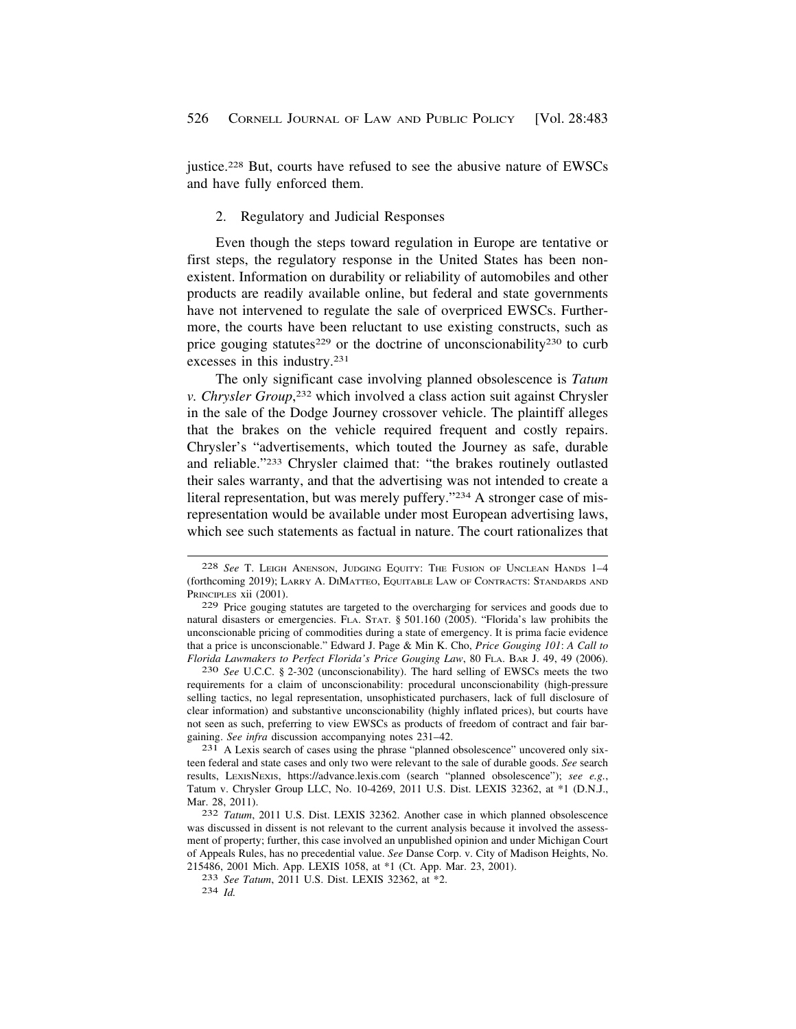<span id="page-43-0"></span>justice.228 But, courts have refused to see the abusive nature of EWSCs and have fully enforced them.

#### 2. Regulatory and Judicial Responses

Even though the steps toward regulation in Europe are tentative or first steps, the regulatory response in the United States has been nonexistent. Information on durability or reliability of automobiles and other products are readily available online, but federal and state governments have not intervened to regulate the sale of overpriced EWSCs. Furthermore, the courts have been reluctant to use existing constructs, such as price gouging statutes<sup>229</sup> or the doctrine of unconscionability<sup>230</sup> to curb excesses in this industry.231

The only significant case involving planned obsolescence is *Tatum v. Chrysler Group*, 232 which involved a class action suit against Chrysler in the sale of the Dodge Journey crossover vehicle. The plaintiff alleges that the brakes on the vehicle required frequent and costly repairs. Chrysler's "advertisements, which touted the Journey as safe, durable and reliable."233 Chrysler claimed that: "the brakes routinely outlasted their sales warranty, and that the advertising was not intended to create a literal representation, but was merely puffery."234 A stronger case of misrepresentation would be available under most European advertising laws, which see such statements as factual in nature. The court rationalizes that

requirements for a claim of unconscionability: procedural unconscionability (high-pressure selling tactics, no legal representation, unsophisticated purchasers, lack of full disclosure of clear information) and substantive unconscionability (highly inflated prices), but courts have not seen as such, preferring to view EWSCs as products of freedom of contract and fair bargaining. *See infra* discussion accompanying notes 231–42.<br><sup>231</sup> A Lexis search of cases using the phrase "planned obsolescence" uncovered only six-

teen federal and state cases and only two were relevant to the sale of durable goods. *See* search results, LEXISNEXIS, <https://advance.lexis.com>(search "planned obsolescence"); *see e.g.*, Tatum v. Chrysler Group LLC, No. 10-4269, 2011 U.S. Dist. LEXIS 32362, at \*1 (D.N.J., Mar. 28, 2011). 232 *Tatum*, 2011 U.S. Dist. LEXIS 32362. Another case in which planned obsolescence

<sup>228</sup> *See* T. LEIGH ANENSON, JUDGING EQUITY: THE FUSION OF UNCLEAN HANDS 1–4 (forthcoming 2019); LARRY A. DIMATTEO, EQUITABLE LAW OF CONTRACTS: STANDARDS AND PRINCIPLES xii (2001).

<sup>229</sup> Price gouging statutes are targeted to the overcharging for services and goods due to natural disasters or emergencies. FLA. STAT. § 501.160 (2005). "Florida's law prohibits the unconscionable pricing of commodities during a state of emergency. It is prima facie evidence that a price is unconscionable." Edward J. Page & Min K. Cho, *Price Gouging 101*: *A Call to Florida Lawmakers to Perfect Florida's Price Gouging Law*, 80 FLA. BAR J. 49, 49 (2006). 230 *See* U.C.C. § 2-302 (unconscionability). The hard selling of EWSCs meets the two

was discussed in dissent is not relevant to the current analysis because it involved the assessment of property; further, this case involved an unpublished opinion and under Michigan Court of Appeals Rules, has no precedential value. *See* Danse Corp. v. City of Madison Heights, No.

<sup>215486, 2001</sup> Mich. App. LEXIS 1058, at \*1 (Ct. App. Mar. 23, 2001). 233 *See Tatum*, 2011 U.S. Dist. LEXIS 32362, at \*2. 234 *Id.*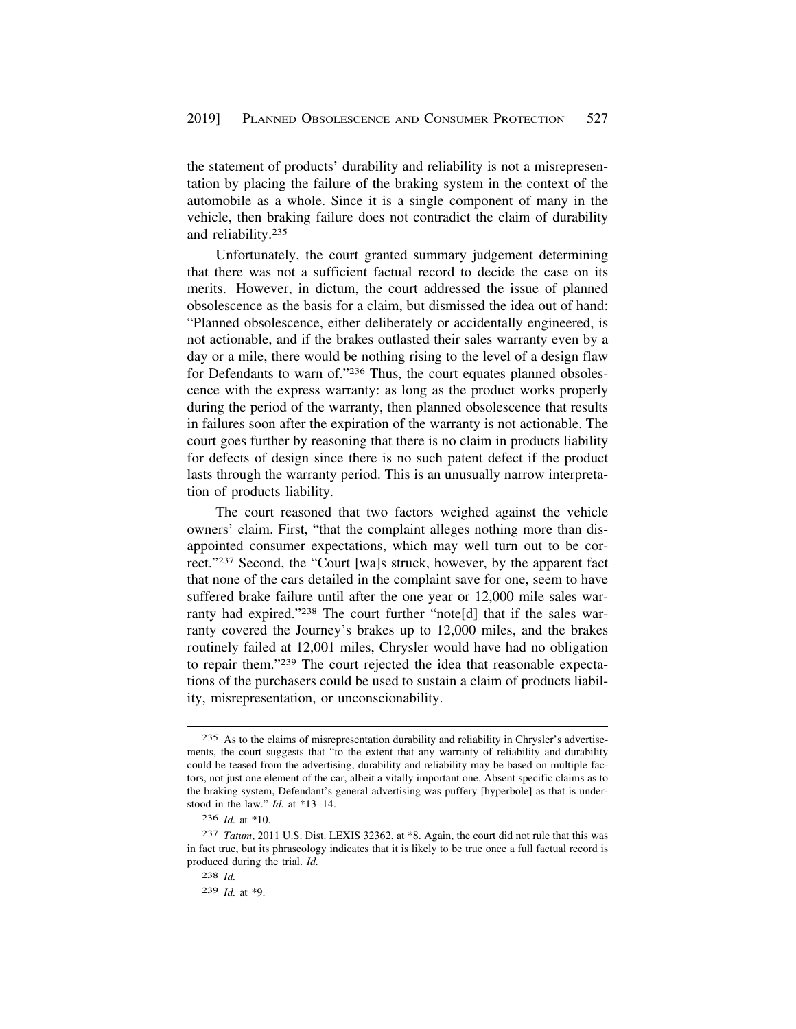the statement of products' durability and reliability is not a misrepresentation by placing the failure of the braking system in the context of the automobile as a whole. Since it is a single component of many in the vehicle, then braking failure does not contradict the claim of durability and reliability.235

Unfortunately, the court granted summary judgement determining that there was not a sufficient factual record to decide the case on its merits. However, in dictum, the court addressed the issue of planned obsolescence as the basis for a claim, but dismissed the idea out of hand: "Planned obsolescence, either deliberately or accidentally engineered, is not actionable, and if the brakes outlasted their sales warranty even by a day or a mile, there would be nothing rising to the level of a design flaw for Defendants to warn of."236 Thus, the court equates planned obsolescence with the express warranty: as long as the product works properly during the period of the warranty, then planned obsolescence that results in failures soon after the expiration of the warranty is not actionable. The court goes further by reasoning that there is no claim in products liability for defects of design since there is no such patent defect if the product lasts through the warranty period. This is an unusually narrow interpretation of products liability.

The court reasoned that two factors weighed against the vehicle owners' claim. First, "that the complaint alleges nothing more than disappointed consumer expectations, which may well turn out to be correct."237 Second, the "Court [wa]s struck, however, by the apparent fact that none of the cars detailed in the complaint save for one, seem to have suffered brake failure until after the one year or 12,000 mile sales warranty had expired."238 The court further "note[d] that if the sales warranty covered the Journey's brakes up to 12,000 miles, and the brakes routinely failed at 12,001 miles, Chrysler would have had no obligation to repair them."239 The court rejected the idea that reasonable expectations of the purchasers could be used to sustain a claim of products liability, misrepresentation, or unconscionability.

<sup>235</sup> As to the claims of misrepresentation durability and reliability in Chrysler's advertisements, the court suggests that "to the extent that any warranty of reliability and durability could be teased from the advertising, durability and reliability may be based on multiple factors, not just one element of the car, albeit a vitally important one. Absent specific claims as to the braking system, Defendant's general advertising was puffery [hyperbole] as that is understood in the law." *Id.* at \*13–14.

<sup>236</sup> *Id.* at \*10.

<sup>237</sup> *Tatum*, 2011 U.S. Dist. LEXIS 32362, at \*8. Again, the court did not rule that this was in fact true, but its phraseology indicates that it is likely to be true once a full factual record is produced during the trial. *Id.* 

<sup>238</sup> *Id.* 

<sup>239</sup> *Id.* at \*9.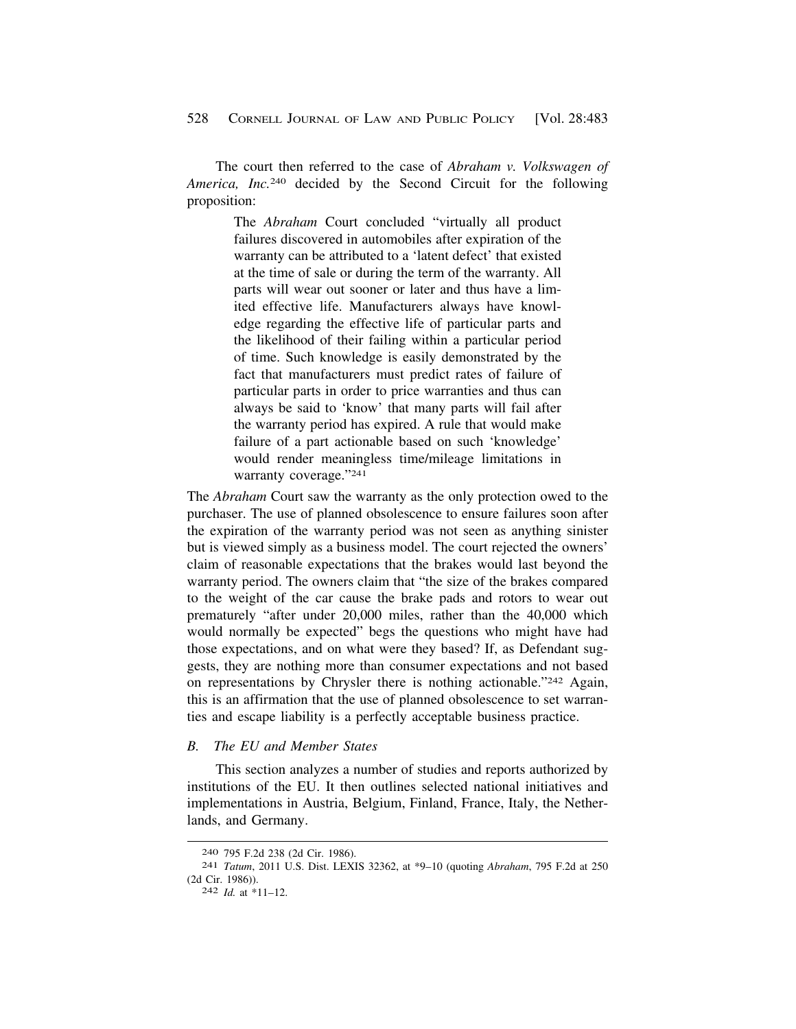<span id="page-45-0"></span>The court then referred to the case of *Abraham v. Volkswagen of America, Inc.*240 decided by the Second Circuit for the following proposition:

> The *Abraham* Court concluded "virtually all product failures discovered in automobiles after expiration of the warranty can be attributed to a 'latent defect' that existed at the time of sale or during the term of the warranty. All parts will wear out sooner or later and thus have a limited effective life. Manufacturers always have knowledge regarding the effective life of particular parts and the likelihood of their failing within a particular period of time. Such knowledge is easily demonstrated by the fact that manufacturers must predict rates of failure of particular parts in order to price warranties and thus can always be said to 'know' that many parts will fail after the warranty period has expired. A rule that would make failure of a part actionable based on such 'knowledge' would render meaningless time/mileage limitations in warranty coverage."241

The *Abraham* Court saw the warranty as the only protection owed to the purchaser. The use of planned obsolescence to ensure failures soon after the expiration of the warranty period was not seen as anything sinister but is viewed simply as a business model. The court rejected the owners' claim of reasonable expectations that the brakes would last beyond the warranty period. The owners claim that "the size of the brakes compared to the weight of the car cause the brake pads and rotors to wear out prematurely "after under 20,000 miles, rather than the 40,000 which would normally be expected" begs the questions who might have had those expectations, and on what were they based? If, as Defendant suggests, they are nothing more than consumer expectations and not based on representations by Chrysler there is nothing actionable."242 Again, this is an affirmation that the use of planned obsolescence to set warranties and escape liability is a perfectly acceptable business practice.

# *B. The EU and Member States*

This section analyzes a number of studies and reports authorized by institutions of the EU. It then outlines selected national initiatives and implementations in Austria, Belgium, Finland, France, Italy, the Netherlands, and Germany.

<sup>240 795</sup> F.2d 238 (2d Cir. 1986). 241 *Tatum*, 2011 U.S. Dist. LEXIS 32362, at \*9–10 (quoting *Abraham*, 795 F.2d at 250 (2d Cir. 1986)). 242 *Id.* at \*11–12.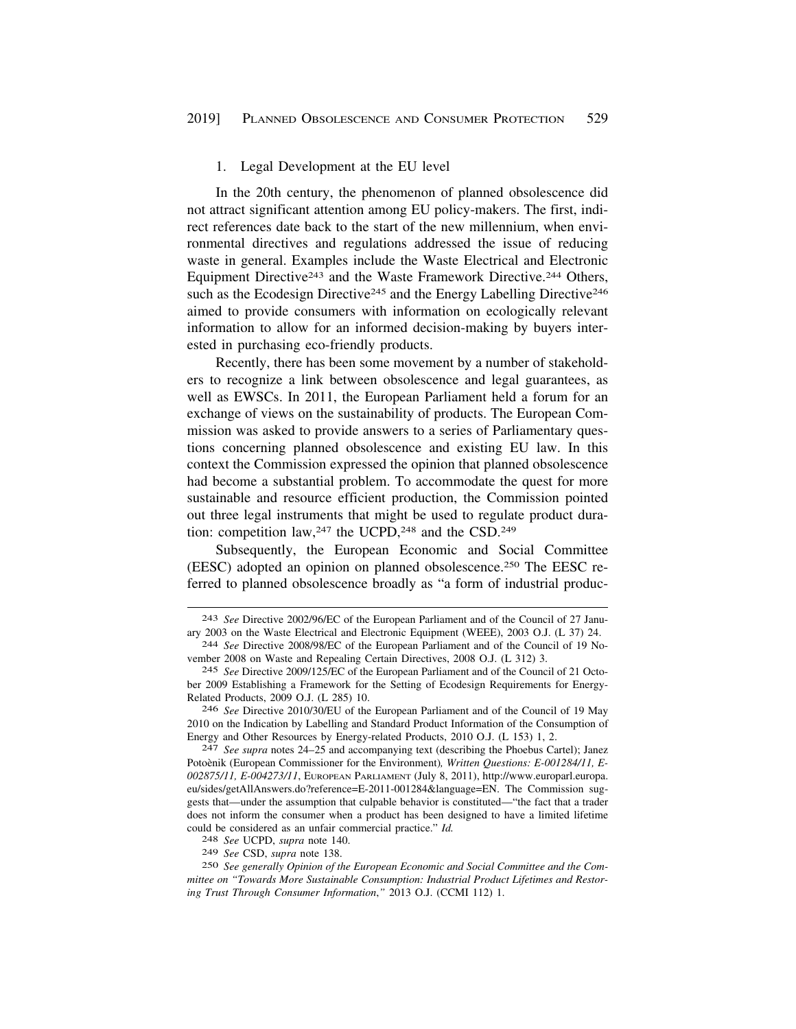#### 1. Legal Development at the EU level

<span id="page-46-0"></span>In the 20th century, the phenomenon of planned obsolescence did not attract significant attention among EU policy-makers. The first, indirect references date back to the start of the new millennium, when environmental directives and regulations addressed the issue of reducing waste in general. Examples include the Waste Electrical and Electronic Equipment Directive<sup>243</sup> and the Waste Framework Directive.<sup>244</sup> Others, such as the Ecodesign Directive<sup>245</sup> and the Energy Labelling Directive<sup>246</sup> aimed to provide consumers with information on ecologically relevant information to allow for an informed decision-making by buyers interested in purchasing eco-friendly products.

Recently, there has been some movement by a number of stakeholders to recognize a link between obsolescence and legal guarantees, as well as EWSCs. In 2011, the European Parliament held a forum for an exchange of views on the sustainability of products. The European Commission was asked to provide answers to a series of Parliamentary questions concerning planned obsolescence and existing EU law. In this context the Commission expressed the opinion that planned obsolescence had become a substantial problem. To accommodate the quest for more sustainable and resource efficient production, the Commission pointed out three legal instruments that might be used to regulate product duration: competition law,<sup>247</sup> the UCPD,<sup>248</sup> and the CSD.<sup>249</sup>

Subsequently, the European Economic and Social Committee (EESC) adopted an opinion on planned obsolescence.250 The EESC referred to planned obsolescence broadly as "a form of industrial produc-

<sup>243</sup> *See* Directive 2002/96/EC of the European Parliament and of the Council of 27 January 2003 on the Waste Electrical and Electronic Equipment (WEEE), 2003 O.J. (L 37) 24. 244 *See* Directive 2008/98/EC of the European Parliament and of the Council of 19 No-

vember 2008 on Waste and Repealing Certain Directives, 2008 O.J. (L 312) 3.

<sup>245</sup> *See* Directive 2009/125/EC of the European Parliament and of the Council of 21 October 2009 Establishing a Framework for the Setting of Ecodesign Requirements for Energy-Related Products, 2009 O.J. (L 285) 10.

<sup>246</sup> *See* Directive 2010/30/EU of the European Parliament and of the Council of 19 May 2010 on the Indication by Labelling and Standard Product Information of the Consumption of Energy and Other Resources by Energy-related Products, 2010 O.J. (L 153) 1, 2. 247 *See supra* notes 24–25 and accompanying text (describing the Phoebus Cartel); Janez

Potoènik (European Commissioner for the Environment), Written Questions: E-001284/11, E-*002875/11, E-004273/11*, EUROPEAN PARLIAMENT (July 8, 2011), [http://www.europarl.europa.](http://www.europarl.europa) eu/sides/getAllAnswers.do?reference=E-2011-001284&language=EN. The Commission suggests that—under the assumption that culpable behavior is constituted—"the fact that a trader does not inform the consumer when a product has been designed to have a limited lifetime could be considered as an unfair commercial practice." *Id.* 248 *See* UCPD, *supra* note 140.

<sup>249</sup> *See* CSD, *supra* note 138.

<sup>250</sup> *See generally Opinion of the European Economic and Social Committee and the Committee on "Towards More Sustainable Consumption: Industrial Product Lifetimes and Restoring Trust Through Consumer Information*,*"* 2013 O.J. (CCMI 112) 1.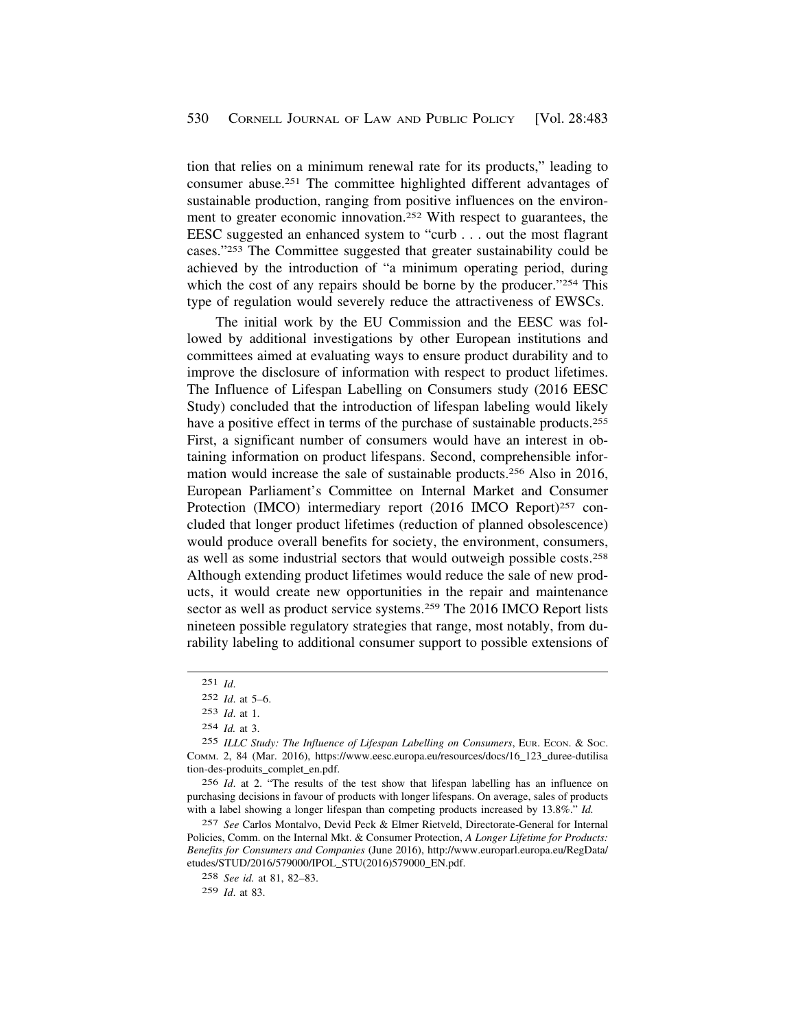tion that relies on a minimum renewal rate for its products," leading to consumer abuse.251 The committee highlighted different advantages of sustainable production, ranging from positive influences on the environment to greater economic innovation.252 With respect to guarantees, the EESC suggested an enhanced system to "curb . . . out the most flagrant cases."253 The Committee suggested that greater sustainability could be achieved by the introduction of "a minimum operating period, during which the cost of any repairs should be borne by the producer."254 This type of regulation would severely reduce the attractiveness of EWSCs.

The initial work by the EU Commission and the EESC was followed by additional investigations by other European institutions and committees aimed at evaluating ways to ensure product durability and to improve the disclosure of information with respect to product lifetimes. The Influence of Lifespan Labelling on Consumers study (2016 EESC Study) concluded that the introduction of lifespan labeling would likely have a positive effect in terms of the purchase of sustainable products.<sup>255</sup> First, a significant number of consumers would have an interest in obtaining information on product lifespans. Second, comprehensible information would increase the sale of sustainable products.256 Also in 2016, European Parliament's Committee on Internal Market and Consumer Protection (IMCO) intermediary report (2016 IMCO Report)<sup>257</sup> concluded that longer product lifetimes (reduction of planned obsolescence) would produce overall benefits for society, the environment, consumers, as well as some industrial sectors that would outweigh possible costs.258 Although extending product lifetimes would reduce the sale of new products, it would create new opportunities in the repair and maintenance sector as well as product service systems.259 The 2016 IMCO Report lists nineteen possible regulatory strategies that range, most notably, from durability labeling to additional consumer support to possible extensions of

256 *Id*. at 2. "The results of the test show that lifespan labelling has an influence on purchasing decisions in favour of products with longer lifespans. On average, sales of products with a label showing a longer lifespan than competing products increased by 13.8%." *Id.* 

257 *See* Carlos Montalvo, Devid Peck & Elmer Rietveld, Directorate-General for Internal Policies, Comm. on the Internal Mkt. & Consumer Protection, *A Longer Lifetime for Products: Benefits for Consumers and Companies* (June 2016), [http://www.europarl.europa.eu/RegData/](http://www.europarl.europa.eu/RegData) etudes/STUD/2016/579000/IPOL\_STU(2016)579000\_EN.pdf.

258 *See id.* at 81, 82–83.

259 *Id*. at 83.

<sup>251</sup> *Id*.

<sup>252</sup> *Id*. at 5–6.

<sup>253</sup> *Id*. at 1.

<sup>254</sup> *Id.* at 3.

<sup>255</sup> *ILLC Study: The Influence of Lifespan Labelling on Consumers*, EUR. ECON. & SOC. COMM. 2, 84 (Mar. 2016), [https://www.eesc.europa.eu/resources/docs/16\\_123\\_duree-dutilisa](https://www.eesc.europa.eu/resources/docs/16_123_duree-dutilisa)  tion-des-produits\_complet\_en.pdf.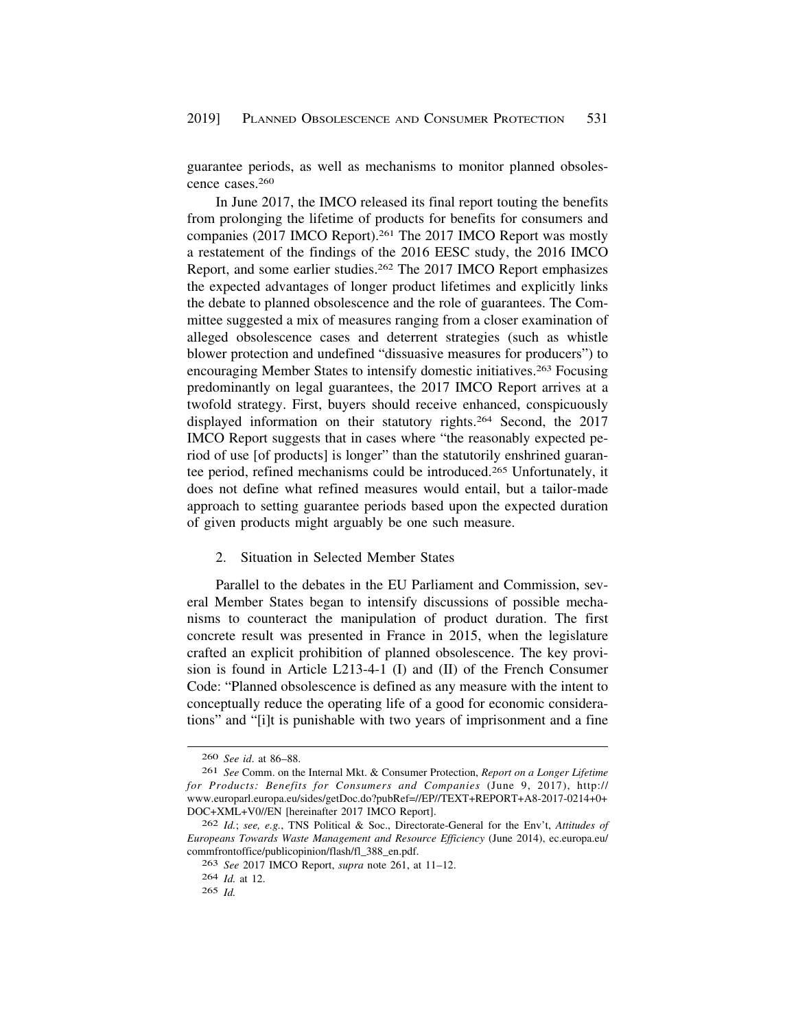<span id="page-48-0"></span>guarantee periods, as well as mechanisms to monitor planned obsolescence cases.260

In June 2017, the IMCO released its final report touting the benefits from prolonging the lifetime of products for benefits for consumers and companies (2017 IMCO Report).261 The 2017 IMCO Report was mostly a restatement of the findings of the 2016 EESC study, the 2016 IMCO Report, and some earlier studies.262 The 2017 IMCO Report emphasizes the expected advantages of longer product lifetimes and explicitly links the debate to planned obsolescence and the role of guarantees. The Committee suggested a mix of measures ranging from a closer examination of alleged obsolescence cases and deterrent strategies (such as whistle blower protection and undefined "dissuasive measures for producers") to encouraging Member States to intensify domestic initiatives.263 Focusing predominantly on legal guarantees, the 2017 IMCO Report arrives at a twofold strategy. First, buyers should receive enhanced, conspicuously displayed information on their statutory rights.264 Second, the 2017 IMCO Report suggests that in cases where "the reasonably expected period of use [of products] is longer" than the statutorily enshrined guarantee period, refined mechanisms could be introduced.265 Unfortunately, it does not define what refined measures would entail, but a tailor-made approach to setting guarantee periods based upon the expected duration of given products might arguably be one such measure.

#### 2. Situation in Selected Member States

Parallel to the debates in the EU Parliament and Commission, several Member States began to intensify discussions of possible mechanisms to counteract the manipulation of product duration. The first concrete result was presented in France in 2015, when the legislature crafted an explicit prohibition of planned obsolescence. The key provision is found in Article L213-4-1 (I) and (II) of the French Consumer Code: "Planned obsolescence is defined as any measure with the intent to conceptually reduce the operating life of a good for economic considerations" and "[i]t is punishable with two years of imprisonment and a fine

<sup>260</sup> *See id*. at 86–88.

<sup>261</sup> *See* Comm. on the Internal Mkt. & Consumer Protection, *Report on a Longer Lifetime for Products: Benefits for Consumers and Companies* (June 9, 2017), http:// [www.europarl.europa.eu/sides/getDoc.do?pubRef=//EP//TEXT+REPORT+A8-2017-0214+0+](www.europarl.europa.eu/sides/getDoc.do?pubRef=//EP//TEXT+REPORT+A8-2017-0214+0) DOC+XML+V0//EN [hereinafter 2017 IMCO Report].

<sup>262</sup> *Id.*; *see, e.g.*, TNS Political & Soc., Directorate-General for the Env't, *Attitudes of Europeans Towards Waste Management and Resource Efficiency* (June 2014), [ec.europa.eu/](https://ec.europa.eu) commfrontoffice/publicopinion/flash/fl\_388\_en.pdf.

<sup>263</sup> *See* 2017 IMCO Report, *supra* note 261, at 11–12.

<sup>264</sup> *Id.* at 12.

<sup>265</sup> *Id.*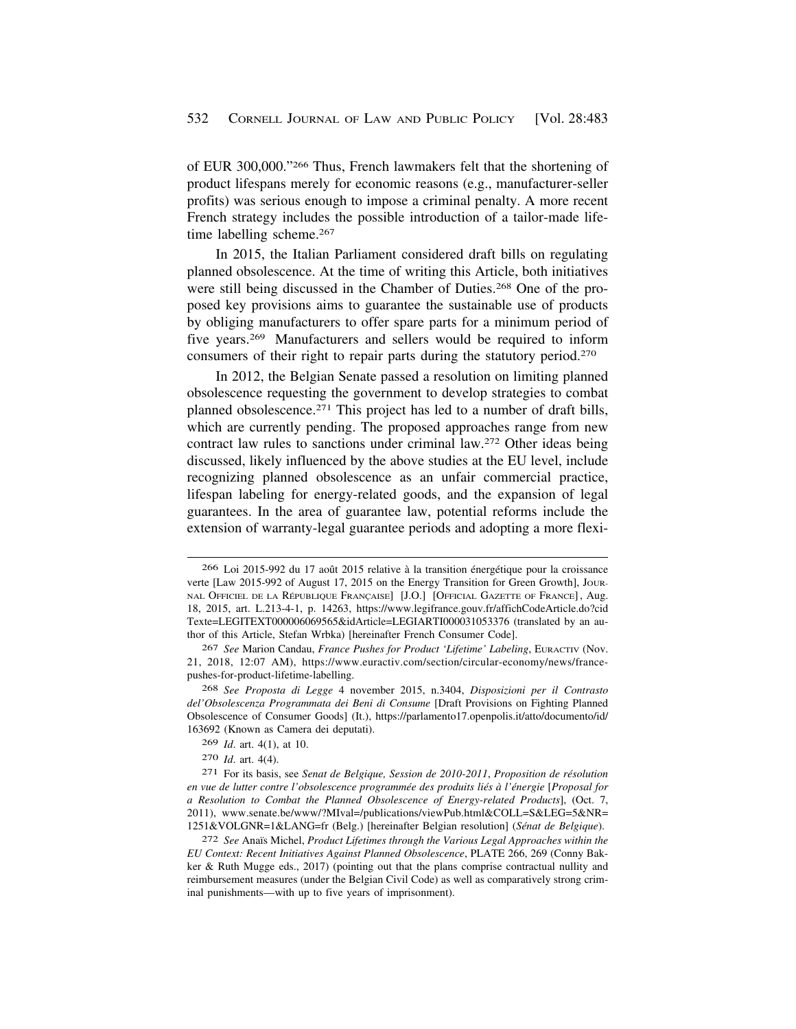of EUR 300,000."266 Thus, French lawmakers felt that the shortening of product lifespans merely for economic reasons (e.g., manufacturer-seller profits) was serious enough to impose a criminal penalty. A more recent French strategy includes the possible introduction of a tailor-made lifetime labelling scheme.<sup>267</sup>

In 2015, the Italian Parliament considered draft bills on regulating planned obsolescence. At the time of writing this Article, both initiatives were still being discussed in the Chamber of Duties.268 One of the proposed key provisions aims to guarantee the sustainable use of products by obliging manufacturers to offer spare parts for a minimum period of five years.269 Manufacturers and sellers would be required to inform consumers of their right to repair parts during the statutory period.270

In 2012, the Belgian Senate passed a resolution on limiting planned obsolescence requesting the government to develop strategies to combat planned obsolescence.271 This project has led to a number of draft bills, which are currently pending. The proposed approaches range from new contract law rules to sanctions under criminal law.272 Other ideas being discussed, likely influenced by the above studies at the EU level, include recognizing planned obsolescence as an unfair commercial practice, lifespan labeling for energy-related goods, and the expansion of legal guarantees. In the area of guarantee law, potential reforms include the extension of warranty-legal guarantee periods and adopting a more flexi-

268 *See Proposta di Legge* 4 november 2015, n.3404, *Disposizioni per il Contrasto del'Obsolescenza Programmata dei Beni di Consume* [Draft Provisions on Fighting Planned Obsolescence of Consumer Goods] (It.), [https://parlamento17.openpolis.it/atto/documento/id/](https://parlamento17.openpolis.it/atto/documento/id) 163692 (Known as Camera dei deputati).

<sup>266</sup> Loi 2015-992 du 17 août 2015 relative à la transition énergétique pour la croissance verte [Law 2015-992 of August 17, 2015 on the Energy Transition for Green Growth], JOUR-NAL OFFICIEL DE LA RÉPUBLIQUE FRANÇAISE] [J.O.] [OFFICIAL GAZETTE OF FRANCE], Aug. 18, 2015, art. L.213-4-1, p. 14263, <https://www.legifrance.gouv.fr/affichCodeArticle.do?cid> Texte=LEGITEXT000006069565&idArticle=LEGIARTI000031053376 (translated by an author of this Article, Stefan Wrbka) [hereinafter French Consumer Code].

<sup>267</sup> *See* Marion Candau, *France Pushes for Product 'Lifetime' Labeling*, EURACTIV (Nov. 21, 2018, 12:07 AM), <https://www.euractiv.com/section/circular-economy/news/france>pushes-for-product-lifetime-labelling.

<sup>269</sup> *Id*. art. 4(1), at 10.

<sup>270</sup> *Id*. art. 4(4).

<sup>&</sup>lt;sup>271</sup> For its basis, see *Senat de Belgique, Session de 2010-2011*, *Proposition de résolution* en vue de lutter contre l'obsolescence programmée des produits liés à l'énergie [Proposal for *a Resolution to Combat the Planned Obsolescence of Energy-related Products*], (Oct. 7, 2011), <www.senate.be/www/?MIval=/publications/viewPub.html&COLL=S&LEG=5&NR>= 1251&VOLGNR=1&LANG=fr (Belg.) [hereinafter Belgian resolution] (*S´enat de Belgique*).

<sup>&</sup>lt;sup>272</sup> See Anaïs Michel, *Product Lifetimes through the Various Legal Approaches within the EU Context: Recent Initiatives Against Planned Obsolescence*, PLATE 266, 269 (Conny Bakker & Ruth Mugge eds., 2017) (pointing out that the plans comprise contractual nullity and reimbursement measures (under the Belgian Civil Code) as well as comparatively strong criminal punishments—with up to five years of imprisonment).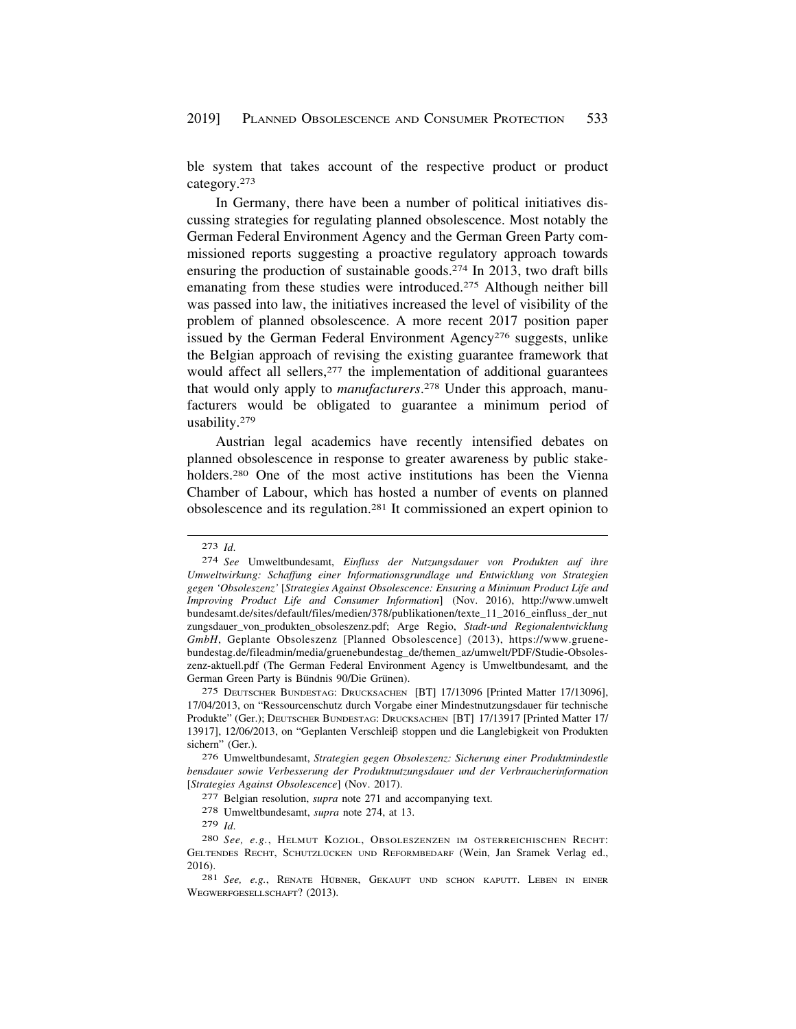ble system that takes account of the respective product or product category.273

In Germany, there have been a number of political initiatives discussing strategies for regulating planned obsolescence. Most notably the German Federal Environment Agency and the German Green Party commissioned reports suggesting a proactive regulatory approach towards ensuring the production of sustainable goods.274 In 2013, two draft bills emanating from these studies were introduced.275 Although neither bill was passed into law, the initiatives increased the level of visibility of the problem of planned obsolescence. A more recent 2017 position paper issued by the German Federal Environment Agency<sup>276</sup> suggests, unlike the Belgian approach of revising the existing guarantee framework that would affect all sellers,<sup>277</sup> the implementation of additional guarantees that would only apply to *manufacturers*. 278 Under this approach, manufacturers would be obligated to guarantee a minimum period of usability.279

Austrian legal academics have recently intensified debates on planned obsolescence in response to greater awareness by public stakeholders.<sup>280</sup> One of the most active institutions has been the Vienna Chamber of Labour, which has hosted a number of events on planned obsolescence and its regulation.281 It commissioned an expert opinion to

281 See, e.g., RENATE HÜBNER, GEKAUFT UND SCHON KAPUTT. LEBEN IN EINER WEGWERFGESELLSCHAFT? (2013).

<sup>273</sup> *Id*.

<sup>274</sup> *See* Umweltbundesamt, *Einfluss der Nutzungsdauer von Produkten auf ihre Umweltwirkung: Schaffung einer Informationsgrundlage und Entwicklung von Strategien gegen 'Obsoleszenz'* [*Strategies Against Obsolescence: Ensuring a Minimum Product Life and Improving Product Life and Consumer Information*] (Nov. 2016), <http://www.umwelt> bundesamt.de/sites/default/files/medien/378/publikationen/texte\_11\_2016\_einfluss\_der\_nut zungsdauer\_von\_produkten\_obsoleszenz.pdf; Arge Regio, *Stadt-und Regionalentwicklung GmbH*, Geplante Obsoleszenz [Planned Obsolescence] (2013), <https://www.gruene>bundestag.de/fileadmin/media/gruenebundestag\_de/themen\_az/umwelt/PDF/Studie-Obsoleszenz-aktuell.pdf (The German Federal Environment Agency is Umweltbundesamt*,* and the German Green Party is Bündnis 90/Die Grünen).

<sup>275</sup> DEUTSCHER BUNDESTAG: DRUCKSACHEN [BT] 17/13096 [Printed Matter 17/13096], 17/04/2013, on "Ressourcenschutz durch Vorgabe einer Mindestnutzungsdauer für technische Produkte" (Ger.); DEUTSCHER BUNDESTAG: DRUCKSACHEN [BT] 17/13917 [Printed Matter 17/ 13917], 12/06/2013, on "Geplanten Verschleib stoppen und die Langlebigkeit von Produkten sichern" (Ger.).

<sup>276</sup> Umweltbundesamt, *Strategien gegen Obsoleszenz: Sicherung einer Produktmindestle bensdauer sowie Verbesserung der Produktnutzungsdauer und der Verbraucherinformation*  [*Strategies Against Obsolescence*] (Nov. 2017).

<sup>277</sup> Belgian resolution, *supra* note 271 and accompanying text.

<sup>278</sup> Umweltbundesamt, *supra* note 274, at 13.

<sup>279</sup> *Id*.

<sup>280</sup> See, e.g., HELMUT KOZIOL, OBSOLESZENZEN IM ÖSTERREICHISCHEN RECHT: GELTENDES RECHT, SCHUTZLÜCKEN UND REFORMBEDARF (Wein, Jan Sramek Verlag ed., 2016).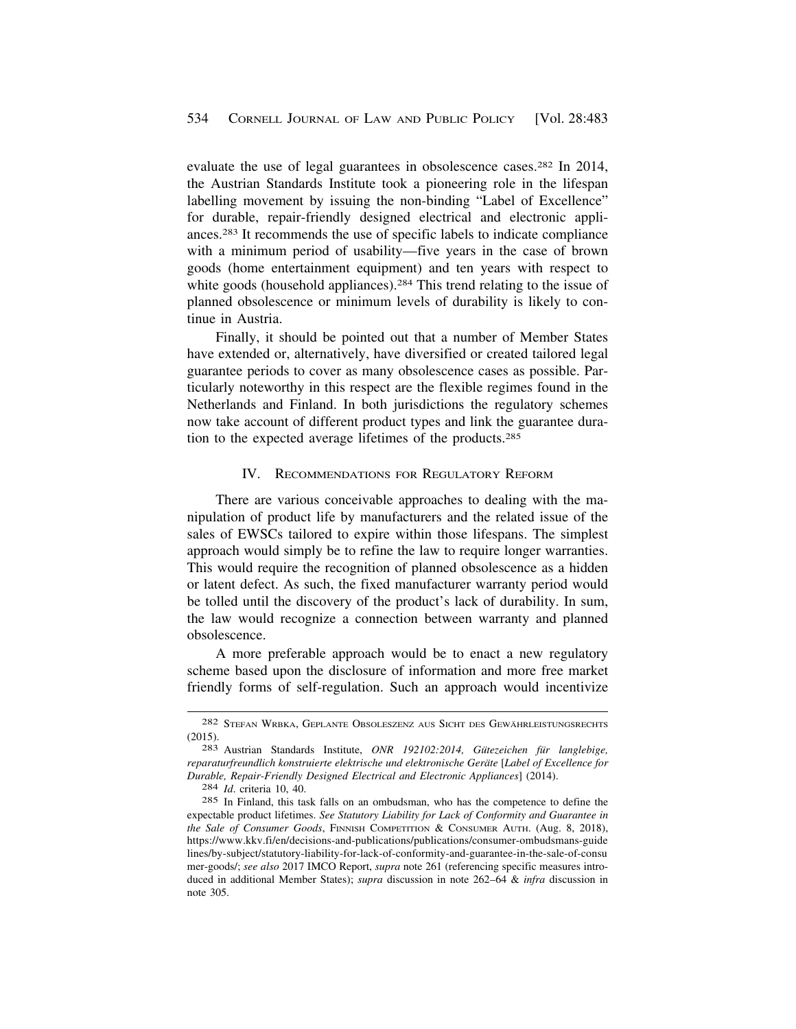<span id="page-51-0"></span>evaluate the use of legal guarantees in obsolescence cases.282 In 2014, the Austrian Standards Institute took a pioneering role in the lifespan labelling movement by issuing the non-binding "Label of Excellence" for durable, repair-friendly designed electrical and electronic appliances.283 It recommends the use of specific labels to indicate compliance with a minimum period of usability—five years in the case of brown goods (home entertainment equipment) and ten years with respect to white goods (household appliances).<sup>284</sup> This trend relating to the issue of planned obsolescence or minimum levels of durability is likely to continue in Austria.

Finally, it should be pointed out that a number of Member States have extended or, alternatively, have diversified or created tailored legal guarantee periods to cover as many obsolescence cases as possible. Particularly noteworthy in this respect are the flexible regimes found in the Netherlands and Finland. In both jurisdictions the regulatory schemes now take account of different product types and link the guarantee duration to the expected average lifetimes of the products.285

#### IV. RECOMMENDATIONS FOR REGULATORY REFORM

There are various conceivable approaches to dealing with the manipulation of product life by manufacturers and the related issue of the sales of EWSCs tailored to expire within those lifespans. The simplest approach would simply be to refine the law to require longer warranties. This would require the recognition of planned obsolescence as a hidden or latent defect. As such, the fixed manufacturer warranty period would be tolled until the discovery of the product's lack of durability. In sum, the law would recognize a connection between warranty and planned obsolescence.

A more preferable approach would be to enact a new regulatory scheme based upon the disclosure of information and more free market friendly forms of self-regulation. Such an approach would incentivize

<sup>282</sup> STEFAN WRBKA, GEPLANTE OBSOLESZENZ AUS SICHT DES GEWÄHRLEISTUNGSRECHTS (2015). 283 Austrian Standards Institute, *ONR 192102:2014, Gütezeichen für langlebige,* 

*reparaturfreundlich konstruierte elektrische und elektronische Ger¨ate* [*Label of Excellence for Durable, Repair-Friendly Designed Electrical and Electronic Appliances*] (2014). 284 *Id*. criteria 10, 40.

<sup>285</sup> In Finland, this task falls on an ombudsman, who has the competence to define the expectable product lifetimes. *See Statutory Liability for Lack of Conformity and Guarantee in the Sale of Consumer Goods*, FINNISH COMPETITION & CONSUMER AUTH. (Aug. 8, 2018), <https://www.kkv.fi/en/decisions-and-publications/publications/consumer-ombudsmans-guide> lines/by-subject/statutory-liability-for-lack-of-conformity-and-guarantee-in-the-sale-of-consu mer-goods/; *see also* 2017 IMCO Report, *supra* note 261 (referencing specific measures introduced in additional Member States); *supra* discussion in note 262–64 & *infra* discussion in note 305.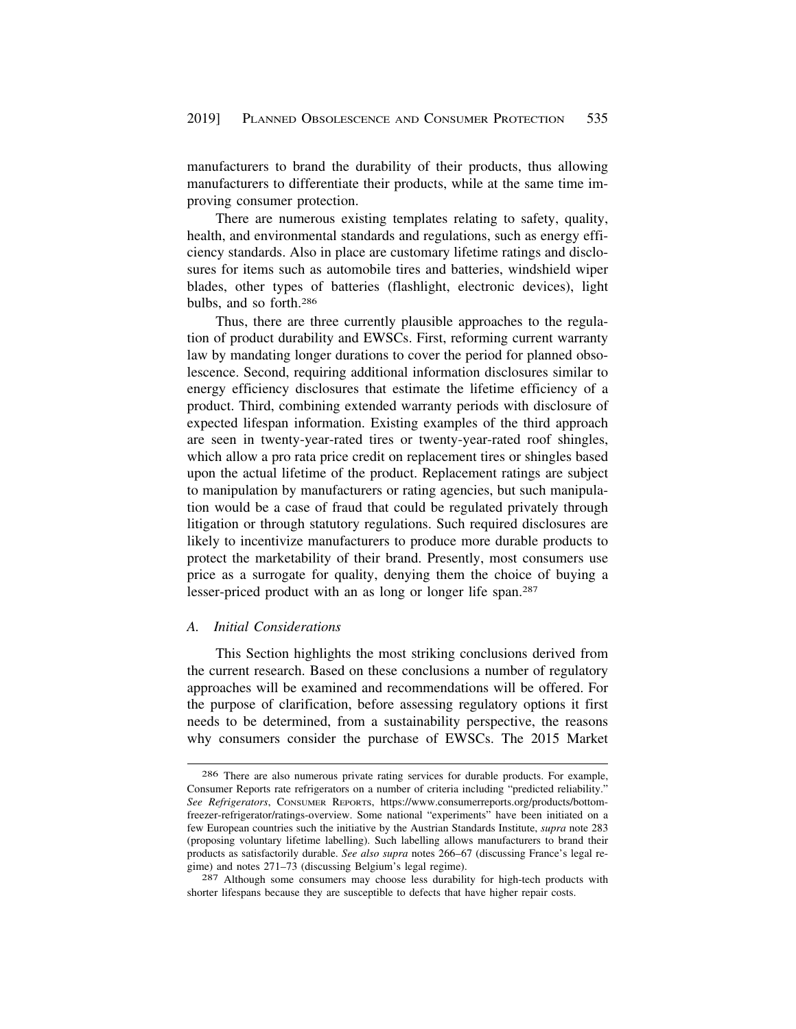<span id="page-52-0"></span>manufacturers to brand the durability of their products, thus allowing manufacturers to differentiate their products, while at the same time improving consumer protection.

There are numerous existing templates relating to safety, quality, health, and environmental standards and regulations, such as energy efficiency standards. Also in place are customary lifetime ratings and disclosures for items such as automobile tires and batteries, windshield wiper blades, other types of batteries (flashlight, electronic devices), light bulbs, and so forth.286

Thus, there are three currently plausible approaches to the regulation of product durability and EWSCs. First, reforming current warranty law by mandating longer durations to cover the period for planned obsolescence. Second, requiring additional information disclosures similar to energy efficiency disclosures that estimate the lifetime efficiency of a product. Third, combining extended warranty periods with disclosure of expected lifespan information. Existing examples of the third approach are seen in twenty-year-rated tires or twenty-year-rated roof shingles, which allow a pro rata price credit on replacement tires or shingles based upon the actual lifetime of the product. Replacement ratings are subject to manipulation by manufacturers or rating agencies, but such manipulation would be a case of fraud that could be regulated privately through litigation or through statutory regulations. Such required disclosures are likely to incentivize manufacturers to produce more durable products to protect the marketability of their brand. Presently, most consumers use price as a surrogate for quality, denying them the choice of buying a lesser-priced product with an as long or longer life span.287

## *A. Initial Considerations*

This Section highlights the most striking conclusions derived from the current research. Based on these conclusions a number of regulatory approaches will be examined and recommendations will be offered. For the purpose of clarification, before assessing regulatory options it first needs to be determined, from a sustainability perspective, the reasons why consumers consider the purchase of EWSCs. The 2015 Market

<sup>286</sup> There are also numerous private rating services for durable products. For example, Consumer Reports rate refrigerators on a number of criteria including "predicted reliability." *See Refrigerators*, CONSUMER REPORTS, <https://www.consumerreports.org/products/bottom>freezer-refrigerator/ratings-overview. Some national "experiments" have been initiated on a few European countries such the initiative by the Austrian Standards Institute, *supra* note 283 (proposing voluntary lifetime labelling). Such labelling allows manufacturers to brand their products as satisfactorily durable. *See also supra* notes 266–67 (discussing France's legal re-

<sup>287</sup> Although some consumers may choose less durability for high-tech products with shorter lifespans because they are susceptible to defects that have higher repair costs.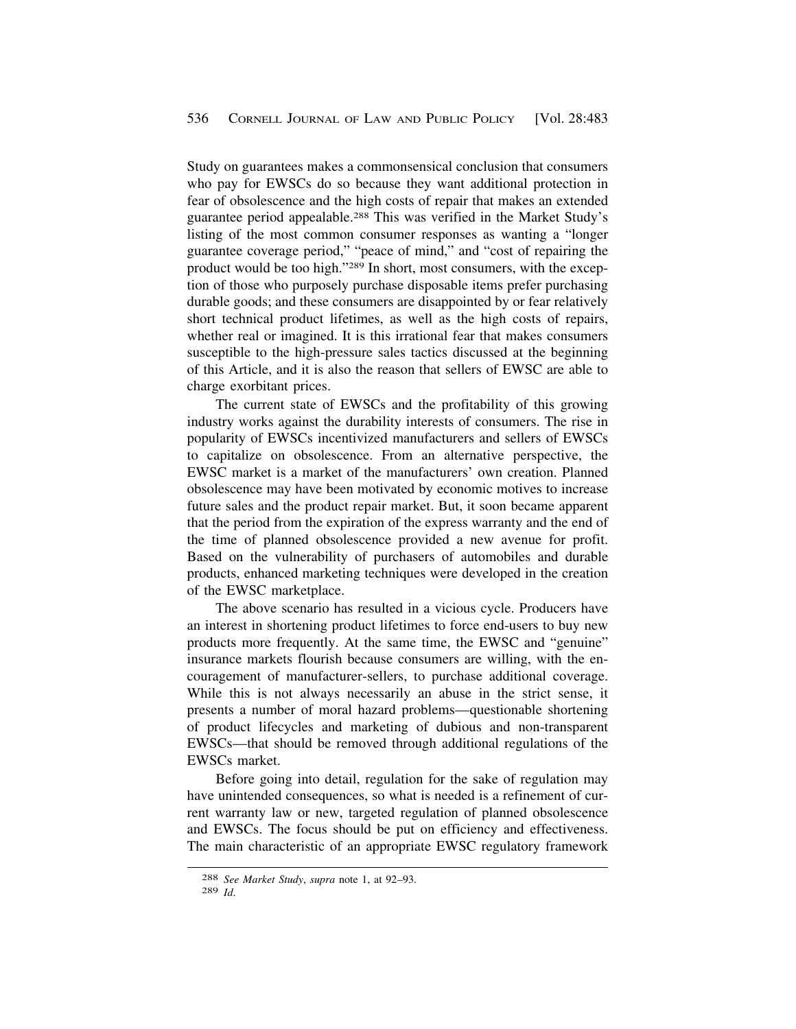Study on guarantees makes a commonsensical conclusion that consumers who pay for EWSCs do so because they want additional protection in fear of obsolescence and the high costs of repair that makes an extended guarantee period appealable.288 This was verified in the Market Study's listing of the most common consumer responses as wanting a "longer guarantee coverage period," "peace of mind," and "cost of repairing the product would be too high."289 In short, most consumers, with the exception of those who purposely purchase disposable items prefer purchasing durable goods; and these consumers are disappointed by or fear relatively short technical product lifetimes, as well as the high costs of repairs, whether real or imagined. It is this irrational fear that makes consumers susceptible to the high-pressure sales tactics discussed at the beginning of this Article, and it is also the reason that sellers of EWSC are able to charge exorbitant prices.

The current state of EWSCs and the profitability of this growing industry works against the durability interests of consumers. The rise in popularity of EWSCs incentivized manufacturers and sellers of EWSCs to capitalize on obsolescence. From an alternative perspective, the EWSC market is a market of the manufacturers' own creation. Planned obsolescence may have been motivated by economic motives to increase future sales and the product repair market. But, it soon became apparent that the period from the expiration of the express warranty and the end of the time of planned obsolescence provided a new avenue for profit. Based on the vulnerability of purchasers of automobiles and durable products, enhanced marketing techniques were developed in the creation of the EWSC marketplace.

The above scenario has resulted in a vicious cycle. Producers have an interest in shortening product lifetimes to force end-users to buy new products more frequently. At the same time, the EWSC and "genuine" insurance markets flourish because consumers are willing, with the encouragement of manufacturer-sellers, to purchase additional coverage. While this is not always necessarily an abuse in the strict sense, it presents a number of moral hazard problems—questionable shortening of product lifecycles and marketing of dubious and non-transparent EWSCs—that should be removed through additional regulations of the EWSCs market.

Before going into detail, regulation for the sake of regulation may have unintended consequences, so what is needed is a refinement of current warranty law or new, targeted regulation of planned obsolescence and EWSCs. The focus should be put on efficiency and effectiveness. The main characteristic of an appropriate EWSC regulatory framework

<sup>288</sup> *See Market Study*, *supra* note 1, at 92–93. 289 *Id*.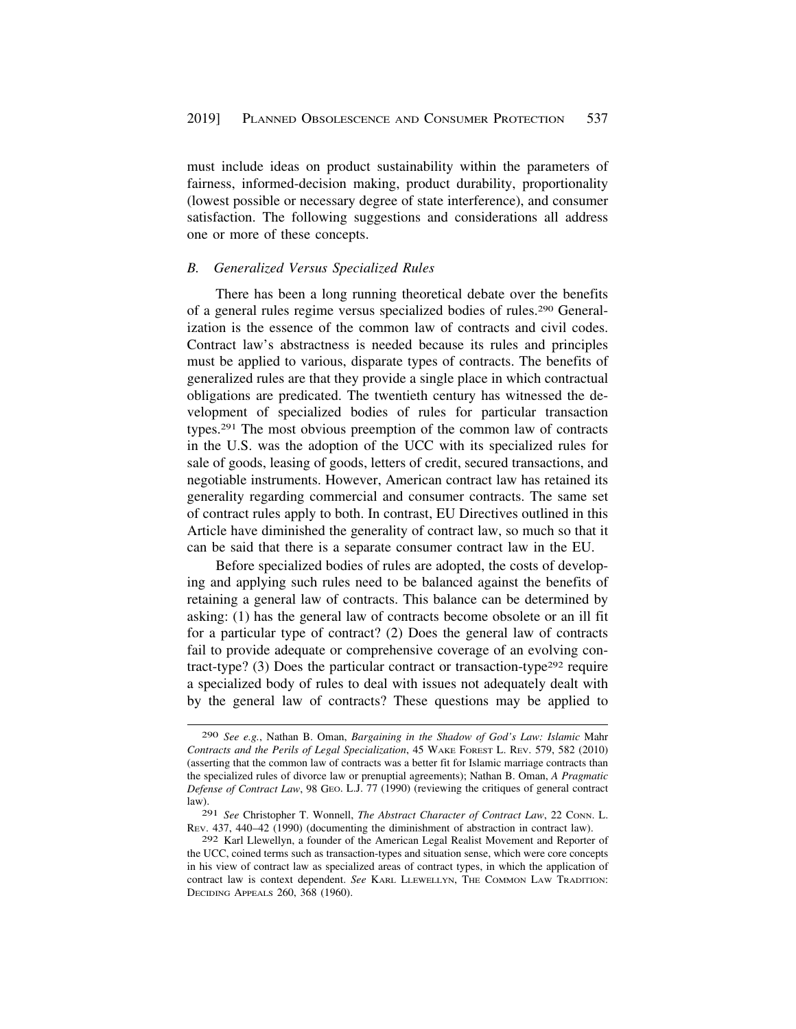<span id="page-54-0"></span>must include ideas on product sustainability within the parameters of fairness, informed-decision making, product durability, proportionality (lowest possible or necessary degree of state interference), and consumer satisfaction. The following suggestions and considerations all address one or more of these concepts.

#### *B. Generalized Versus Specialized Rules*

There has been a long running theoretical debate over the benefits of a general rules regime versus specialized bodies of rules.290 Generalization is the essence of the common law of contracts and civil codes. Contract law's abstractness is needed because its rules and principles must be applied to various, disparate types of contracts. The benefits of generalized rules are that they provide a single place in which contractual obligations are predicated. The twentieth century has witnessed the development of specialized bodies of rules for particular transaction types.291 The most obvious preemption of the common law of contracts in the U.S. was the adoption of the UCC with its specialized rules for sale of goods, leasing of goods, letters of credit, secured transactions, and negotiable instruments. However, American contract law has retained its generality regarding commercial and consumer contracts. The same set of contract rules apply to both. In contrast, EU Directives outlined in this Article have diminished the generality of contract law, so much so that it can be said that there is a separate consumer contract law in the EU.

Before specialized bodies of rules are adopted, the costs of developing and applying such rules need to be balanced against the benefits of retaining a general law of contracts. This balance can be determined by asking: (1) has the general law of contracts become obsolete or an ill fit for a particular type of contract? (2) Does the general law of contracts fail to provide adequate or comprehensive coverage of an evolving contract-type? (3) Does the particular contract or transaction-type<sup>292</sup> require a specialized body of rules to deal with issues not adequately dealt with by the general law of contracts? These questions may be applied to

<sup>290</sup> *See e.g.*, Nathan B. Oman, *Bargaining in the Shadow of God's Law: Islamic* Mahr *Contracts and the Perils of Legal Specialization*, 45 WAKE FOREST L. REV. 579, 582 (2010) (asserting that the common law of contracts was a better fit for Islamic marriage contracts than the specialized rules of divorce law or prenuptial agreements); Nathan B. Oman, *A Pragmatic Defense of Contract Law*, 98 GEO. L.J. 77 (1990) (reviewing the critiques of general contract law).

<sup>291</sup> *See* Christopher T. Wonnell, *The Abstract Character of Contract Law*, 22 CONN. L. REV. 437, 440–42 (1990) (documenting the diminishment of abstraction in contract law).

<sup>292</sup> Karl Llewellyn, a founder of the American Legal Realist Movement and Reporter of the UCC, coined terms such as transaction-types and situation sense, which were core concepts in his view of contract law as specialized areas of contract types, in which the application of contract law is context dependent. *See* KARL LLEWELLYN, THE COMMON LAW TRADITION: DECIDING APPEALS 260, 368 (1960).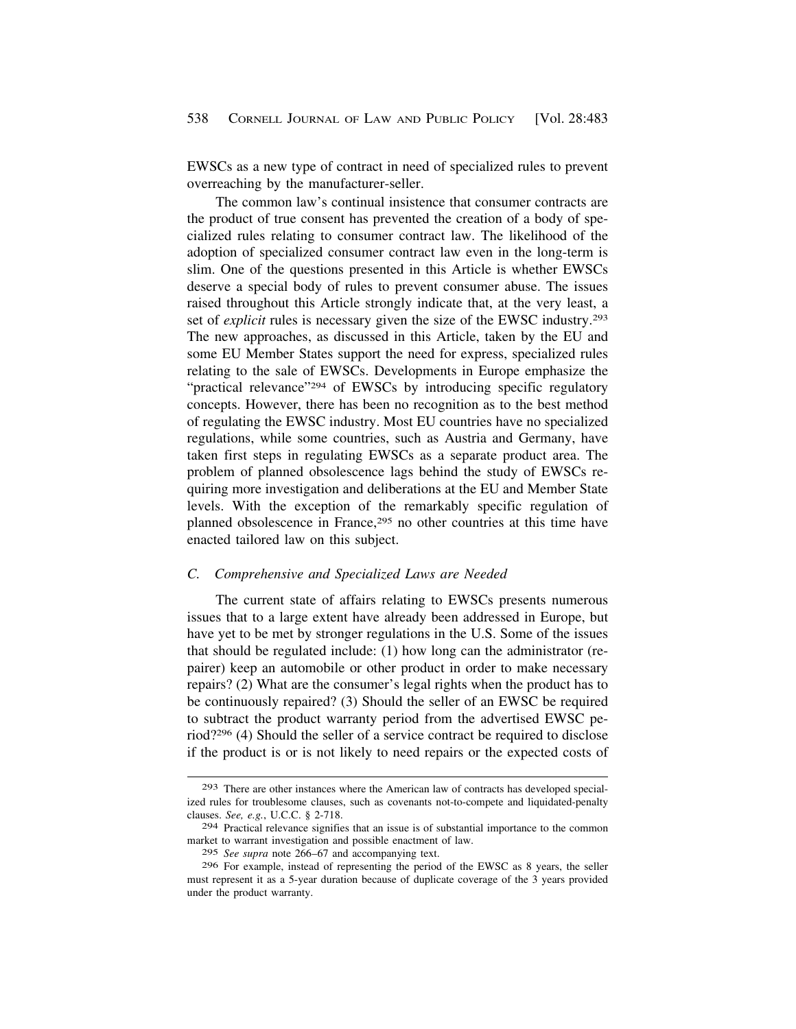<span id="page-55-0"></span>EWSCs as a new type of contract in need of specialized rules to prevent overreaching by the manufacturer-seller.

The common law's continual insistence that consumer contracts are the product of true consent has prevented the creation of a body of specialized rules relating to consumer contract law. The likelihood of the adoption of specialized consumer contract law even in the long-term is slim. One of the questions presented in this Article is whether EWSCs deserve a special body of rules to prevent consumer abuse. The issues raised throughout this Article strongly indicate that, at the very least, a set of *explicit* rules is necessary given the size of the EWSC industry.<sup>293</sup> The new approaches, as discussed in this Article, taken by the EU and some EU Member States support the need for express, specialized rules relating to the sale of EWSCs. Developments in Europe emphasize the "practical relevance"<sup>294</sup> of EWSCs by introducing specific regulatory concepts. However, there has been no recognition as to the best method of regulating the EWSC industry. Most EU countries have no specialized regulations, while some countries, such as Austria and Germany, have taken first steps in regulating EWSCs as a separate product area. The problem of planned obsolescence lags behind the study of EWSCs requiring more investigation and deliberations at the EU and Member State levels. With the exception of the remarkably specific regulation of planned obsolescence in France,<sup>295</sup> no other countries at this time have enacted tailored law on this subject.

## *C. Comprehensive and Specialized Laws are Needed*

The current state of affairs relating to EWSCs presents numerous issues that to a large extent have already been addressed in Europe, but have yet to be met by stronger regulations in the U.S. Some of the issues that should be regulated include: (1) how long can the administrator (repairer) keep an automobile or other product in order to make necessary repairs? (2) What are the consumer's legal rights when the product has to be continuously repaired? (3) Should the seller of an EWSC be required to subtract the product warranty period from the advertised EWSC period?296 (4) Should the seller of a service contract be required to disclose if the product is or is not likely to need repairs or the expected costs of

<sup>293</sup> There are other instances where the American law of contracts has developed specialized rules for troublesome clauses, such as covenants not-to-compete and liquidated-penalty clauses. *See, e.g.*, U.C.C. § 2-718.

<sup>294</sup> Practical relevance signifies that an issue is of substantial importance to the common market to warrant investigation and possible enactment of law.

<sup>295</sup> *See supra* note 266–67 and accompanying text.

<sup>296</sup> For example, instead of representing the period of the EWSC as 8 years, the seller must represent it as a 5-year duration because of duplicate coverage of the 3 years provided under the product warranty.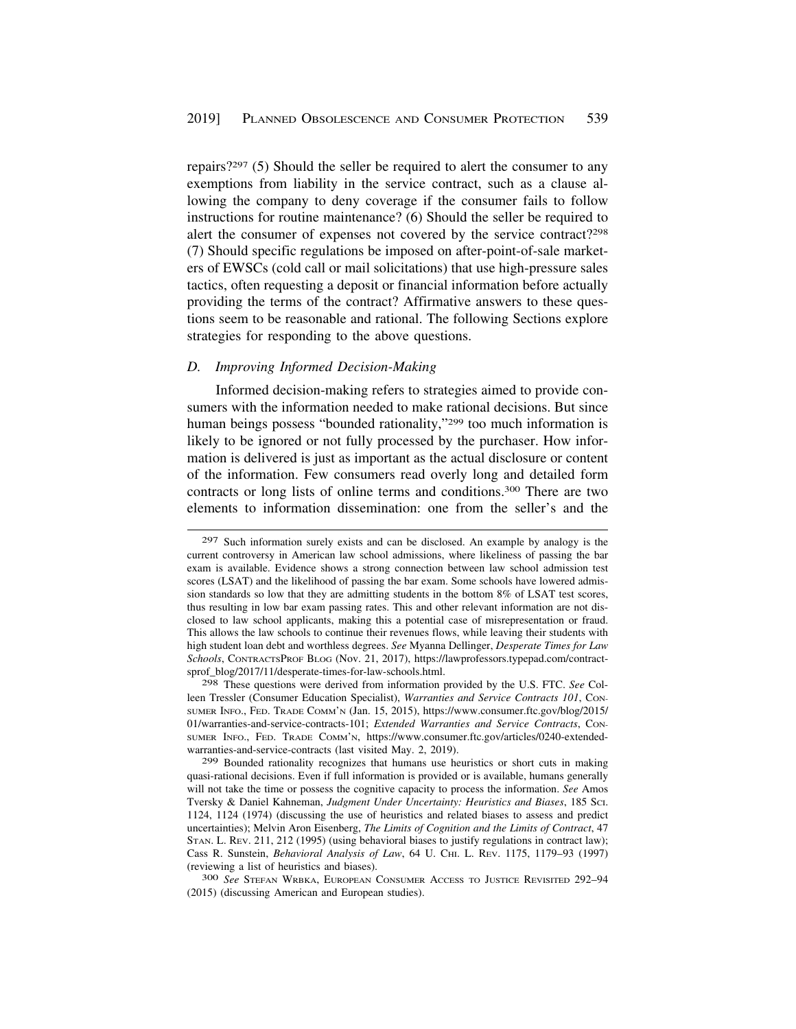<span id="page-56-0"></span>repairs?297 (5) Should the seller be required to alert the consumer to any exemptions from liability in the service contract, such as a clause allowing the company to deny coverage if the consumer fails to follow instructions for routine maintenance? (6) Should the seller be required to alert the consumer of expenses not covered by the service contract?298 (7) Should specific regulations be imposed on after-point-of-sale marketers of EWSCs (cold call or mail solicitations) that use high-pressure sales tactics, often requesting a deposit or financial information before actually providing the terms of the contract? Affirmative answers to these questions seem to be reasonable and rational. The following Sections explore strategies for responding to the above questions.

#### *D. Improving Informed Decision-Making*

Informed decision-making refers to strategies aimed to provide consumers with the information needed to make rational decisions. But since human beings possess "bounded rationality,"<sup>299</sup> too much information is likely to be ignored or not fully processed by the purchaser. How information is delivered is just as important as the actual disclosure or content of the information. Few consumers read overly long and detailed form contracts or long lists of online terms and conditions.300 There are two elements to information dissemination: one from the seller's and the

298 These questions were derived from information provided by the U.S. FTC. *See* Colleen Tressler (Consumer Education Specialist), *Warranties and Service Contracts 101*, CON-SUMER INFO., FED. TRADE COMM'N (Jan. 15, 2015), [https://www.consumer.ftc.gov/blog/2015/](https://www.consumer.ftc.gov/blog/2015) 01/warranties-and-service-contracts-101; *Extended Warranties and Service Contracts*, CON-SUMER INFO., FED. TRADE COMM'N, <https://www.consumer.ftc.gov/articles/0240-extended>warranties-and-service-contracts (last visited May. 2, 2019).

299 Bounded rationality recognizes that humans use heuristics or short cuts in making quasi-rational decisions. Even if full information is provided or is available, humans generally will not take the time or possess the cognitive capacity to process the information. *See* Amos Tversky & Daniel Kahneman, *Judgment Under Uncertainty: Heuristics and Biases*, 185 SCI. 1124, 1124 (1974) (discussing the use of heuristics and related biases to assess and predict uncertainties); Melvin Aron Eisenberg, *The Limits of Cognition and the Limits of Contract*, 47 STAN. L. REV. 211, 212 (1995) (using behavioral biases to justify regulations in contract law); Cass R. Sunstein, *Behavioral Analysis of Law*, 64 U. CHI. L. REV. 1175, 1179–93 (1997) (reviewing a list of heuristics and biases). 300 *See* STEFAN WRBKA, EUROPEAN CONSUMER ACCESS TO JUSTICE REVISITED 292–94

(2015) (discussing American and European studies).

<sup>297</sup> Such information surely exists and can be disclosed. An example by analogy is the current controversy in American law school admissions, where likeliness of passing the bar exam is available. Evidence shows a strong connection between law school admission test scores (LSAT) and the likelihood of passing the bar exam. Some schools have lowered admission standards so low that they are admitting students in the bottom 8% of LSAT test scores, thus resulting in low bar exam passing rates. This and other relevant information are not disclosed to law school applicants, making this a potential case of misrepresentation or fraud. This allows the law schools to continue their revenues flows, while leaving their students with high student loan debt and worthless degrees. *See* Myanna Dellinger, *Desperate Times for Law Schools*, CONTRACTSPROF BLOG (Nov. 21, 2017), <https://lawprofessors.typepad.com/contract>sprof\_blog/2017/11/desperate-times-for-law-schools.html.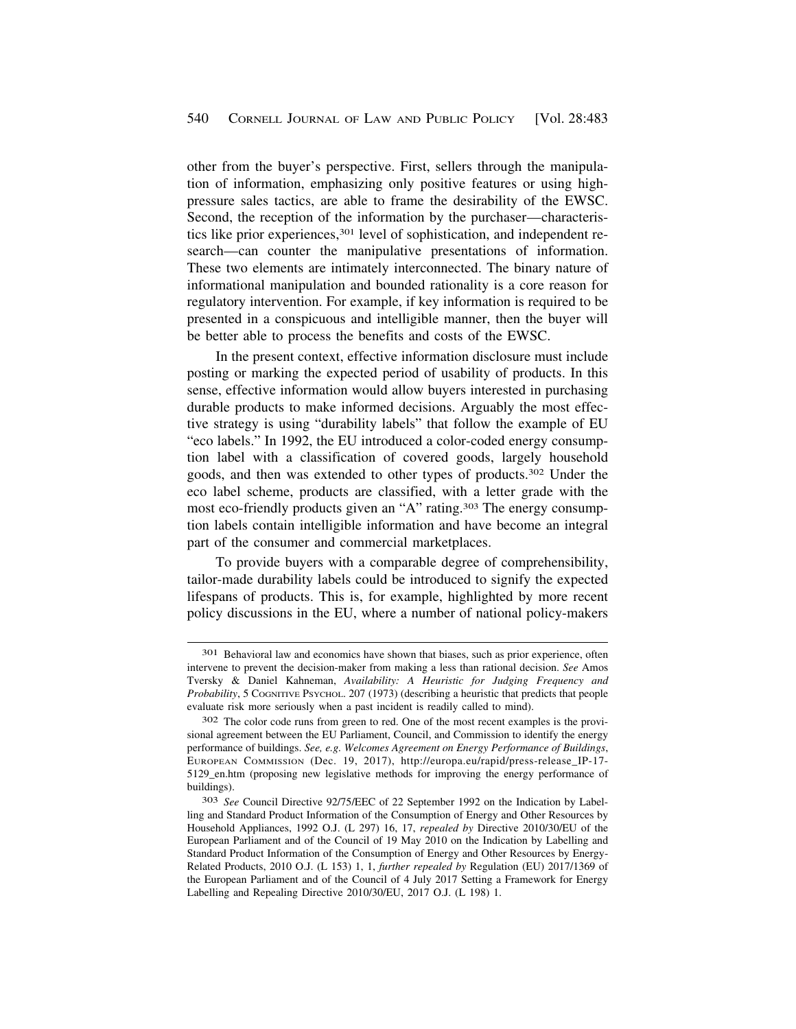other from the buyer's perspective. First, sellers through the manipulation of information, emphasizing only positive features or using highpressure sales tactics, are able to frame the desirability of the EWSC. Second, the reception of the information by the purchaser—characteristics like prior experiences,<sup>301</sup> level of sophistication, and independent research—can counter the manipulative presentations of information. These two elements are intimately interconnected. The binary nature of informational manipulation and bounded rationality is a core reason for regulatory intervention. For example, if key information is required to be presented in a conspicuous and intelligible manner, then the buyer will be better able to process the benefits and costs of the EWSC.

In the present context, effective information disclosure must include posting or marking the expected period of usability of products. In this sense, effective information would allow buyers interested in purchasing durable products to make informed decisions. Arguably the most effective strategy is using "durability labels" that follow the example of EU "eco labels." In 1992, the EU introduced a color-coded energy consumption label with a classification of covered goods, largely household goods, and then was extended to other types of products.302 Under the eco label scheme, products are classified, with a letter grade with the most eco-friendly products given an "A" rating.303 The energy consumption labels contain intelligible information and have become an integral part of the consumer and commercial marketplaces.

To provide buyers with a comparable degree of comprehensibility, tailor-made durability labels could be introduced to signify the expected lifespans of products. This is, for example, highlighted by more recent policy discussions in the EU, where a number of national policy-makers

<sup>301</sup> Behavioral law and economics have shown that biases, such as prior experience, often intervene to prevent the decision-maker from making a less than rational decision. *See* Amos Tversky & Daniel Kahneman, *Availability: A Heuristic for Judging Frequency and Probability*, 5 COGNITIVE PSYCHOL. 207 (1973) (describing a heuristic that predicts that people evaluate risk more seriously when a past incident is readily called to mind).

<sup>302</sup> The color code runs from green to red. One of the most recent examples is the provisional agreement between the EU Parliament, Council, and Commission to identify the energy performance of buildings. *See, e.g. Welcomes Agreement on Energy Performance of Buildings*, EUROPEAN COMMISSION (Dec. 19, 2017), [http://europa.eu/rapid/press-release\\_IP-17](http://europa.eu/rapid/press-release_IP-17)- 5129\_en.htm (proposing new legislative methods for improving the energy performance of buildings).

<sup>303</sup> *See* Council Directive 92/75/EEC of 22 September 1992 on the Indication by Labelling and Standard Product Information of the Consumption of Energy and Other Resources by Household Appliances, 1992 O.J. (L 297) 16, 17, *repealed by* Directive 2010/30/EU of the European Parliament and of the Council of 19 May 2010 on the Indication by Labelling and Standard Product Information of the Consumption of Energy and Other Resources by Energy-Related Products, 2010 O.J. (L 153) 1, 1, *further repealed by* Regulation (EU) 2017/1369 of the European Parliament and of the Council of 4 July 2017 Setting a Framework for Energy Labelling and Repealing Directive 2010/30/EU, 2017 O.J. (L 198) 1.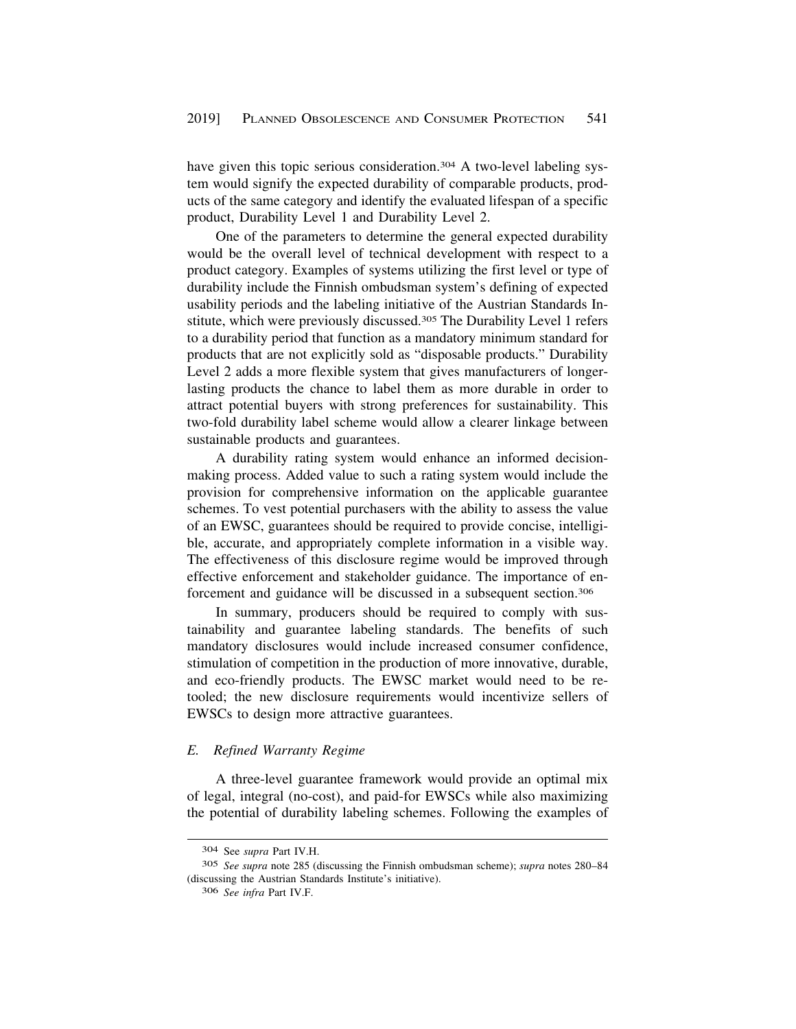<span id="page-58-0"></span>have given this topic serious consideration.<sup>304</sup> A two-level labeling system would signify the expected durability of comparable products, products of the same category and identify the evaluated lifespan of a specific product, Durability Level 1 and Durability Level 2.

One of the parameters to determine the general expected durability would be the overall level of technical development with respect to a product category. Examples of systems utilizing the first level or type of durability include the Finnish ombudsman system's defining of expected usability periods and the labeling initiative of the Austrian Standards Institute, which were previously discussed.305 The Durability Level 1 refers to a durability period that function as a mandatory minimum standard for products that are not explicitly sold as "disposable products." Durability Level 2 adds a more flexible system that gives manufacturers of longerlasting products the chance to label them as more durable in order to attract potential buyers with strong preferences for sustainability. This two-fold durability label scheme would allow a clearer linkage between sustainable products and guarantees.

A durability rating system would enhance an informed decisionmaking process. Added value to such a rating system would include the provision for comprehensive information on the applicable guarantee schemes. To vest potential purchasers with the ability to assess the value of an EWSC, guarantees should be required to provide concise, intelligible, accurate, and appropriately complete information in a visible way. The effectiveness of this disclosure regime would be improved through effective enforcement and stakeholder guidance. The importance of enforcement and guidance will be discussed in a subsequent section.306

In summary, producers should be required to comply with sustainability and guarantee labeling standards. The benefits of such mandatory disclosures would include increased consumer confidence, stimulation of competition in the production of more innovative, durable, and eco-friendly products. The EWSC market would need to be retooled; the new disclosure requirements would incentivize sellers of EWSCs to design more attractive guarantees.

# *E. Refined Warranty Regime*

A three-level guarantee framework would provide an optimal mix of legal, integral (no-cost), and paid-for EWSCs while also maximizing the potential of durability labeling schemes. Following the examples of

<sup>304</sup> See *supra* Part IV.H.

<sup>305</sup> *See supra* note 285 (discussing the Finnish ombudsman scheme); *supra* notes 280–84 (discussing the Austrian Standards Institute's initiative).

<sup>306</sup> *See infra* Part IV.F.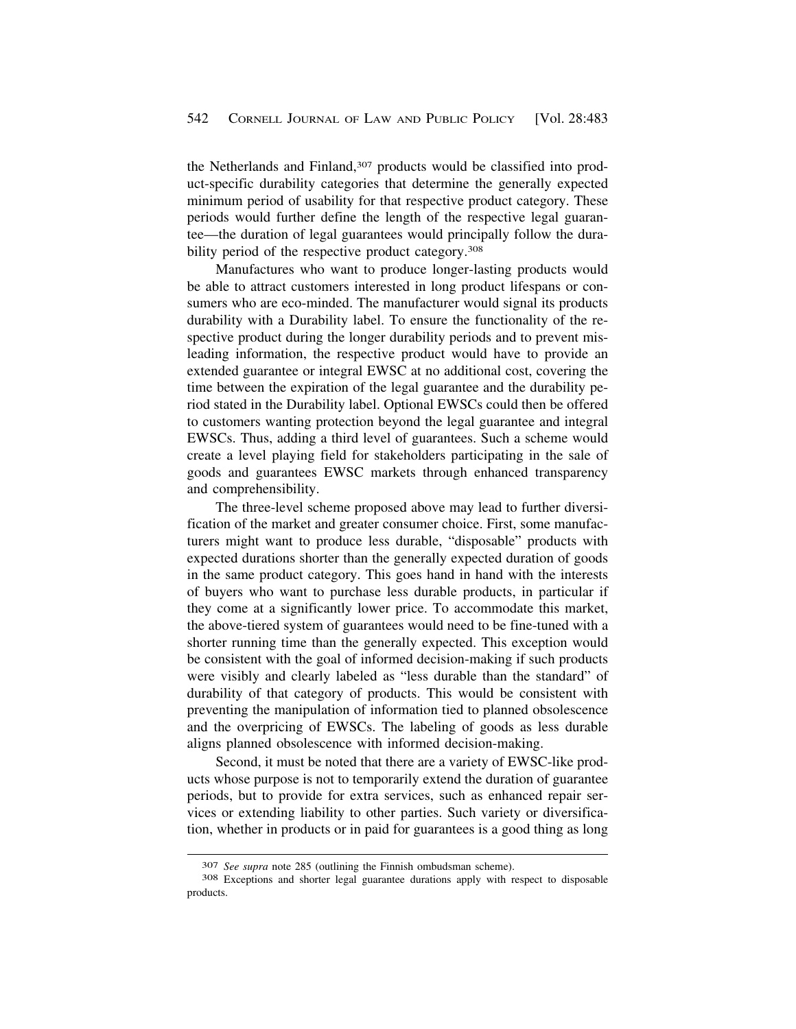the Netherlands and Finland,<sup>307</sup> products would be classified into product-specific durability categories that determine the generally expected minimum period of usability for that respective product category. These periods would further define the length of the respective legal guarantee—the duration of legal guarantees would principally follow the durability period of the respective product category.<sup>308</sup>

Manufactures who want to produce longer-lasting products would be able to attract customers interested in long product lifespans or consumers who are eco-minded. The manufacturer would signal its products durability with a Durability label. To ensure the functionality of the respective product during the longer durability periods and to prevent misleading information, the respective product would have to provide an extended guarantee or integral EWSC at no additional cost, covering the time between the expiration of the legal guarantee and the durability period stated in the Durability label. Optional EWSCs could then be offered to customers wanting protection beyond the legal guarantee and integral EWSCs. Thus, adding a third level of guarantees. Such a scheme would create a level playing field for stakeholders participating in the sale of goods and guarantees EWSC markets through enhanced transparency and comprehensibility.

The three-level scheme proposed above may lead to further diversification of the market and greater consumer choice. First, some manufacturers might want to produce less durable, "disposable" products with expected durations shorter than the generally expected duration of goods in the same product category. This goes hand in hand with the interests of buyers who want to purchase less durable products, in particular if they come at a significantly lower price. To accommodate this market, the above-tiered system of guarantees would need to be fine-tuned with a shorter running time than the generally expected. This exception would be consistent with the goal of informed decision-making if such products were visibly and clearly labeled as "less durable than the standard" of durability of that category of products. This would be consistent with preventing the manipulation of information tied to planned obsolescence and the overpricing of EWSCs. The labeling of goods as less durable aligns planned obsolescence with informed decision-making.

Second, it must be noted that there are a variety of EWSC-like products whose purpose is not to temporarily extend the duration of guarantee periods, but to provide for extra services, such as enhanced repair services or extending liability to other parties. Such variety or diversification, whether in products or in paid for guarantees is a good thing as long

<sup>307</sup>*See supra* note 285 (outlining the Finnish ombudsman scheme). 308 Exceptions and shorter legal guarantee durations apply with respect to disposable products.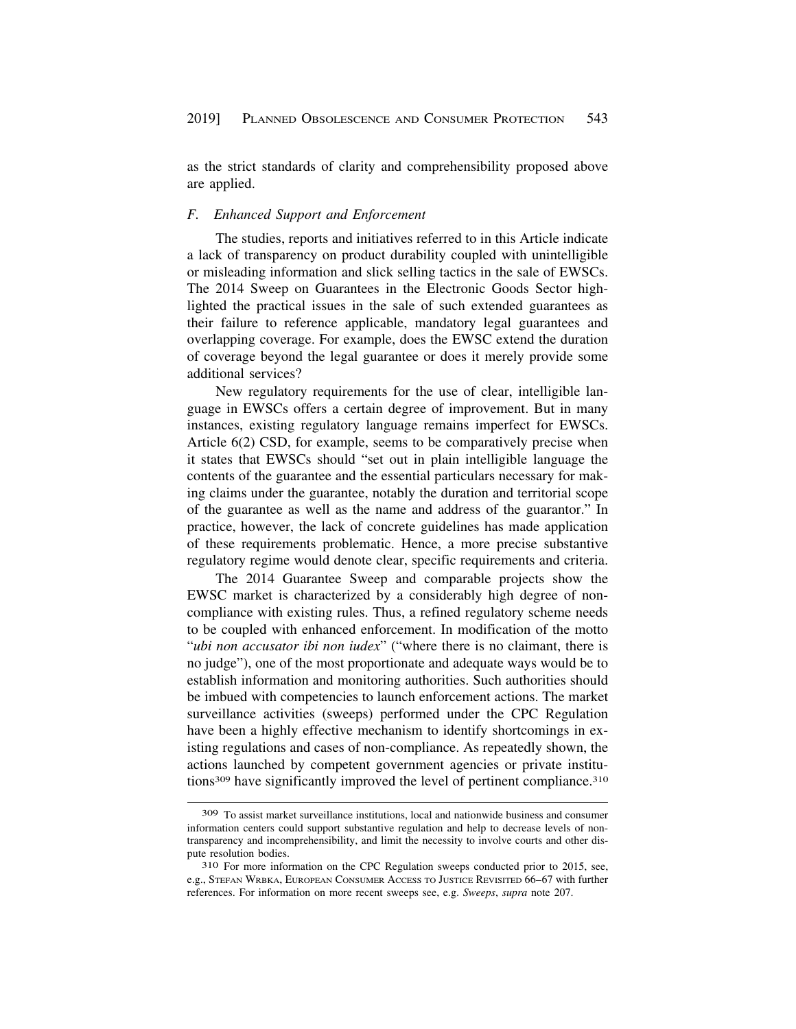<span id="page-60-0"></span>as the strict standards of clarity and comprehensibility proposed above are applied.

#### *F. Enhanced Support and Enforcement*

The studies, reports and initiatives referred to in this Article indicate a lack of transparency on product durability coupled with unintelligible or misleading information and slick selling tactics in the sale of EWSCs. The 2014 Sweep on Guarantees in the Electronic Goods Sector highlighted the practical issues in the sale of such extended guarantees as their failure to reference applicable, mandatory legal guarantees and overlapping coverage. For example, does the EWSC extend the duration of coverage beyond the legal guarantee or does it merely provide some additional services?

New regulatory requirements for the use of clear, intelligible language in EWSCs offers a certain degree of improvement. But in many instances, existing regulatory language remains imperfect for EWSCs. Article 6(2) CSD, for example, seems to be comparatively precise when it states that EWSCs should "set out in plain intelligible language the contents of the guarantee and the essential particulars necessary for making claims under the guarantee, notably the duration and territorial scope of the guarantee as well as the name and address of the guarantor." In practice, however, the lack of concrete guidelines has made application of these requirements problematic. Hence, a more precise substantive regulatory regime would denote clear, specific requirements and criteria.

The 2014 Guarantee Sweep and comparable projects show the EWSC market is characterized by a considerably high degree of noncompliance with existing rules. Thus, a refined regulatory scheme needs to be coupled with enhanced enforcement. In modification of the motto "*ubi non accusator ibi non iudex*" ("where there is no claimant, there is no judge"), one of the most proportionate and adequate ways would be to establish information and monitoring authorities. Such authorities should be imbued with competencies to launch enforcement actions. The market surveillance activities (sweeps) performed under the CPC Regulation have been a highly effective mechanism to identify shortcomings in existing regulations and cases of non-compliance. As repeatedly shown, the actions launched by competent government agencies or private institutions<sup>309</sup> have significantly improved the level of pertinent compliance.<sup>310</sup>

<sup>309</sup> To assist market surveillance institutions, local and nationwide business and consumer information centers could support substantive regulation and help to decrease levels of nontransparency and incomprehensibility, and limit the necessity to involve courts and other dispute resolution bodies.<br><sup>310</sup> For more information on the CPC Regulation sweeps conducted prior to 2015, see,

e.g., STEFAN WRBKA, EUROPEAN CONSUMER ACCESS TO JUSTICE REVISITED 66–67 with further references. For information on more recent sweeps see, e.g. *Sweeps*, *supra* note 207.